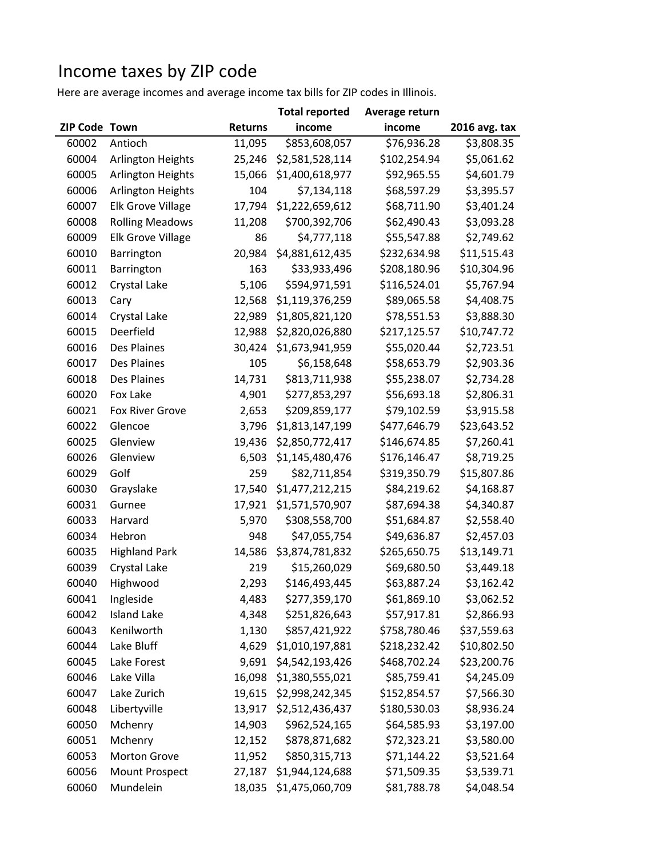## Income taxes by ZIP code

Here are average incomes and average income tax bills for ZIP codes in Illinois.

|                      |                          |                | <b>Total reported</b> | Average return |                        |
|----------------------|--------------------------|----------------|-----------------------|----------------|------------------------|
| <b>ZIP Code Town</b> |                          | <b>Returns</b> | income                | income         | 2016 avg. tax          |
| 60002                | Antioch                  | 11,095         | \$853,608,057         | \$76,936.28    | $\overline{$}3,808.35$ |
| 60004                | Arlington Heights        | 25,246         | \$2,581,528,114       | \$102,254.94   | \$5,061.62             |
| 60005                | Arlington Heights        | 15,066         | \$1,400,618,977       | \$92,965.55    | \$4,601.79             |
| 60006                | Arlington Heights        | 104            | \$7,134,118           | \$68,597.29    | \$3,395.57             |
| 60007                | <b>Elk Grove Village</b> | 17,794         | \$1,222,659,612       | \$68,711.90    | \$3,401.24             |
| 60008                | <b>Rolling Meadows</b>   | 11,208         | \$700,392,706         | \$62,490.43    | \$3,093.28             |
| 60009                | Elk Grove Village        | 86             | \$4,777,118           | \$55,547.88    | \$2,749.62             |
| 60010                | Barrington               | 20,984         | \$4,881,612,435       | \$232,634.98   | \$11,515.43            |
| 60011                | Barrington               | 163            | \$33,933,496          | \$208,180.96   | \$10,304.96            |
| 60012                | Crystal Lake             | 5,106          | \$594,971,591         | \$116,524.01   | \$5,767.94             |
| 60013                | Cary                     | 12,568         | \$1,119,376,259       | \$89,065.58    | \$4,408.75             |
| 60014                | Crystal Lake             | 22,989         | \$1,805,821,120       | \$78,551.53    | \$3,888.30             |
| 60015                | Deerfield                | 12,988         | \$2,820,026,880       | \$217,125.57   | \$10,747.72            |
| 60016                | Des Plaines              | 30,424         | \$1,673,941,959       | \$55,020.44    | \$2,723.51             |
| 60017                | Des Plaines              | 105            | \$6,158,648           | \$58,653.79    | \$2,903.36             |
| 60018                | Des Plaines              | 14,731         | \$813,711,938         | \$55,238.07    | \$2,734.28             |
| 60020                | Fox Lake                 | 4,901          | \$277,853,297         | \$56,693.18    | \$2,806.31             |
| 60021                | Fox River Grove          | 2,653          | \$209,859,177         | \$79,102.59    | \$3,915.58             |
| 60022                | Glencoe                  | 3,796          | \$1,813,147,199       | \$477,646.79   | \$23,643.52            |
| 60025                | Glenview                 | 19,436         | \$2,850,772,417       | \$146,674.85   | \$7,260.41             |
| 60026                | Glenview                 | 6,503          | \$1,145,480,476       | \$176,146.47   | \$8,719.25             |
| 60029                | Golf                     | 259            | \$82,711,854          | \$319,350.79   | \$15,807.86            |
| 60030                | Grayslake                | 17,540         | \$1,477,212,215       | \$84,219.62    | \$4,168.87             |
| 60031                | Gurnee                   | 17,921         | \$1,571,570,907       | \$87,694.38    | \$4,340.87             |
| 60033                | Harvard                  | 5,970          | \$308,558,700         | \$51,684.87    | \$2,558.40             |
| 60034                | Hebron                   | 948            | \$47,055,754          | \$49,636.87    | \$2,457.03             |
| 60035                | <b>Highland Park</b>     | 14,586         | \$3,874,781,832       | \$265,650.75   | \$13,149.71            |
| 60039                | Crystal Lake             | 219            | \$15,260,029          | \$69,680.50    | \$3,449.18             |
| 60040                | Highwood                 | 2,293          | \$146,493,445         | \$63,887.24    | \$3,162.42             |
| 60041                | Ingleside                | 4,483          | \$277,359,170         | \$61,869.10    | \$3,062.52             |
| 60042                | <b>Island Lake</b>       | 4,348          | \$251,826,643         | \$57,917.81    | \$2,866.93             |
| 60043                | Kenilworth               | 1,130          | \$857,421,922         | \$758,780.46   | \$37,559.63            |
| 60044                | Lake Bluff               | 4,629          | \$1,010,197,881       | \$218,232.42   | \$10,802.50            |
| 60045                | Lake Forest              | 9,691          | \$4,542,193,426       | \$468,702.24   | \$23,200.76            |
| 60046                | Lake Villa               | 16,098         | \$1,380,555,021       | \$85,759.41    | \$4,245.09             |
| 60047                | Lake Zurich              | 19,615         | \$2,998,242,345       | \$152,854.57   | \$7,566.30             |
| 60048                | Libertyville             | 13,917         | \$2,512,436,437       | \$180,530.03   | \$8,936.24             |
| 60050                | Mchenry                  | 14,903         | \$962,524,165         | \$64,585.93    | \$3,197.00             |
| 60051                | Mchenry                  | 12,152         | \$878,871,682         | \$72,323.21    | \$3,580.00             |
| 60053                | Morton Grove             | 11,952         | \$850,315,713         | \$71,144.22    | \$3,521.64             |
| 60056                | Mount Prospect           | 27,187         | \$1,944,124,688       | \$71,509.35    | \$3,539.71             |
| 60060                | Mundelein                | 18,035         | \$1,475,060,709       | \$81,788.78    | \$4,048.54             |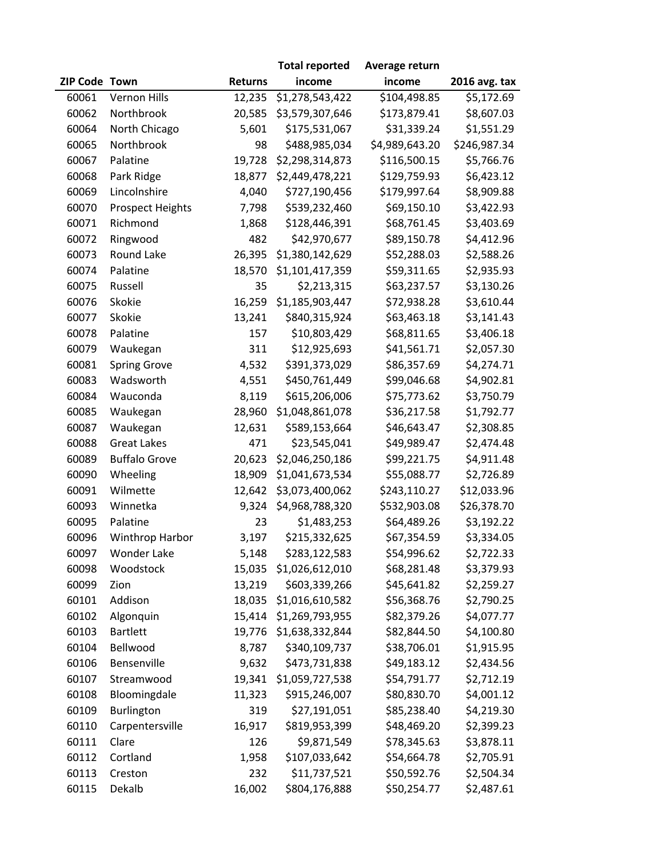|               |                         |                | <b>Total reported</b> | Average return |               |
|---------------|-------------------------|----------------|-----------------------|----------------|---------------|
| ZIP Code Town |                         | <b>Returns</b> | income                | income         | 2016 avg. tax |
| 60061         | <b>Vernon Hills</b>     | 12,235         | \$1,278,543,422       | \$104,498.85   | \$5,172.69    |
| 60062         | Northbrook              | 20,585         | \$3,579,307,646       | \$173,879.41   | \$8,607.03    |
| 60064         | North Chicago           | 5,601          | \$175,531,067         | \$31,339.24    | \$1,551.29    |
| 60065         | Northbrook              | 98             | \$488,985,034         | \$4,989,643.20 | \$246,987.34  |
| 60067         | Palatine                | 19,728         | \$2,298,314,873       | \$116,500.15   | \$5,766.76    |
| 60068         | Park Ridge              | 18,877         | \$2,449,478,221       | \$129,759.93   | \$6,423.12    |
| 60069         | Lincolnshire            | 4,040          | \$727,190,456         | \$179,997.64   | \$8,909.88    |
| 60070         | <b>Prospect Heights</b> | 7,798          | \$539,232,460         | \$69,150.10    | \$3,422.93    |
| 60071         | Richmond                | 1,868          | \$128,446,391         | \$68,761.45    | \$3,403.69    |
| 60072         | Ringwood                | 482            | \$42,970,677          | \$89,150.78    | \$4,412.96    |
| 60073         | Round Lake              | 26,395         | \$1,380,142,629       | \$52,288.03    | \$2,588.26    |
| 60074         | Palatine                | 18,570         | \$1,101,417,359       | \$59,311.65    | \$2,935.93    |
| 60075         | Russell                 | 35             | \$2,213,315           | \$63,237.57    | \$3,130.26    |
| 60076         | Skokie                  | 16,259         | \$1,185,903,447       | \$72,938.28    | \$3,610.44    |
| 60077         | Skokie                  | 13,241         | \$840,315,924         | \$63,463.18    | \$3,141.43    |
| 60078         | Palatine                | 157            | \$10,803,429          | \$68,811.65    | \$3,406.18    |
| 60079         | Waukegan                | 311            | \$12,925,693          | \$41,561.71    | \$2,057.30    |
| 60081         | <b>Spring Grove</b>     | 4,532          | \$391,373,029         | \$86,357.69    | \$4,274.71    |
| 60083         | Wadsworth               | 4,551          | \$450,761,449         | \$99,046.68    | \$4,902.81    |
| 60084         | Wauconda                | 8,119          | \$615,206,006         | \$75,773.62    | \$3,750.79    |
| 60085         | Waukegan                | 28,960         | \$1,048,861,078       | \$36,217.58    | \$1,792.77    |
| 60087         | Waukegan                | 12,631         | \$589,153,664         | \$46,643.47    | \$2,308.85    |
| 60088         | <b>Great Lakes</b>      | 471            | \$23,545,041          | \$49,989.47    | \$2,474.48    |
| 60089         | <b>Buffalo Grove</b>    | 20,623         | \$2,046,250,186       | \$99,221.75    | \$4,911.48    |
| 60090         | Wheeling                | 18,909         | \$1,041,673,534       | \$55,088.77    | \$2,726.89    |
| 60091         | Wilmette                | 12,642         | \$3,073,400,062       | \$243,110.27   | \$12,033.96   |
| 60093         | Winnetka                | 9,324          | \$4,968,788,320       | \$532,903.08   | \$26,378.70   |
| 60095         | Palatine                | 23             | \$1,483,253           | \$64,489.26    | \$3,192.22    |
| 60096         | Winthrop Harbor         | 3,197          | \$215,332,625         | \$67,354.59    | \$3,334.05    |
| 60097         | <b>Wonder Lake</b>      | 5,148          | \$283,122,583         | \$54,996.62    | \$2,722.33    |
| 60098         | Woodstock               | 15,035         | \$1,026,612,010       | \$68,281.48    | \$3,379.93    |
| 60099         | Zion                    | 13,219         | \$603,339,266         | \$45,641.82    | \$2,259.27    |
| 60101         | Addison                 | 18,035         | \$1,016,610,582       | \$56,368.76    | \$2,790.25    |
| 60102         | Algonquin               | 15,414         | \$1,269,793,955       | \$82,379.26    | \$4,077.77    |
| 60103         | <b>Bartlett</b>         | 19,776         | \$1,638,332,844       | \$82,844.50    | \$4,100.80    |
| 60104         | Bellwood                | 8,787          | \$340,109,737         | \$38,706.01    | \$1,915.95    |
| 60106         | Bensenville             | 9,632          | \$473,731,838         | \$49,183.12    | \$2,434.56    |
| 60107         | Streamwood              | 19,341         | \$1,059,727,538       | \$54,791.77    | \$2,712.19    |
| 60108         | Bloomingdale            | 11,323         | \$915,246,007         | \$80,830.70    | \$4,001.12    |
| 60109         | Burlington              | 319            | \$27,191,051          | \$85,238.40    | \$4,219.30    |
| 60110         | Carpentersville         | 16,917         | \$819,953,399         | \$48,469.20    | \$2,399.23    |
| 60111         | Clare                   | 126            | \$9,871,549           | \$78,345.63    | \$3,878.11    |
| 60112         | Cortland                | 1,958          | \$107,033,642         | \$54,664.78    | \$2,705.91    |
| 60113         | Creston                 | 232            | \$11,737,521          | \$50,592.76    | \$2,504.34    |
| 60115         | Dekalb                  | 16,002         | \$804,176,888         | \$50,254.77    | \$2,487.61    |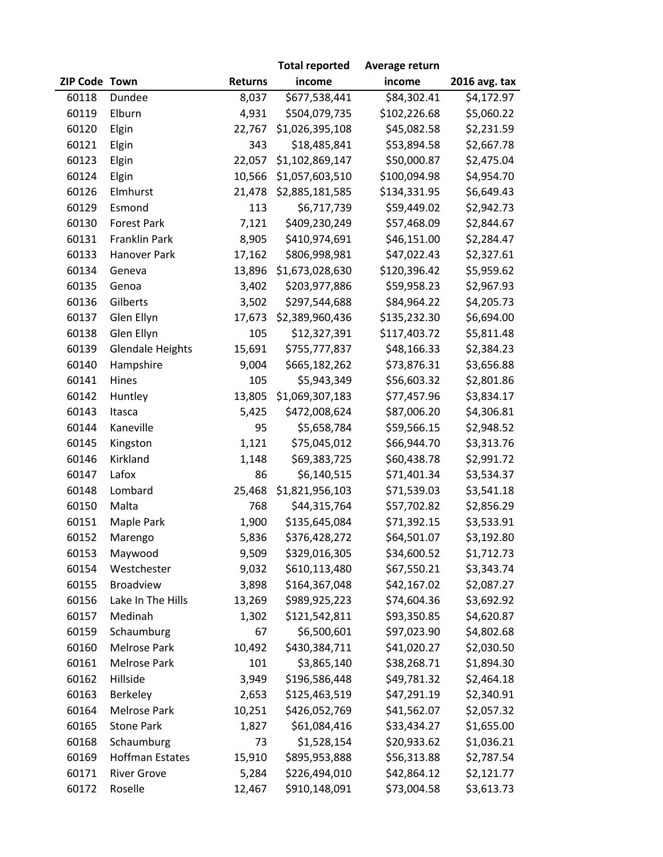|               |                         |                | <b>Total reported</b> | Average return |               |
|---------------|-------------------------|----------------|-----------------------|----------------|---------------|
| ZIP Code Town |                         | <b>Returns</b> | income                | income         | 2016 avg. tax |
| 60118         | Dundee                  | 8,037          | \$677,538,441         | \$84,302.41    | \$4,172.97    |
| 60119         | Elburn                  | 4,931          | \$504,079,735         | \$102,226.68   | \$5,060.22    |
| 60120         | Elgin                   | 22,767         | \$1,026,395,108       | \$45,082.58    | \$2,231.59    |
| 60121         | Elgin                   | 343            | \$18,485,841          | \$53,894.58    | \$2,667.78    |
| 60123         | Elgin                   | 22,057         | \$1,102,869,147       | \$50,000.87    | \$2,475.04    |
| 60124         | Elgin                   | 10,566         | \$1,057,603,510       | \$100,094.98   | \$4,954.70    |
| 60126         | Elmhurst                | 21,478         | \$2,885,181,585       | \$134,331.95   | \$6,649.43    |
| 60129         | Esmond                  | 113            | \$6,717,739           | \$59,449.02    | \$2,942.73    |
| 60130         | <b>Forest Park</b>      | 7,121          | \$409,230,249         | \$57,468.09    | \$2,844.67    |
| 60131         | Franklin Park           | 8,905          | \$410,974,691         | \$46,151.00    | \$2,284.47    |
| 60133         | Hanover Park            | 17,162         | \$806,998,981         | \$47,022.43    | \$2,327.61    |
| 60134         | Geneva                  | 13,896         | \$1,673,028,630       | \$120,396.42   | \$5,959.62    |
| 60135         | Genoa                   | 3,402          | \$203,977,886         | \$59,958.23    | \$2,967.93    |
| 60136         | Gilberts                | 3,502          | \$297,544,688         | \$84,964.22    | \$4,205.73    |
| 60137         | Glen Ellyn              | 17,673         | \$2,389,960,436       | \$135,232.30   | \$6,694.00    |
| 60138         | Glen Ellyn              | 105            | \$12,327,391          | \$117,403.72   | \$5,811.48    |
| 60139         | <b>Glendale Heights</b> | 15,691         | \$755,777,837         | \$48,166.33    | \$2,384.23    |
| 60140         | Hampshire               | 9,004          | \$665,182,262         | \$73,876.31    | \$3,656.88    |
| 60141         | Hines                   | 105            | \$5,943,349           | \$56,603.32    | \$2,801.86    |
| 60142         | Huntley                 | 13,805         | \$1,069,307,183       | \$77,457.96    | \$3,834.17    |
| 60143         | Itasca                  | 5,425          | \$472,008,624         | \$87,006.20    | \$4,306.81    |
| 60144         | Kaneville               | 95             | \$5,658,784           | \$59,566.15    | \$2,948.52    |
| 60145         | Kingston                | 1,121          | \$75,045,012          | \$66,944.70    | \$3,313.76    |
| 60146         | Kirkland                | 1,148          | \$69,383,725          | \$60,438.78    | \$2,991.72    |
| 60147         | Lafox                   | 86             | \$6,140,515           | \$71,401.34    | \$3,534.37    |
| 60148         | Lombard                 | 25,468         | \$1,821,956,103       | \$71,539.03    | \$3,541.18    |
| 60150         | Malta                   | 768            | \$44,315,764          | \$57,702.82    | \$2,856.29    |
| 60151         | Maple Park              | 1,900          | \$135,645,084         | \$71,392.15    | \$3,533.91    |
| 60152         | Marengo                 | 5,836          | \$376,428,272         | \$64,501.07    | \$3,192.80    |
| 60153         | Maywood                 | 9,509          | \$329,016,305         | \$34,600.52    | \$1,712.73    |
| 60154         | Westchester             | 9,032          | \$610,113,480         | \$67,550.21    | \$3,343.74    |
| 60155         | Broadview               | 3,898          | \$164,367,048         | \$42,167.02    | \$2,087.27    |
| 60156         | Lake In The Hills       | 13,269         | \$989,925,223         | \$74,604.36    | \$3,692.92    |
| 60157         | Medinah                 | 1,302          | \$121,542,811         | \$93,350.85    | \$4,620.87    |
| 60159         | Schaumburg              | 67             | \$6,500,601           | \$97,023.90    | \$4,802.68    |
| 60160         | Melrose Park            | 10,492         | \$430,384,711         | \$41,020.27    | \$2,030.50    |
| 60161         | <b>Melrose Park</b>     | 101            | \$3,865,140           | \$38,268.71    | \$1,894.30    |
| 60162         | Hillside                | 3,949          | \$196,586,448         | \$49,781.32    | \$2,464.18    |
| 60163         | Berkeley                | 2,653          | \$125,463,519         | \$47,291.19    | \$2,340.91    |
| 60164         | Melrose Park            | 10,251         | \$426,052,769         | \$41,562.07    | \$2,057.32    |
| 60165         | <b>Stone Park</b>       | 1,827          | \$61,084,416          | \$33,434.27    | \$1,655.00    |
| 60168         | Schaumburg              | 73             | \$1,528,154           | \$20,933.62    | \$1,036.21    |
| 60169         | <b>Hoffman Estates</b>  | 15,910         | \$895,953,888         | \$56,313.88    | \$2,787.54    |
| 60171         | <b>River Grove</b>      | 5,284          | \$226,494,010         | \$42,864.12    | \$2,121.77    |
| 60172         | Roselle                 | 12,467         | \$910,148,091         | \$73,004.58    | \$3,613.73    |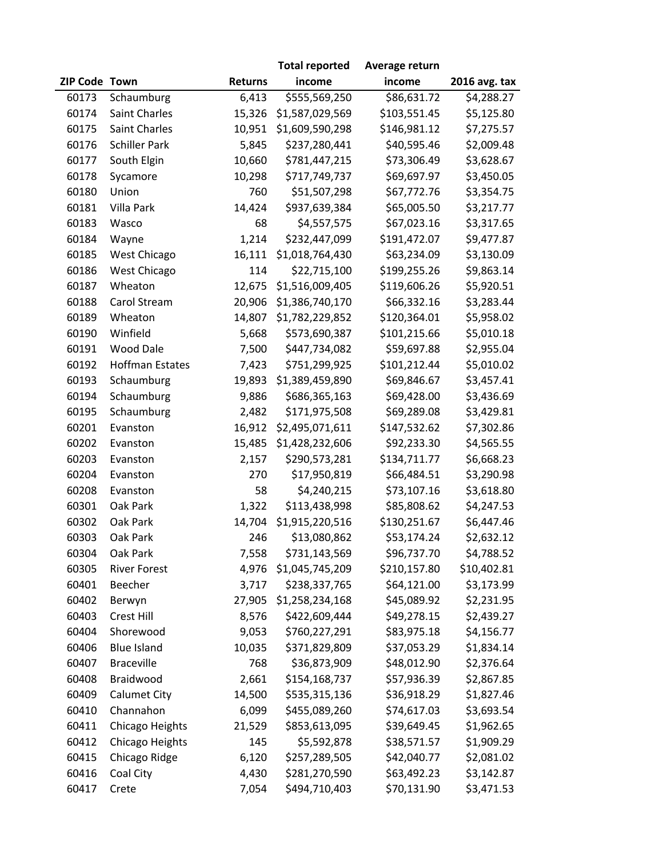|               |                        |                | <b>Total reported</b> | Average return |               |
|---------------|------------------------|----------------|-----------------------|----------------|---------------|
| ZIP Code Town |                        | <b>Returns</b> | income                | income         | 2016 avg. tax |
| 60173         | Schaumburg             | 6,413          | \$555,569,250         | \$86,631.72    | \$4,288.27    |
| 60174         | <b>Saint Charles</b>   | 15,326         | \$1,587,029,569       | \$103,551.45   | \$5,125.80    |
| 60175         | Saint Charles          | 10,951         | \$1,609,590,298       | \$146,981.12   | \$7,275.57    |
| 60176         | <b>Schiller Park</b>   | 5,845          | \$237,280,441         | \$40,595.46    | \$2,009.48    |
| 60177         | South Elgin            | 10,660         | \$781,447,215         | \$73,306.49    | \$3,628.67    |
| 60178         | Sycamore               | 10,298         | \$717,749,737         | \$69,697.97    | \$3,450.05    |
| 60180         | Union                  | 760            | \$51,507,298          | \$67,772.76    | \$3,354.75    |
| 60181         | Villa Park             | 14,424         | \$937,639,384         | \$65,005.50    | \$3,217.77    |
| 60183         | Wasco                  | 68             | \$4,557,575           | \$67,023.16    | \$3,317.65    |
| 60184         | Wayne                  | 1,214          | \$232,447,099         | \$191,472.07   | \$9,477.87    |
| 60185         | West Chicago           | 16,111         | \$1,018,764,430       | \$63,234.09    | \$3,130.09    |
| 60186         | West Chicago           | 114            | \$22,715,100          | \$199,255.26   | \$9,863.14    |
| 60187         | Wheaton                | 12,675         | \$1,516,009,405       | \$119,606.26   | \$5,920.51    |
| 60188         | Carol Stream           | 20,906         | \$1,386,740,170       | \$66,332.16    | \$3,283.44    |
| 60189         | Wheaton                | 14,807         | \$1,782,229,852       | \$120,364.01   | \$5,958.02    |
| 60190         | Winfield               | 5,668          | \$573,690,387         | \$101,215.66   | \$5,010.18    |
| 60191         | Wood Dale              | 7,500          | \$447,734,082         | \$59,697.88    | \$2,955.04    |
| 60192         | <b>Hoffman Estates</b> | 7,423          | \$751,299,925         | \$101,212.44   | \$5,010.02    |
| 60193         | Schaumburg             | 19,893         | \$1,389,459,890       | \$69,846.67    | \$3,457.41    |
| 60194         | Schaumburg             | 9,886          | \$686,365,163         | \$69,428.00    | \$3,436.69    |
| 60195         | Schaumburg             | 2,482          | \$171,975,508         | \$69,289.08    | \$3,429.81    |
| 60201         | Evanston               | 16,912         | \$2,495,071,611       | \$147,532.62   | \$7,302.86    |
| 60202         | Evanston               | 15,485         | \$1,428,232,606       | \$92,233.30    | \$4,565.55    |
| 60203         | Evanston               | 2,157          | \$290,573,281         | \$134,711.77   | \$6,668.23    |
| 60204         | Evanston               | 270            | \$17,950,819          | \$66,484.51    | \$3,290.98    |
| 60208         | Evanston               | 58             | \$4,240,215           | \$73,107.16    | \$3,618.80    |
| 60301         | Oak Park               | 1,322          | \$113,438,998         | \$85,808.62    | \$4,247.53    |
| 60302         | Oak Park               | 14,704         | \$1,915,220,516       | \$130,251.67   | \$6,447.46    |
| 60303         | Oak Park               | 246            | \$13,080,862          | \$53,174.24    | \$2,632.12    |
| 60304         | Oak Park               | 7,558          | \$731,143,569         | \$96,737.70    | \$4,788.52    |
| 60305         | <b>River Forest</b>    | 4,976          | \$1,045,745,209       | \$210,157.80   | \$10,402.81   |
| 60401         | Beecher                | 3,717          | \$238,337,765         | \$64,121.00    | \$3,173.99    |
| 60402         | Berwyn                 | 27,905         | \$1,258,234,168       | \$45,089.92    | \$2,231.95    |
| 60403         | Crest Hill             | 8,576          | \$422,609,444         | \$49,278.15    | \$2,439.27    |
| 60404         | Shorewood              | 9,053          | \$760,227,291         | \$83,975.18    | \$4,156.77    |
| 60406         | <b>Blue Island</b>     | 10,035         | \$371,829,809         | \$37,053.29    | \$1,834.14    |
| 60407         | <b>Braceville</b>      | 768            | \$36,873,909          | \$48,012.90    | \$2,376.64    |
| 60408         | Braidwood              | 2,661          | \$154,168,737         | \$57,936.39    | \$2,867.85    |
| 60409         | Calumet City           | 14,500         | \$535,315,136         | \$36,918.29    | \$1,827.46    |
| 60410         | Channahon              | 6,099          | \$455,089,260         | \$74,617.03    | \$3,693.54    |
| 60411         | Chicago Heights        | 21,529         | \$853,613,095         | \$39,649.45    | \$1,962.65    |
| 60412         | Chicago Heights        | 145            | \$5,592,878           | \$38,571.57    | \$1,909.29    |
| 60415         | Chicago Ridge          | 6,120          | \$257,289,505         | \$42,040.77    | \$2,081.02    |
| 60416         | Coal City              | 4,430          | \$281,270,590         | \$63,492.23    | \$3,142.87    |
| 60417         | Crete                  | 7,054          | \$494,710,403         | \$70,131.90    | \$3,471.53    |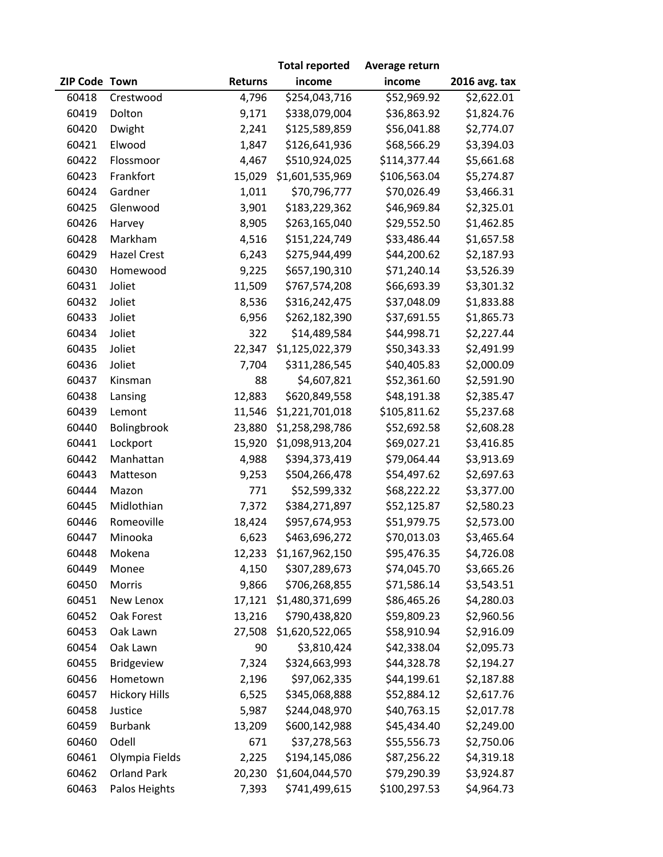|               |                      |                | <b>Total reported</b> | Average return |               |
|---------------|----------------------|----------------|-----------------------|----------------|---------------|
| ZIP Code Town |                      | <b>Returns</b> | income                | income         | 2016 avg. tax |
| 60418         | Crestwood            | 4,796          | \$254,043,716         | \$52,969.92    | \$2,622.01    |
| 60419         | Dolton               | 9,171          | \$338,079,004         | \$36,863.92    | \$1,824.76    |
| 60420         | Dwight               | 2,241          | \$125,589,859         | \$56,041.88    | \$2,774.07    |
| 60421         | Elwood               | 1,847          | \$126,641,936         | \$68,566.29    | \$3,394.03    |
| 60422         | Flossmoor            | 4,467          | \$510,924,025         | \$114,377.44   | \$5,661.68    |
| 60423         | Frankfort            | 15,029         | \$1,601,535,969       | \$106,563.04   | \$5,274.87    |
| 60424         | Gardner              | 1,011          | \$70,796,777          | \$70,026.49    | \$3,466.31    |
| 60425         | Glenwood             | 3,901          | \$183,229,362         | \$46,969.84    | \$2,325.01    |
| 60426         | Harvey               | 8,905          | \$263,165,040         | \$29,552.50    | \$1,462.85    |
| 60428         | Markham              | 4,516          | \$151,224,749         | \$33,486.44    | \$1,657.58    |
| 60429         | <b>Hazel Crest</b>   | 6,243          | \$275,944,499         | \$44,200.62    | \$2,187.93    |
| 60430         | Homewood             | 9,225          | \$657,190,310         | \$71,240.14    | \$3,526.39    |
| 60431         | Joliet               | 11,509         | \$767,574,208         | \$66,693.39    | \$3,301.32    |
| 60432         | Joliet               | 8,536          | \$316,242,475         | \$37,048.09    | \$1,833.88    |
| 60433         | Joliet               | 6,956          | \$262,182,390         | \$37,691.55    | \$1,865.73    |
| 60434         | Joliet               | 322            | \$14,489,584          | \$44,998.71    | \$2,227.44    |
| 60435         | Joliet               | 22,347         | \$1,125,022,379       | \$50,343.33    | \$2,491.99    |
| 60436         | Joliet               | 7,704          | \$311,286,545         | \$40,405.83    | \$2,000.09    |
| 60437         | Kinsman              | 88             | \$4,607,821           | \$52,361.60    | \$2,591.90    |
| 60438         | Lansing              | 12,883         | \$620,849,558         | \$48,191.38    | \$2,385.47    |
| 60439         | Lemont               | 11,546         | \$1,221,701,018       | \$105,811.62   | \$5,237.68    |
| 60440         | Bolingbrook          | 23,880         | \$1,258,298,786       | \$52,692.58    | \$2,608.28    |
| 60441         | Lockport             | 15,920         | \$1,098,913,204       | \$69,027.21    | \$3,416.85    |
| 60442         | Manhattan            | 4,988          | \$394,373,419         | \$79,064.44    | \$3,913.69    |
| 60443         | Matteson             | 9,253          | \$504,266,478         | \$54,497.62    | \$2,697.63    |
| 60444         | Mazon                | 771            | \$52,599,332          | \$68,222.22    | \$3,377.00    |
| 60445         | Midlothian           | 7,372          | \$384,271,897         | \$52,125.87    | \$2,580.23    |
| 60446         | Romeoville           | 18,424         | \$957,674,953         | \$51,979.75    | \$2,573.00    |
| 60447         | Minooka              | 6,623          | \$463,696,272         | \$70,013.03    | \$3,465.64    |
| 60448         | Mokena               | 12,233         | \$1,167,962,150       | \$95,476.35    | \$4,726.08    |
| 60449         | Monee                | 4,150          | \$307,289,673         | \$74,045.70    | \$3,665.26    |
| 60450         | Morris               | 9,866          | \$706,268,855         | \$71,586.14    | \$3,543.51    |
| 60451         | New Lenox            | 17,121         | \$1,480,371,699       | \$86,465.26    | \$4,280.03    |
| 60452         | Oak Forest           | 13,216         | \$790,438,820         | \$59,809.23    | \$2,960.56    |
| 60453         | Oak Lawn             | 27,508         | \$1,620,522,065       | \$58,910.94    | \$2,916.09    |
| 60454         | Oak Lawn             | 90             | \$3,810,424           | \$42,338.04    | \$2,095.73    |
| 60455         | Bridgeview           | 7,324          | \$324,663,993         | \$44,328.78    | \$2,194.27    |
| 60456         | Hometown             | 2,196          | \$97,062,335          | \$44,199.61    | \$2,187.88    |
| 60457         | <b>Hickory Hills</b> | 6,525          | \$345,068,888         | \$52,884.12    | \$2,617.76    |
| 60458         | Justice              | 5,987          | \$244,048,970         | \$40,763.15    | \$2,017.78    |
| 60459         | <b>Burbank</b>       | 13,209         | \$600,142,988         | \$45,434.40    | \$2,249.00    |
| 60460         | Odell                | 671            | \$37,278,563          | \$55,556.73    | \$2,750.06    |
| 60461         | Olympia Fields       | 2,225          | \$194,145,086         | \$87,256.22    | \$4,319.18    |
| 60462         | <b>Orland Park</b>   | 20,230         | \$1,604,044,570       | \$79,290.39    | \$3,924.87    |
| 60463         | Palos Heights        | 7,393          | \$741,499,615         | \$100,297.53   | \$4,964.73    |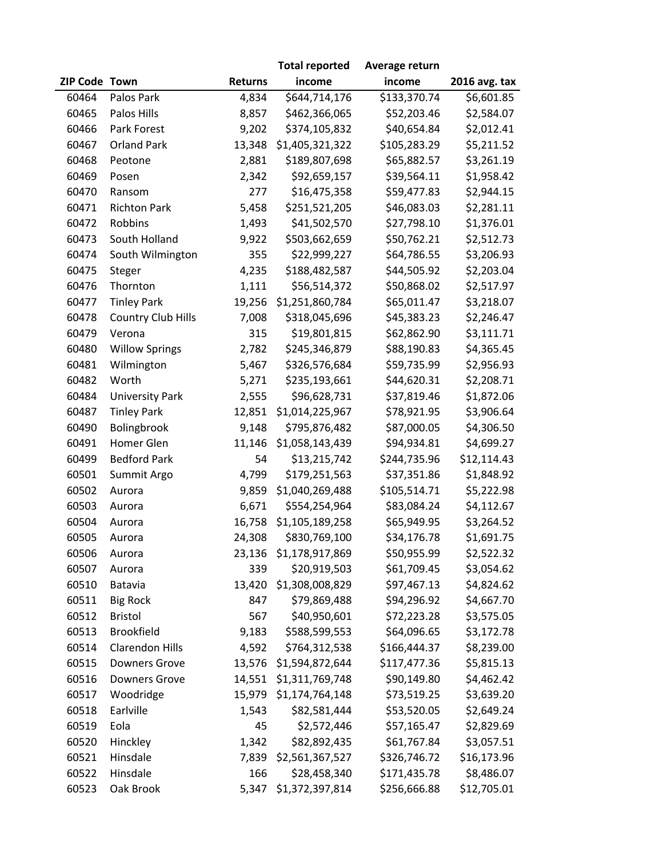|               |                        |                | <b>Total reported</b> | Average return |               |
|---------------|------------------------|----------------|-----------------------|----------------|---------------|
| ZIP Code Town |                        | <b>Returns</b> | income                | income         | 2016 avg. tax |
| 60464         | Palos Park             | 4,834          | \$644,714,176         | \$133,370.74   | \$6,601.85    |
| 60465         | Palos Hills            | 8,857          | \$462,366,065         | \$52,203.46    | \$2,584.07    |
| 60466         | Park Forest            | 9,202          | \$374,105,832         | \$40,654.84    | \$2,012.41    |
| 60467         | <b>Orland Park</b>     | 13,348         | \$1,405,321,322       | \$105,283.29   | \$5,211.52    |
| 60468         | Peotone                | 2,881          | \$189,807,698         | \$65,882.57    | \$3,261.19    |
| 60469         | Posen                  | 2,342          | \$92,659,157          | \$39,564.11    | \$1,958.42    |
| 60470         | Ransom                 | 277            | \$16,475,358          | \$59,477.83    | \$2,944.15    |
| 60471         | <b>Richton Park</b>    | 5,458          | \$251,521,205         | \$46,083.03    | \$2,281.11    |
| 60472         | Robbins                | 1,493          | \$41,502,570          | \$27,798.10    | \$1,376.01    |
| 60473         | South Holland          | 9,922          | \$503,662,659         | \$50,762.21    | \$2,512.73    |
| 60474         | South Wilmington       | 355            | \$22,999,227          | \$64,786.55    | \$3,206.93    |
| 60475         | Steger                 | 4,235          | \$188,482,587         | \$44,505.92    | \$2,203.04    |
| 60476         | Thornton               | 1,111          | \$56,514,372          | \$50,868.02    | \$2,517.97    |
| 60477         | <b>Tinley Park</b>     | 19,256         | \$1,251,860,784       | \$65,011.47    | \$3,218.07    |
| 60478         | Country Club Hills     | 7,008          | \$318,045,696         | \$45,383.23    | \$2,246.47    |
| 60479         | Verona                 | 315            | \$19,801,815          | \$62,862.90    | \$3,111.71    |
| 60480         | <b>Willow Springs</b>  | 2,782          | \$245,346,879         | \$88,190.83    | \$4,365.45    |
| 60481         | Wilmington             | 5,467          | \$326,576,684         | \$59,735.99    | \$2,956.93    |
| 60482         | Worth                  | 5,271          | \$235,193,661         | \$44,620.31    | \$2,208.71    |
| 60484         | <b>University Park</b> | 2,555          | \$96,628,731          | \$37,819.46    | \$1,872.06    |
| 60487         | <b>Tinley Park</b>     | 12,851         | \$1,014,225,967       | \$78,921.95    | \$3,906.64    |
| 60490         | Bolingbrook            | 9,148          | \$795,876,482         | \$87,000.05    | \$4,306.50    |
| 60491         | Homer Glen             | 11,146         | \$1,058,143,439       | \$94,934.81    | \$4,699.27    |
| 60499         | <b>Bedford Park</b>    | 54             | \$13,215,742          | \$244,735.96   | \$12,114.43   |
| 60501         | Summit Argo            | 4,799          | \$179,251,563         | \$37,351.86    | \$1,848.92    |
| 60502         | Aurora                 | 9,859          | \$1,040,269,488       | \$105,514.71   | \$5,222.98    |
| 60503         | Aurora                 | 6,671          | \$554,254,964         | \$83,084.24    | \$4,112.67    |
| 60504         | Aurora                 | 16,758         | \$1,105,189,258       | \$65,949.95    | \$3,264.52    |
| 60505         | Aurora                 | 24,308         | \$830,769,100         | \$34,176.78    | \$1,691.75    |
| 60506         | Aurora                 | 23,136         | \$1,178,917,869       | \$50,955.99    | \$2,522.32    |
| 60507         | Aurora                 | 339            | \$20,919,503          | \$61,709.45    | \$3,054.62    |
| 60510         | Batavia                | 13,420         | \$1,308,008,829       | \$97,467.13    | \$4,824.62    |
| 60511         | <b>Big Rock</b>        | 847            | \$79,869,488          | \$94,296.92    | \$4,667.70    |
| 60512         | <b>Bristol</b>         | 567            | \$40,950,601          | \$72,223.28    | \$3,575.05    |
| 60513         | <b>Brookfield</b>      | 9,183          | \$588,599,553         | \$64,096.65    | \$3,172.78    |
| 60514         | <b>Clarendon Hills</b> | 4,592          | \$764,312,538         | \$166,444.37   | \$8,239.00    |
| 60515         | <b>Downers Grove</b>   | 13,576         | \$1,594,872,644       | \$117,477.36   | \$5,815.13    |
| 60516         | <b>Downers Grove</b>   | 14,551         | \$1,311,769,748       | \$90,149.80    | \$4,462.42    |
| 60517         | Woodridge              | 15,979         | \$1,174,764,148       | \$73,519.25    | \$3,639.20    |
| 60518         | Earlville              | 1,543          | \$82,581,444          | \$53,520.05    | \$2,649.24    |
| 60519         | Eola                   | 45             | \$2,572,446           | \$57,165.47    | \$2,829.69    |
| 60520         | Hinckley               | 1,342          | \$82,892,435          | \$61,767.84    | \$3,057.51    |
| 60521         | Hinsdale               | 7,839          | \$2,561,367,527       | \$326,746.72   | \$16,173.96   |
| 60522         | Hinsdale               | 166            | \$28,458,340          | \$171,435.78   | \$8,486.07    |
| 60523         | Oak Brook              | 5,347          | \$1,372,397,814       | \$256,666.88   | \$12,705.01   |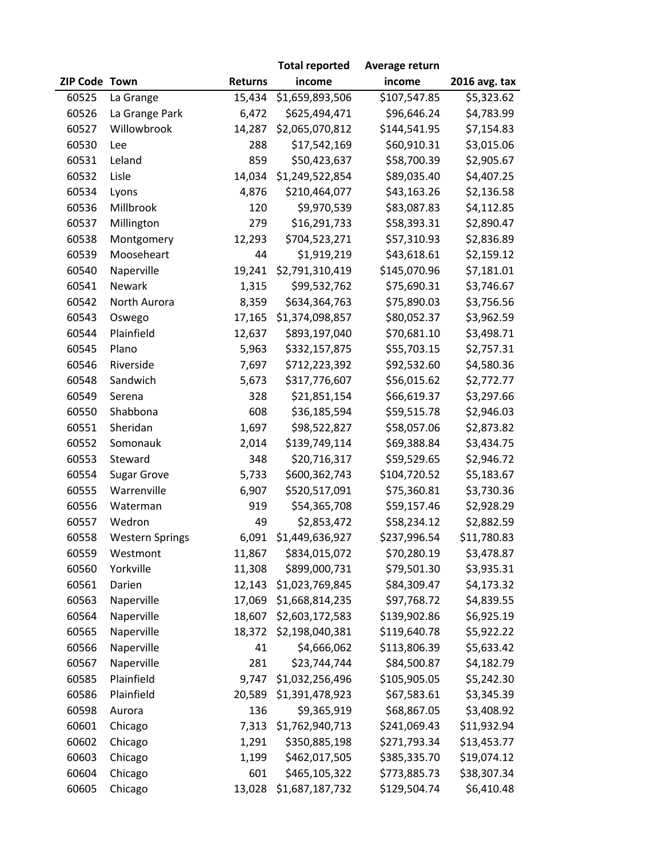|               |                        |                | <b>Total reported</b> | Average return |               |
|---------------|------------------------|----------------|-----------------------|----------------|---------------|
| ZIP Code Town |                        | <b>Returns</b> | income                | income         | 2016 avg. tax |
| 60525         | La Grange              | 15,434         | \$1,659,893,506       | \$107,547.85   | \$5,323.62    |
| 60526         | La Grange Park         | 6,472          | \$625,494,471         | \$96,646.24    | \$4,783.99    |
| 60527         | Willowbrook            | 14,287         | \$2,065,070,812       | \$144,541.95   | \$7,154.83    |
| 60530         | Lee                    | 288            | \$17,542,169          | \$60,910.31    | \$3,015.06    |
| 60531         | Leland                 | 859            | \$50,423,637          | \$58,700.39    | \$2,905.67    |
| 60532         | Lisle                  | 14,034         | \$1,249,522,854       | \$89,035.40    | \$4,407.25    |
| 60534         | Lyons                  | 4,876          | \$210,464,077         | \$43,163.26    | \$2,136.58    |
| 60536         | Millbrook              | 120            | \$9,970,539           | \$83,087.83    | \$4,112.85    |
| 60537         | Millington             | 279            | \$16,291,733          | \$58,393.31    | \$2,890.47    |
| 60538         | Montgomery             | 12,293         | \$704,523,271         | \$57,310.93    | \$2,836.89    |
| 60539         | Mooseheart             | 44             | \$1,919,219           | \$43,618.61    | \$2,159.12    |
| 60540         | Naperville             | 19,241         | \$2,791,310,419       | \$145,070.96   | \$7,181.01    |
| 60541         | Newark                 | 1,315          | \$99,532,762          | \$75,690.31    | \$3,746.67    |
| 60542         | North Aurora           | 8,359          | \$634,364,763         | \$75,890.03    | \$3,756.56    |
| 60543         | Oswego                 | 17,165         | \$1,374,098,857       | \$80,052.37    | \$3,962.59    |
| 60544         | Plainfield             | 12,637         | \$893,197,040         | \$70,681.10    | \$3,498.71    |
| 60545         | Plano                  | 5,963          | \$332,157,875         | \$55,703.15    | \$2,757.31    |
| 60546         | Riverside              | 7,697          | \$712,223,392         | \$92,532.60    | \$4,580.36    |
| 60548         | Sandwich               | 5,673          | \$317,776,607         | \$56,015.62    | \$2,772.77    |
| 60549         | Serena                 | 328            | \$21,851,154          | \$66,619.37    | \$3,297.66    |
| 60550         | Shabbona               | 608            | \$36,185,594          | \$59,515.78    | \$2,946.03    |
| 60551         | Sheridan               | 1,697          | \$98,522,827          | \$58,057.06    | \$2,873.82    |
| 60552         | Somonauk               | 2,014          | \$139,749,114         | \$69,388.84    | \$3,434.75    |
| 60553         | Steward                | 348            | \$20,716,317          | \$59,529.65    | \$2,946.72    |
| 60554         | <b>Sugar Grove</b>     | 5,733          | \$600,362,743         | \$104,720.52   | \$5,183.67    |
| 60555         | Warrenville            | 6,907          | \$520,517,091         | \$75,360.81    | \$3,730.36    |
| 60556         | Waterman               | 919            | \$54,365,708          | \$59,157.46    | \$2,928.29    |
| 60557         | Wedron                 | 49             | \$2,853,472           | \$58,234.12    | \$2,882.59    |
| 60558         | <b>Western Springs</b> | 6,091          | \$1,449,636,927       | \$237,996.54   | \$11,780.83   |
| 60559         | Westmont               | 11,867         | \$834,015,072         | \$70,280.19    | \$3,478.87    |
| 60560         | Yorkville              | 11,308         | \$899,000,731         | \$79,501.30    | \$3,935.31    |
| 60561         | Darien                 | 12,143         | \$1,023,769,845       | \$84,309.47    | \$4,173.32    |
| 60563         | Naperville             | 17,069         | \$1,668,814,235       | \$97,768.72    | \$4,839.55    |
| 60564         | Naperville             | 18,607         | \$2,603,172,583       | \$139,902.86   | \$6,925.19    |
| 60565         | Naperville             | 18,372         | \$2,198,040,381       | \$119,640.78   | \$5,922.22    |
| 60566         | Naperville             | 41             | \$4,666,062           | \$113,806.39   | \$5,633.42    |
| 60567         | Naperville             | 281            | \$23,744,744          | \$84,500.87    | \$4,182.79    |
| 60585         | Plainfield             | 9,747          | \$1,032,256,496       | \$105,905.05   | \$5,242.30    |
| 60586         | Plainfield             | 20,589         | \$1,391,478,923       | \$67,583.61    | \$3,345.39    |
| 60598         | Aurora                 | 136            | \$9,365,919           | \$68,867.05    | \$3,408.92    |
| 60601         | Chicago                | 7,313          | \$1,762,940,713       | \$241,069.43   | \$11,932.94   |
| 60602         | Chicago                | 1,291          | \$350,885,198         | \$271,793.34   | \$13,453.77   |
| 60603         | Chicago                | 1,199          | \$462,017,505         | \$385,335.70   | \$19,074.12   |
| 60604         | Chicago                | 601            | \$465,105,322         | \$773,885.73   | \$38,307.34   |
| 60605         | Chicago                | 13,028         | \$1,687,187,732       | \$129,504.74   | \$6,410.48    |
|               |                        |                |                       |                |               |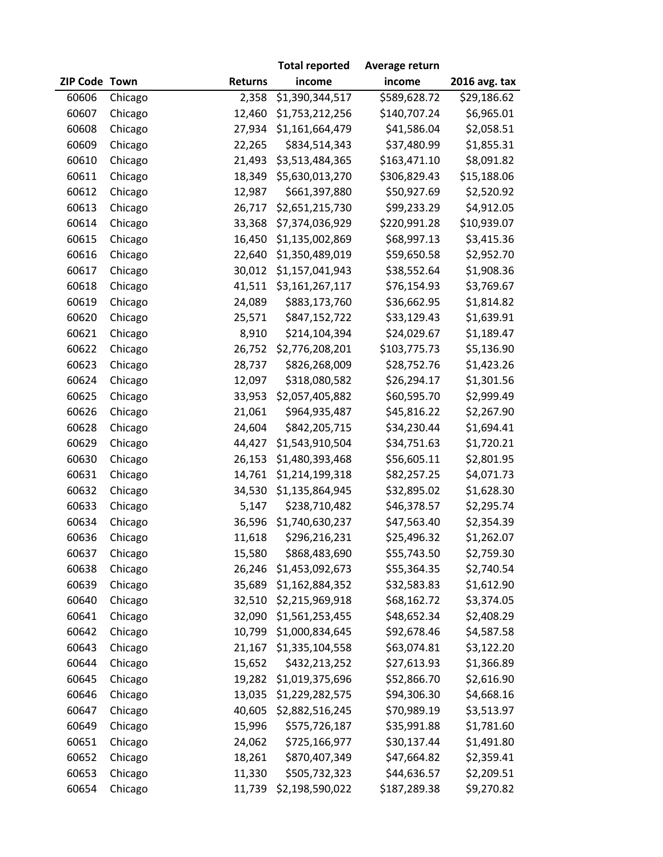|               |         |                | <b>Total reported</b> | Average return |               |
|---------------|---------|----------------|-----------------------|----------------|---------------|
| ZIP Code Town |         | <b>Returns</b> | income                | income         | 2016 avg. tax |
| 60606         | Chicago | 2,358          | \$1,390,344,517       | \$589,628.72   | \$29,186.62   |
| 60607         | Chicago | 12,460         | \$1,753,212,256       | \$140,707.24   | \$6,965.01    |
| 60608         | Chicago | 27,934         | \$1,161,664,479       | \$41,586.04    | \$2,058.51    |
| 60609         | Chicago | 22,265         | \$834,514,343         | \$37,480.99    | \$1,855.31    |
| 60610         | Chicago | 21,493         | \$3,513,484,365       | \$163,471.10   | \$8,091.82    |
| 60611         | Chicago | 18,349         | \$5,630,013,270       | \$306,829.43   | \$15,188.06   |
| 60612         | Chicago | 12,987         | \$661,397,880         | \$50,927.69    | \$2,520.92    |
| 60613         | Chicago | 26,717         | \$2,651,215,730       | \$99,233.29    | \$4,912.05    |
| 60614         | Chicago | 33,368         | \$7,374,036,929       | \$220,991.28   | \$10,939.07   |
| 60615         | Chicago | 16,450         | \$1,135,002,869       | \$68,997.13    | \$3,415.36    |
| 60616         | Chicago | 22,640         | \$1,350,489,019       | \$59,650.58    | \$2,952.70    |
| 60617         | Chicago | 30,012         | \$1,157,041,943       | \$38,552.64    | \$1,908.36    |
| 60618         | Chicago | 41,511         | \$3,161,267,117       | \$76,154.93    | \$3,769.67    |
| 60619         | Chicago | 24,089         | \$883,173,760         | \$36,662.95    | \$1,814.82    |
| 60620         | Chicago | 25,571         | \$847,152,722         | \$33,129.43    | \$1,639.91    |
| 60621         | Chicago | 8,910          | \$214,104,394         | \$24,029.67    | \$1,189.47    |
| 60622         | Chicago | 26,752         | \$2,776,208,201       | \$103,775.73   | \$5,136.90    |
| 60623         | Chicago | 28,737         | \$826,268,009         | \$28,752.76    | \$1,423.26    |
| 60624         | Chicago | 12,097         | \$318,080,582         | \$26,294.17    | \$1,301.56    |
| 60625         | Chicago | 33,953         | \$2,057,405,882       | \$60,595.70    | \$2,999.49    |
| 60626         | Chicago | 21,061         | \$964,935,487         | \$45,816.22    | \$2,267.90    |
| 60628         | Chicago | 24,604         | \$842,205,715         | \$34,230.44    | \$1,694.41    |
| 60629         | Chicago | 44,427         | \$1,543,910,504       | \$34,751.63    | \$1,720.21    |
| 60630         | Chicago | 26,153         | \$1,480,393,468       | \$56,605.11    | \$2,801.95    |
| 60631         | Chicago | 14,761         | \$1,214,199,318       | \$82,257.25    | \$4,071.73    |
| 60632         | Chicago | 34,530         | \$1,135,864,945       | \$32,895.02    | \$1,628.30    |
| 60633         | Chicago | 5,147          | \$238,710,482         | \$46,378.57    | \$2,295.74    |
| 60634         | Chicago | 36,596         | \$1,740,630,237       | \$47,563.40    | \$2,354.39    |
| 60636         | Chicago | 11,618         | \$296,216,231         | \$25,496.32    | \$1,262.07    |
| 60637         | Chicago | 15,580         | \$868,483,690         | \$55,743.50    | \$2,759.30    |
| 60638         | Chicago | 26,246         | \$1,453,092,673       | \$55,364.35    | \$2,740.54    |
| 60639         | Chicago | 35,689         | \$1,162,884,352       | \$32,583.83    | \$1,612.90    |
| 60640         | Chicago | 32,510         | \$2,215,969,918       | \$68,162.72    | \$3,374.05    |
| 60641         | Chicago | 32,090         | \$1,561,253,455       | \$48,652.34    | \$2,408.29    |
| 60642         | Chicago | 10,799         | \$1,000,834,645       | \$92,678.46    | \$4,587.58    |
| 60643         | Chicago | 21,167         | \$1,335,104,558       | \$63,074.81    | \$3,122.20    |
| 60644         | Chicago | 15,652         | \$432,213,252         | \$27,613.93    | \$1,366.89    |
| 60645         | Chicago | 19,282         | \$1,019,375,696       | \$52,866.70    | \$2,616.90    |
| 60646         | Chicago | 13,035         | \$1,229,282,575       | \$94,306.30    | \$4,668.16    |
| 60647         | Chicago | 40,605         | \$2,882,516,245       | \$70,989.19    | \$3,513.97    |
| 60649         | Chicago | 15,996         | \$575,726,187         | \$35,991.88    | \$1,781.60    |
| 60651         | Chicago | 24,062         | \$725,166,977         | \$30,137.44    | \$1,491.80    |
| 60652         | Chicago | 18,261         | \$870,407,349         | \$47,664.82    | \$2,359.41    |
| 60653         | Chicago | 11,330         | \$505,732,323         | \$44,636.57    | \$2,209.51    |
| 60654         | Chicago | 11,739         | \$2,198,590,022       | \$187,289.38   | \$9,270.82    |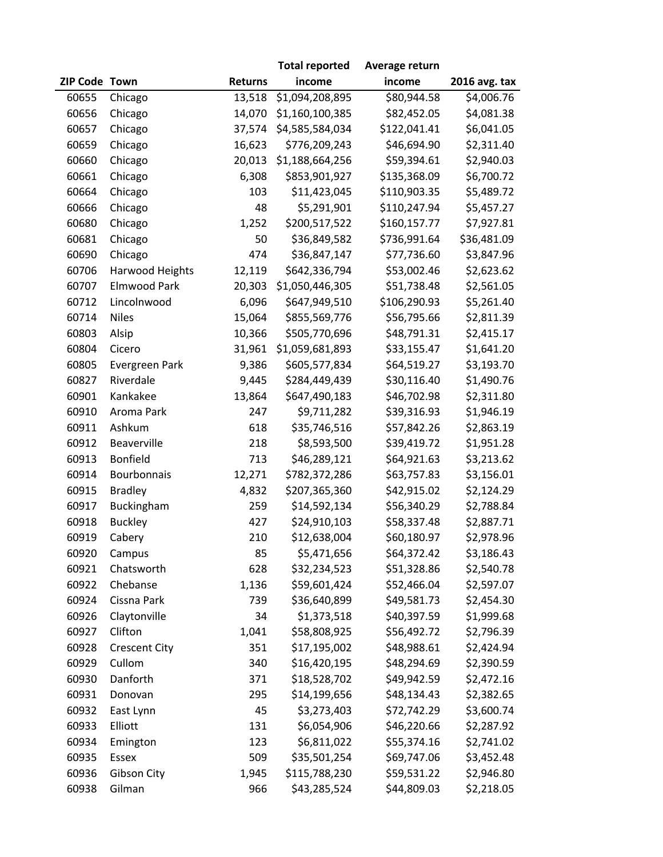|               |                      |                | <b>Total reported</b> | Average return |                        |
|---------------|----------------------|----------------|-----------------------|----------------|------------------------|
| ZIP Code Town |                      | <b>Returns</b> | income                | income         | 2016 avg. tax          |
| 60655         | Chicago              | 13,518         | \$1,094,208,895       | \$80,944.58    | $\overline{54,006.76}$ |
| 60656         | Chicago              | 14,070         | \$1,160,100,385       | \$82,452.05    | \$4,081.38             |
| 60657         | Chicago              | 37,574         | \$4,585,584,034       | \$122,041.41   | \$6,041.05             |
| 60659         | Chicago              | 16,623         | \$776,209,243         | \$46,694.90    | \$2,311.40             |
| 60660         | Chicago              | 20,013         | \$1,188,664,256       | \$59,394.61    | \$2,940.03             |
| 60661         | Chicago              | 6,308          | \$853,901,927         | \$135,368.09   | \$6,700.72             |
| 60664         | Chicago              | 103            | \$11,423,045          | \$110,903.35   | \$5,489.72             |
| 60666         | Chicago              | 48             | \$5,291,901           | \$110,247.94   | \$5,457.27             |
| 60680         | Chicago              | 1,252          | \$200,517,522         | \$160,157.77   | \$7,927.81             |
| 60681         | Chicago              | 50             | \$36,849,582          | \$736,991.64   | \$36,481.09            |
| 60690         | Chicago              | 474            | \$36,847,147          | \$77,736.60    | \$3,847.96             |
| 60706         | Harwood Heights      | 12,119         | \$642,336,794         | \$53,002.46    | \$2,623.62             |
| 60707         | Elmwood Park         | 20,303         | \$1,050,446,305       | \$51,738.48    | \$2,561.05             |
| 60712         | Lincolnwood          | 6,096          | \$647,949,510         | \$106,290.93   | \$5,261.40             |
| 60714         | <b>Niles</b>         | 15,064         | \$855,569,776         | \$56,795.66    | \$2,811.39             |
| 60803         | Alsip                | 10,366         | \$505,770,696         | \$48,791.31    | \$2,415.17             |
| 60804         | Cicero               | 31,961         | \$1,059,681,893       | \$33,155.47    | \$1,641.20             |
| 60805         | Evergreen Park       | 9,386          | \$605,577,834         | \$64,519.27    | \$3,193.70             |
| 60827         | Riverdale            | 9,445          | \$284,449,439         | \$30,116.40    | \$1,490.76             |
| 60901         | Kankakee             | 13,864         | \$647,490,183         | \$46,702.98    | \$2,311.80             |
| 60910         | Aroma Park           | 247            | \$9,711,282           | \$39,316.93    | \$1,946.19             |
| 60911         | Ashkum               | 618            | \$35,746,516          | \$57,842.26    | \$2,863.19             |
| 60912         | Beaverville          | 218            | \$8,593,500           | \$39,419.72    | \$1,951.28             |
| 60913         | Bonfield             | 713            | \$46,289,121          | \$64,921.63    | \$3,213.62             |
| 60914         | Bourbonnais          | 12,271         | \$782,372,286         | \$63,757.83    | \$3,156.01             |
| 60915         | <b>Bradley</b>       | 4,832          | \$207,365,360         | \$42,915.02    | \$2,124.29             |
| 60917         | Buckingham           | 259            | \$14,592,134          | \$56,340.29    | \$2,788.84             |
| 60918         | <b>Buckley</b>       | 427            | \$24,910,103          | \$58,337.48    | \$2,887.71             |
| 60919         | Cabery               | 210            | \$12,638,004          | \$60,180.97    | \$2,978.96             |
| 60920         | Campus               | 85             | \$5,471,656           | \$64,372.42    | \$3,186.43             |
| 60921         | Chatsworth           | 628            | \$32,234,523          | \$51,328.86    | \$2,540.78             |
| 60922         | Chebanse             | 1,136          | \$59,601,424          | \$52,466.04    | \$2,597.07             |
| 60924         | Cissna Park          | 739            | \$36,640,899          | \$49,581.73    | \$2,454.30             |
| 60926         | Claytonville         | 34             | \$1,373,518           | \$40,397.59    | \$1,999.68             |
| 60927         | Clifton              | 1,041          | \$58,808,925          | \$56,492.72    | \$2,796.39             |
| 60928         | <b>Crescent City</b> | 351            | \$17,195,002          | \$48,988.61    | \$2,424.94             |
| 60929         | Cullom               | 340            | \$16,420,195          | \$48,294.69    | \$2,390.59             |
| 60930         | Danforth             | 371            | \$18,528,702          | \$49,942.59    | \$2,472.16             |
| 60931         | Donovan              | 295            | \$14,199,656          | \$48,134.43    | \$2,382.65             |
| 60932         | East Lynn            | 45             | \$3,273,403           | \$72,742.29    | \$3,600.74             |
| 60933         | Elliott              | 131            | \$6,054,906           | \$46,220.66    | \$2,287.92             |
| 60934         | Emington             | 123            | \$6,811,022           | \$55,374.16    | \$2,741.02             |
| 60935         | Essex                | 509            | \$35,501,254          | \$69,747.06    | \$3,452.48             |
| 60936         | Gibson City          | 1,945          | \$115,788,230         | \$59,531.22    | \$2,946.80             |
| 60938         | Gilman               | 966            | \$43,285,524          | \$44,809.03    | \$2,218.05             |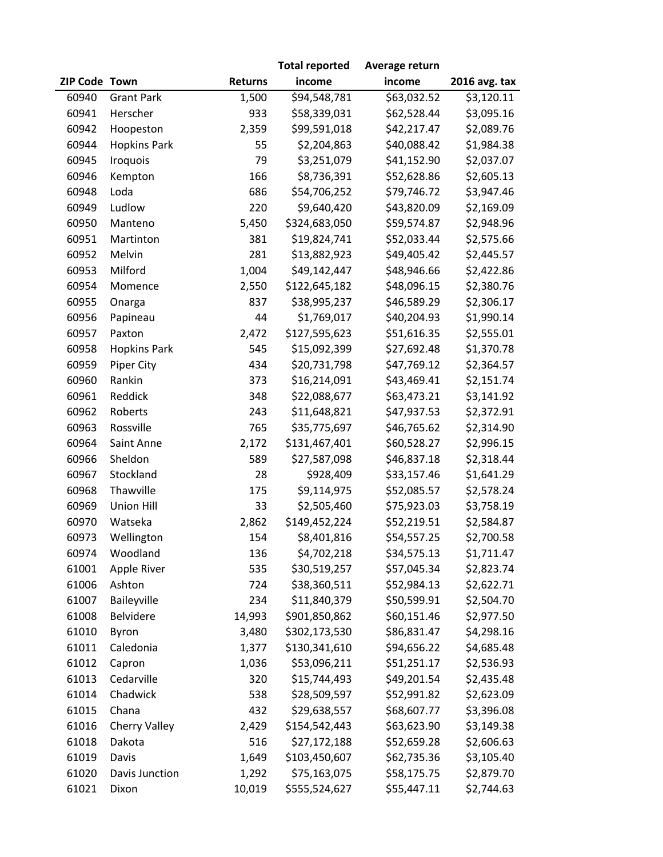|               |                     |                | <b>Total reported</b> | Average return |               |
|---------------|---------------------|----------------|-----------------------|----------------|---------------|
| ZIP Code Town |                     | <b>Returns</b> | income                | income         | 2016 avg. tax |
| 60940         | <b>Grant Park</b>   | 1,500          | \$94,548,781          | \$63,032.52    | \$3,120.11    |
| 60941         | Herscher            | 933            | \$58,339,031          | \$62,528.44    | \$3,095.16    |
| 60942         | Hoopeston           | 2,359          | \$99,591,018          | \$42,217.47    | \$2,089.76    |
| 60944         | <b>Hopkins Park</b> | 55             | \$2,204,863           | \$40,088.42    | \$1,984.38    |
| 60945         | Iroquois            | 79             | \$3,251,079           | \$41,152.90    | \$2,037.07    |
| 60946         | Kempton             | 166            | \$8,736,391           | \$52,628.86    | \$2,605.13    |
| 60948         | Loda                | 686            | \$54,706,252          | \$79,746.72    | \$3,947.46    |
| 60949         | Ludlow              | 220            | \$9,640,420           | \$43,820.09    | \$2,169.09    |
| 60950         | Manteno             | 5,450          | \$324,683,050         | \$59,574.87    | \$2,948.96    |
| 60951         | Martinton           | 381            | \$19,824,741          | \$52,033.44    | \$2,575.66    |
| 60952         | Melvin              | 281            | \$13,882,923          | \$49,405.42    | \$2,445.57    |
| 60953         | Milford             | 1,004          | \$49,142,447          | \$48,946.66    | \$2,422.86    |
| 60954         | Momence             | 2,550          | \$122,645,182         | \$48,096.15    | \$2,380.76    |
| 60955         | Onarga              | 837            | \$38,995,237          | \$46,589.29    | \$2,306.17    |
| 60956         | Papineau            | 44             | \$1,769,017           | \$40,204.93    | \$1,990.14    |
| 60957         | Paxton              | 2,472          | \$127,595,623         | \$51,616.35    | \$2,555.01    |
| 60958         | <b>Hopkins Park</b> | 545            | \$15,092,399          | \$27,692.48    | \$1,370.78    |
| 60959         | Piper City          | 434            | \$20,731,798          | \$47,769.12    | \$2,364.57    |
| 60960         | Rankin              | 373            | \$16,214,091          | \$43,469.41    | \$2,151.74    |
| 60961         | Reddick             | 348            | \$22,088,677          | \$63,473.21    | \$3,141.92    |
| 60962         | Roberts             | 243            | \$11,648,821          | \$47,937.53    | \$2,372.91    |
| 60963         | Rossville           | 765            | \$35,775,697          | \$46,765.62    | \$2,314.90    |
| 60964         | Saint Anne          | 2,172          | \$131,467,401         | \$60,528.27    | \$2,996.15    |
| 60966         | Sheldon             | 589            | \$27,587,098          | \$46,837.18    | \$2,318.44    |
| 60967         | Stockland           | 28             | \$928,409             | \$33,157.46    | \$1,641.29    |
| 60968         | Thawville           | 175            | \$9,114,975           | \$52,085.57    | \$2,578.24    |
| 60969         | <b>Union Hill</b>   | 33             | \$2,505,460           | \$75,923.03    | \$3,758.19    |
| 60970         | Watseka             | 2,862          | \$149,452,224         | \$52,219.51    | \$2,584.87    |
| 60973         | Wellington          | 154            | \$8,401,816           | \$54,557.25    | \$2,700.58    |
| 60974         | Woodland            | 136            | \$4,702,218           | \$34,575.13    | \$1,711.47    |
| 61001         | Apple River         | 535            | \$30,519,257          | \$57,045.34    | \$2,823.74    |
| 61006         | Ashton              | 724            | \$38,360,511          | \$52,984.13    | \$2,622.71    |
| 61007         | Baileyville         | 234            | \$11,840,379          | \$50,599.91    | \$2,504.70    |
| 61008         | Belvidere           | 14,993         | \$901,850,862         | \$60,151.46    | \$2,977.50    |
| 61010         | Byron               | 3,480          | \$302,173,530         | \$86,831.47    | \$4,298.16    |
| 61011         | Caledonia           | 1,377          | \$130,341,610         | \$94,656.22    | \$4,685.48    |
| 61012         | Capron              | 1,036          | \$53,096,211          | \$51,251.17    | \$2,536.93    |
| 61013         | Cedarville          | 320            | \$15,744,493          | \$49,201.54    | \$2,435.48    |
| 61014         | Chadwick            | 538            | \$28,509,597          | \$52,991.82    | \$2,623.09    |
| 61015         | Chana               | 432            | \$29,638,557          | \$68,607.77    | \$3,396.08    |
| 61016         | Cherry Valley       | 2,429          | \$154,542,443         | \$63,623.90    | \$3,149.38    |
| 61018         | Dakota              | 516            | \$27,172,188          | \$52,659.28    | \$2,606.63    |
| 61019         | Davis               | 1,649          | \$103,450,607         | \$62,735.36    | \$3,105.40    |
| 61020         | Davis Junction      | 1,292          | \$75,163,075          | \$58,175.75    | \$2,879.70    |
| 61021         | Dixon               | 10,019         | \$555,524,627         | \$55,447.11    | \$2,744.63    |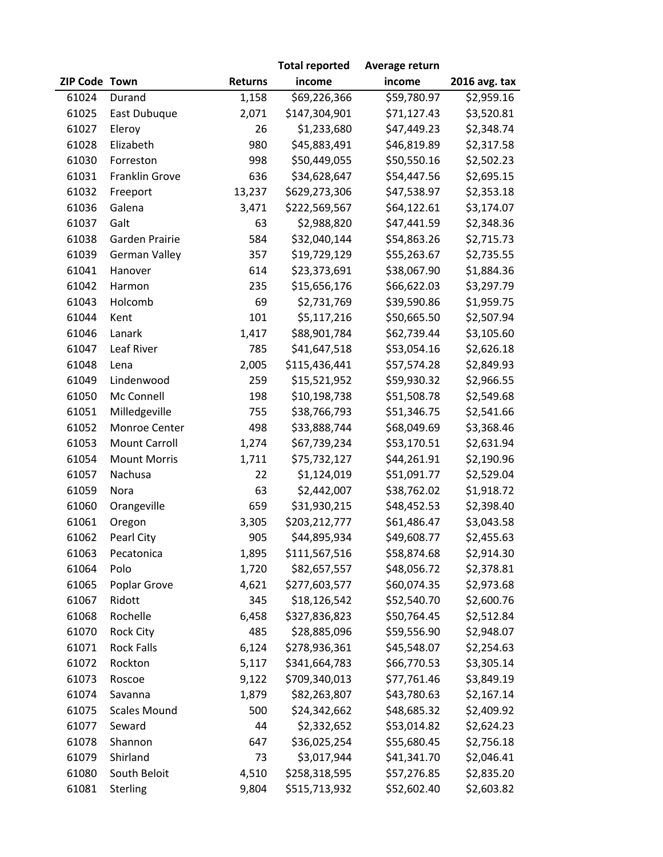|               |                      |                | <b>Total reported</b> | Average return |               |
|---------------|----------------------|----------------|-----------------------|----------------|---------------|
| ZIP Code Town |                      | <b>Returns</b> | income                | income         | 2016 avg. tax |
| 61024         | Durand               | 1,158          | \$69,226,366          | \$59,780.97    | \$2,959.16    |
| 61025         | East Dubuque         | 2,071          | \$147,304,901         | \$71,127.43    | \$3,520.81    |
| 61027         | Eleroy               | 26             | \$1,233,680           | \$47,449.23    | \$2,348.74    |
| 61028         | Elizabeth            | 980            | \$45,883,491          | \$46,819.89    | \$2,317.58    |
| 61030         | Forreston            | 998            | \$50,449,055          | \$50,550.16    | \$2,502.23    |
| 61031         | Franklin Grove       | 636            | \$34,628,647          | \$54,447.56    | \$2,695.15    |
| 61032         | Freeport             | 13,237         | \$629,273,306         | \$47,538.97    | \$2,353.18    |
| 61036         | Galena               | 3,471          | \$222,569,567         | \$64,122.61    | \$3,174.07    |
| 61037         | Galt                 | 63             | \$2,988,820           | \$47,441.59    | \$2,348.36    |
| 61038         | Garden Prairie       | 584            | \$32,040,144          | \$54,863.26    | \$2,715.73    |
| 61039         | <b>German Valley</b> | 357            | \$19,729,129          | \$55,263.67    | \$2,735.55    |
| 61041         | Hanover              | 614            | \$23,373,691          | \$38,067.90    | \$1,884.36    |
| 61042         | Harmon               | 235            | \$15,656,176          | \$66,622.03    | \$3,297.79    |
| 61043         | Holcomb              | 69             | \$2,731,769           | \$39,590.86    | \$1,959.75    |
| 61044         | Kent                 | 101            | \$5,117,216           | \$50,665.50    | \$2,507.94    |
| 61046         | Lanark               | 1,417          | \$88,901,784          | \$62,739.44    | \$3,105.60    |
| 61047         | Leaf River           | 785            | \$41,647,518          | \$53,054.16    | \$2,626.18    |
| 61048         | Lena                 | 2,005          | \$115,436,441         | \$57,574.28    | \$2,849.93    |
| 61049         | Lindenwood           | 259            | \$15,521,952          | \$59,930.32    | \$2,966.55    |
| 61050         | Mc Connell           | 198            | \$10,198,738          | \$51,508.78    | \$2,549.68    |
| 61051         | Milledgeville        | 755            | \$38,766,793          | \$51,346.75    | \$2,541.66    |
| 61052         | Monroe Center        | 498            | \$33,888,744          | \$68,049.69    | \$3,368.46    |
| 61053         | <b>Mount Carroll</b> | 1,274          | \$67,739,234          | \$53,170.51    | \$2,631.94    |
| 61054         | <b>Mount Morris</b>  | 1,711          | \$75,732,127          | \$44,261.91    | \$2,190.96    |
| 61057         | Nachusa              | 22             | \$1,124,019           | \$51,091.77    | \$2,529.04    |
| 61059         | Nora                 | 63             | \$2,442,007           | \$38,762.02    | \$1,918.72    |
| 61060         | Orangeville          | 659            | \$31,930,215          | \$48,452.53    | \$2,398.40    |
| 61061         | Oregon               | 3,305          | \$203,212,777         | \$61,486.47    | \$3,043.58    |
| 61062         | Pearl City           | 905            | \$44,895,934          | \$49,608.77    | \$2,455.63    |
| 61063         | Pecatonica           | 1,895          | \$111,567,516         | \$58,874.68    | \$2,914.30    |
| 61064         | Polo                 | 1,720          | \$82,657,557          | \$48,056.72    | \$2,378.81    |
| 61065         | Poplar Grove         | 4,621          | \$277,603,577         | \$60,074.35    | \$2,973.68    |
| 61067         | Ridott               | 345            | \$18,126,542          | \$52,540.70    | \$2,600.76    |
| 61068         | Rochelle             | 6,458          | \$327,836,823         | \$50,764.45    | \$2,512.84    |
| 61070         | <b>Rock City</b>     | 485            | \$28,885,096          | \$59,556.90    | \$2,948.07    |
| 61071         | <b>Rock Falls</b>    | 6,124          | \$278,936,361         | \$45,548.07    | \$2,254.63    |
| 61072         | Rockton              | 5,117          | \$341,664,783         | \$66,770.53    | \$3,305.14    |
| 61073         | Roscoe               | 9,122          | \$709,340,013         | \$77,761.46    | \$3,849.19    |
| 61074         | Savanna              | 1,879          | \$82,263,807          | \$43,780.63    | \$2,167.14    |
| 61075         | <b>Scales Mound</b>  | 500            | \$24,342,662          | \$48,685.32    | \$2,409.92    |
| 61077         | Seward               | 44             | \$2,332,652           | \$53,014.82    | \$2,624.23    |
| 61078         | Shannon              | 647            | \$36,025,254          | \$55,680.45    | \$2,756.18    |
| 61079         | Shirland             | 73             | \$3,017,944           | \$41,341.70    | \$2,046.41    |
| 61080         | South Beloit         | 4,510          | \$258,318,595         | \$57,276.85    | \$2,835.20    |
| 61081         | <b>Sterling</b>      | 9,804          | \$515,713,932         | \$52,602.40    | \$2,603.82    |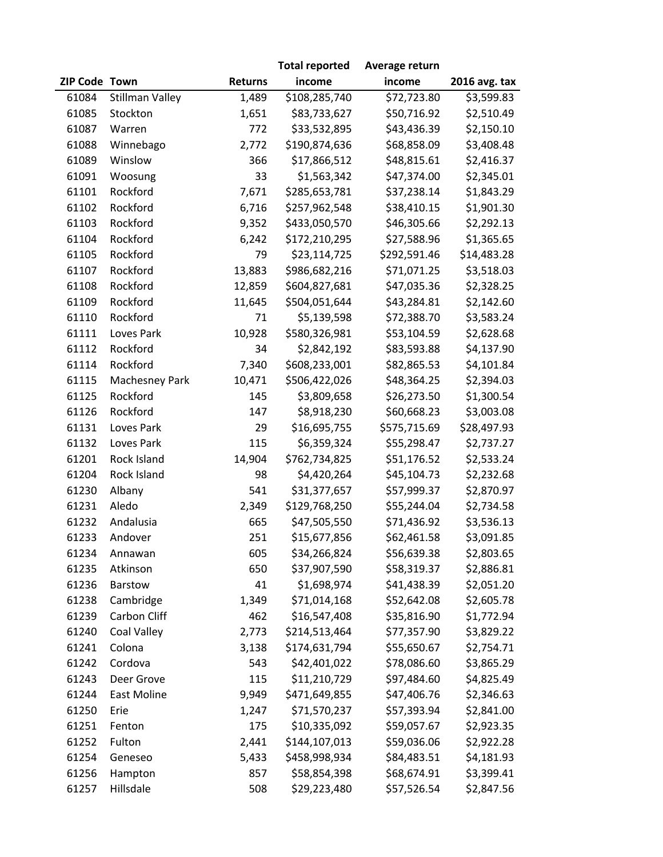|               |                    |                | <b>Total reported</b> | Average return |               |
|---------------|--------------------|----------------|-----------------------|----------------|---------------|
| ZIP Code Town |                    | <b>Returns</b> | income                | income         | 2016 avg. tax |
| 61084         | Stillman Valley    | 1,489          | \$108,285,740         | \$72,723.80    | \$3,599.83    |
| 61085         | Stockton           | 1,651          | \$83,733,627          | \$50,716.92    | \$2,510.49    |
| 61087         | Warren             | 772            | \$33,532,895          | \$43,436.39    | \$2,150.10    |
| 61088         | Winnebago          | 2,772          | \$190,874,636         | \$68,858.09    | \$3,408.48    |
| 61089         | Winslow            | 366            | \$17,866,512          | \$48,815.61    | \$2,416.37    |
| 61091         | Woosung            | 33             | \$1,563,342           | \$47,374.00    | \$2,345.01    |
| 61101         | Rockford           | 7,671          | \$285,653,781         | \$37,238.14    | \$1,843.29    |
| 61102         | Rockford           | 6,716          | \$257,962,548         | \$38,410.15    | \$1,901.30    |
| 61103         | Rockford           | 9,352          | \$433,050,570         | \$46,305.66    | \$2,292.13    |
| 61104         | Rockford           | 6,242          | \$172,210,295         | \$27,588.96    | \$1,365.65    |
| 61105         | Rockford           | 79             | \$23,114,725          | \$292,591.46   | \$14,483.28   |
| 61107         | Rockford           | 13,883         | \$986,682,216         | \$71,071.25    | \$3,518.03    |
| 61108         | Rockford           | 12,859         | \$604,827,681         | \$47,035.36    | \$2,328.25    |
| 61109         | Rockford           | 11,645         | \$504,051,644         | \$43,284.81    | \$2,142.60    |
| 61110         | Rockford           | 71             | \$5,139,598           | \$72,388.70    | \$3,583.24    |
| 61111         | Loves Park         | 10,928         | \$580,326,981         | \$53,104.59    | \$2,628.68    |
| 61112         | Rockford           | 34             | \$2,842,192           | \$83,593.88    | \$4,137.90    |
| 61114         | Rockford           | 7,340          | \$608,233,001         | \$82,865.53    | \$4,101.84    |
| 61115         | Machesney Park     | 10,471         | \$506,422,026         | \$48,364.25    | \$2,394.03    |
| 61125         | Rockford           | 145            | \$3,809,658           | \$26,273.50    | \$1,300.54    |
| 61126         | Rockford           | 147            | \$8,918,230           | \$60,668.23    | \$3,003.08    |
| 61131         | Loves Park         | 29             | \$16,695,755          | \$575,715.69   | \$28,497.93   |
| 61132         | Loves Park         | 115            | \$6,359,324           | \$55,298.47    | \$2,737.27    |
| 61201         | Rock Island        | 14,904         | \$762,734,825         | \$51,176.52    | \$2,533.24    |
| 61204         | Rock Island        | 98             | \$4,420,264           | \$45,104.73    | \$2,232.68    |
| 61230         | Albany             | 541            | \$31,377,657          | \$57,999.37    | \$2,870.97    |
| 61231         | Aledo              | 2,349          | \$129,768,250         | \$55,244.04    | \$2,734.58    |
| 61232         | Andalusia          | 665            | \$47,505,550          | \$71,436.92    | \$3,536.13    |
| 61233         | Andover            | 251            | \$15,677,856          | \$62,461.58    | \$3,091.85    |
| 61234         | Annawan            | 605            | \$34,266,824          | \$56,639.38    | \$2,803.65    |
| 61235         | Atkinson           | 650            | \$37,907,590          | \$58,319.37    | \$2,886.81    |
| 61236         | Barstow            | 41             | \$1,698,974           | \$41,438.39    | \$2,051.20    |
| 61238         | Cambridge          | 1,349          | \$71,014,168          | \$52,642.08    | \$2,605.78    |
| 61239         | Carbon Cliff       | 462            | \$16,547,408          | \$35,816.90    | \$1,772.94    |
| 61240         | Coal Valley        | 2,773          | \$214,513,464         | \$77,357.90    | \$3,829.22    |
| 61241         | Colona             | 3,138          | \$174,631,794         | \$55,650.67    | \$2,754.71    |
| 61242         | Cordova            | 543            | \$42,401,022          | \$78,086.60    | \$3,865.29    |
| 61243         | Deer Grove         | 115            | \$11,210,729          | \$97,484.60    | \$4,825.49    |
| 61244         | <b>East Moline</b> | 9,949          | \$471,649,855         | \$47,406.76    | \$2,346.63    |
| 61250         | Erie               | 1,247          | \$71,570,237          | \$57,393.94    | \$2,841.00    |
| 61251         | Fenton             | 175            | \$10,335,092          | \$59,057.67    | \$2,923.35    |
| 61252         | Fulton             | 2,441          | \$144,107,013         | \$59,036.06    | \$2,922.28    |
| 61254         | Geneseo            | 5,433          | \$458,998,934         | \$84,483.51    | \$4,181.93    |
| 61256         | Hampton            | 857            | \$58,854,398          | \$68,674.91    | \$3,399.41    |
| 61257         | Hillsdale          | 508            | \$29,223,480          | \$57,526.54    | \$2,847.56    |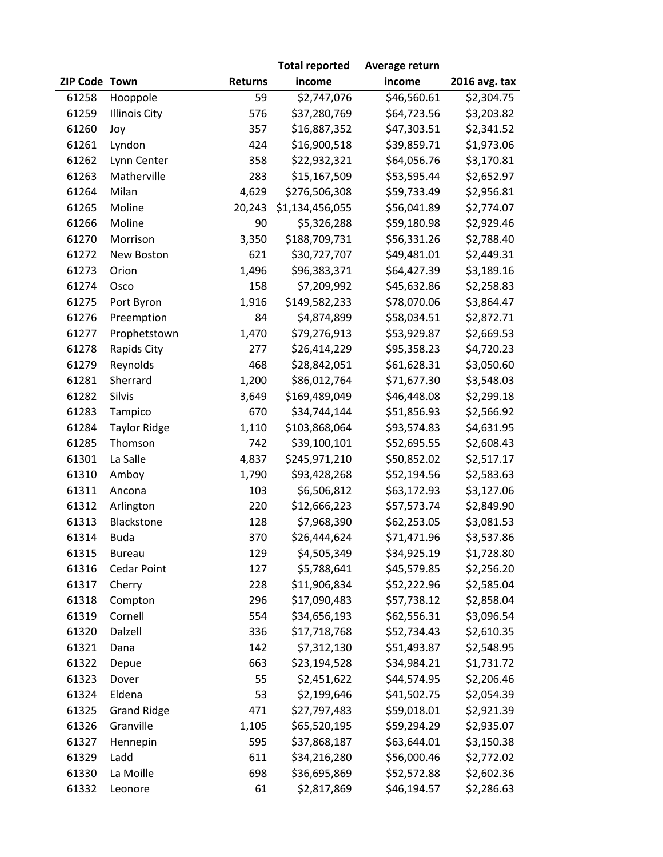|               |                      |                | <b>Total reported</b> | Average return |               |
|---------------|----------------------|----------------|-----------------------|----------------|---------------|
| ZIP Code Town |                      | <b>Returns</b> | income                | income         | 2016 avg. tax |
| 61258         | Hooppole             | 59             | \$2,747,076           | \$46,560.61    | \$2,304.75    |
| 61259         | <b>Illinois City</b> | 576            | \$37,280,769          | \$64,723.56    | \$3,203.82    |
| 61260         | Joy                  | 357            | \$16,887,352          | \$47,303.51    | \$2,341.52    |
| 61261         | Lyndon               | 424            | \$16,900,518          | \$39,859.71    | \$1,973.06    |
| 61262         | Lynn Center          | 358            | \$22,932,321          | \$64,056.76    | \$3,170.81    |
| 61263         | Matherville          | 283            | \$15,167,509          | \$53,595.44    | \$2,652.97    |
| 61264         | Milan                | 4,629          | \$276,506,308         | \$59,733.49    | \$2,956.81    |
| 61265         | Moline               | 20,243         | \$1,134,456,055       | \$56,041.89    | \$2,774.07    |
| 61266         | Moline               | 90             | \$5,326,288           | \$59,180.98    | \$2,929.46    |
| 61270         | Morrison             | 3,350          | \$188,709,731         | \$56,331.26    | \$2,788.40    |
| 61272         | New Boston           | 621            | \$30,727,707          | \$49,481.01    | \$2,449.31    |
| 61273         | Orion                | 1,496          | \$96,383,371          | \$64,427.39    | \$3,189.16    |
| 61274         | Osco                 | 158            | \$7,209,992           | \$45,632.86    | \$2,258.83    |
| 61275         | Port Byron           | 1,916          | \$149,582,233         | \$78,070.06    | \$3,864.47    |
| 61276         | Preemption           | 84             | \$4,874,899           | \$58,034.51    | \$2,872.71    |
| 61277         | Prophetstown         | 1,470          | \$79,276,913          | \$53,929.87    | \$2,669.53    |
| 61278         | Rapids City          | 277            | \$26,414,229          | \$95,358.23    | \$4,720.23    |
| 61279         | Reynolds             | 468            | \$28,842,051          | \$61,628.31    | \$3,050.60    |
| 61281         | Sherrard             | 1,200          | \$86,012,764          | \$71,677.30    | \$3,548.03    |
| 61282         | Silvis               | 3,649          | \$169,489,049         | \$46,448.08    | \$2,299.18    |
| 61283         | Tampico              | 670            | \$34,744,144          | \$51,856.93    | \$2,566.92    |
| 61284         | <b>Taylor Ridge</b>  | 1,110          | \$103,868,064         | \$93,574.83    | \$4,631.95    |
| 61285         | Thomson              | 742            | \$39,100,101          | \$52,695.55    | \$2,608.43    |
| 61301         | La Salle             | 4,837          | \$245,971,210         | \$50,852.02    | \$2,517.17    |
| 61310         | Amboy                | 1,790          | \$93,428,268          | \$52,194.56    | \$2,583.63    |
| 61311         | Ancona               | 103            | \$6,506,812           | \$63,172.93    | \$3,127.06    |
| 61312         | Arlington            | 220            | \$12,666,223          | \$57,573.74    | \$2,849.90    |
| 61313         | Blackstone           | 128            | \$7,968,390           | \$62,253.05    | \$3,081.53    |
| 61314         | <b>Buda</b>          | 370            | \$26,444,624          | \$71,471.96    | \$3,537.86    |
| 61315         | <b>Bureau</b>        | 129            | \$4,505,349           | \$34,925.19    | \$1,728.80    |
| 61316         | <b>Cedar Point</b>   | 127            | \$5,788,641           | \$45,579.85    | \$2,256.20    |
| 61317         | Cherry               | 228            | \$11,906,834          | \$52,222.96    | \$2,585.04    |
| 61318         | Compton              | 296            | \$17,090,483          | \$57,738.12    | \$2,858.04    |
| 61319         | Cornell              | 554            | \$34,656,193          | \$62,556.31    | \$3,096.54    |
| 61320         | Dalzell              | 336            | \$17,718,768          | \$52,734.43    | \$2,610.35    |
| 61321         | Dana                 | 142            | \$7,312,130           | \$51,493.87    | \$2,548.95    |
| 61322         | Depue                | 663            | \$23,194,528          | \$34,984.21    | \$1,731.72    |
| 61323         | Dover                | 55             | \$2,451,622           | \$44,574.95    | \$2,206.46    |
| 61324         | Eldena               | 53             | \$2,199,646           | \$41,502.75    | \$2,054.39    |
| 61325         | <b>Grand Ridge</b>   | 471            | \$27,797,483          | \$59,018.01    | \$2,921.39    |
| 61326         | Granville            | 1,105          | \$65,520,195          | \$59,294.29    | \$2,935.07    |
| 61327         | Hennepin             | 595            | \$37,868,187          | \$63,644.01    | \$3,150.38    |
| 61329         | Ladd                 | 611            | \$34,216,280          | \$56,000.46    | \$2,772.02    |
| 61330         | La Moille            | 698            | \$36,695,869          | \$52,572.88    | \$2,602.36    |
| 61332         | Leonore              | 61             | \$2,817,869           | \$46,194.57    | \$2,286.63    |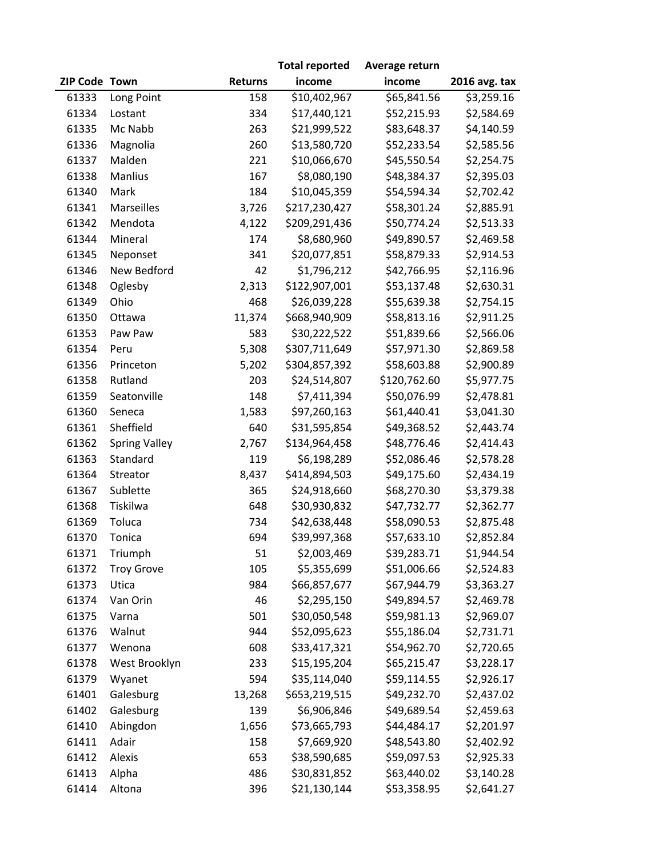|               |                      |                | <b>Total reported</b> | Average return |               |
|---------------|----------------------|----------------|-----------------------|----------------|---------------|
| ZIP Code Town |                      | <b>Returns</b> | income                | income         | 2016 avg. tax |
| 61333         | Long Point           | 158            | \$10,402,967          | 565,841.56     | \$3,259.16    |
| 61334         | Lostant              | 334            | \$17,440,121          | \$52,215.93    | \$2,584.69    |
| 61335         | Mc Nabb              | 263            | \$21,999,522          | \$83,648.37    | \$4,140.59    |
| 61336         | Magnolia             | 260            | \$13,580,720          | \$52,233.54    | \$2,585.56    |
| 61337         | Malden               | 221            | \$10,066,670          | \$45,550.54    | \$2,254.75    |
| 61338         | Manlius              | 167            | \$8,080,190           | \$48,384.37    | \$2,395.03    |
| 61340         | Mark                 | 184            | \$10,045,359          | \$54,594.34    | \$2,702.42    |
| 61341         | Marseilles           | 3,726          | \$217,230,427         | \$58,301.24    | \$2,885.91    |
| 61342         | Mendota              | 4,122          | \$209,291,436         | \$50,774.24    | \$2,513.33    |
| 61344         | Mineral              | 174            | \$8,680,960           | \$49,890.57    | \$2,469.58    |
| 61345         | Neponset             | 341            | \$20,077,851          | \$58,879.33    | \$2,914.53    |
| 61346         | New Bedford          | 42             | \$1,796,212           | \$42,766.95    | \$2,116.96    |
| 61348         | Oglesby              | 2,313          | \$122,907,001         | \$53,137.48    | \$2,630.31    |
| 61349         | Ohio                 | 468            | \$26,039,228          | \$55,639.38    | \$2,754.15    |
| 61350         | Ottawa               | 11,374         | \$668,940,909         | \$58,813.16    | \$2,911.25    |
| 61353         | Paw Paw              | 583            | \$30,222,522          | \$51,839.66    | \$2,566.06    |
| 61354         | Peru                 | 5,308          | \$307,711,649         | \$57,971.30    | \$2,869.58    |
| 61356         | Princeton            | 5,202          | \$304,857,392         | \$58,603.88    | \$2,900.89    |
| 61358         | Rutland              | 203            | \$24,514,807          | \$120,762.60   | \$5,977.75    |
| 61359         | Seatonville          | 148            | \$7,411,394           | \$50,076.99    | \$2,478.81    |
| 61360         | Seneca               | 1,583          | \$97,260,163          | \$61,440.41    | \$3,041.30    |
| 61361         | Sheffield            | 640            | \$31,595,854          | \$49,368.52    | \$2,443.74    |
| 61362         | <b>Spring Valley</b> | 2,767          | \$134,964,458         | \$48,776.46    | \$2,414.43    |
| 61363         | Standard             | 119            | \$6,198,289           | \$52,086.46    | \$2,578.28    |
| 61364         | Streator             | 8,437          | \$414,894,503         | \$49,175.60    | \$2,434.19    |
| 61367         | Sublette             | 365            | \$24,918,660          | \$68,270.30    | \$3,379.38    |
| 61368         | Tiskilwa             | 648            | \$30,930,832          | \$47,732.77    | \$2,362.77    |
| 61369         | Toluca               | 734            | \$42,638,448          | \$58,090.53    | \$2,875.48    |
| 61370         | Tonica               | 694            | \$39,997,368          | \$57,633.10    | \$2,852.84    |
| 61371         | Triumph              | 51             | \$2,003,469           | \$39,283.71    | \$1,944.54    |
| 61372         | <b>Troy Grove</b>    | 105            | \$5,355,699           | \$51,006.66    | \$2,524.83    |
| 61373         | Utica                | 984            | \$66,857,677          | \$67,944.79    | \$3,363.27    |
| 61374         | Van Orin             | 46             | \$2,295,150           | \$49,894.57    | \$2,469.78    |
| 61375         | Varna                | 501            | \$30,050,548          | \$59,981.13    | \$2,969.07    |
| 61376         | Walnut               | 944            | \$52,095,623          | \$55,186.04    | \$2,731.71    |
| 61377         | Wenona               | 608            | \$33,417,321          | \$54,962.70    | \$2,720.65    |
| 61378         | West Brooklyn        | 233            | \$15,195,204          | \$65,215.47    | \$3,228.17    |
| 61379         | Wyanet               | 594            | \$35,114,040          | \$59,114.55    | \$2,926.17    |
| 61401         | Galesburg            | 13,268         | \$653,219,515         | \$49,232.70    | \$2,437.02    |
| 61402         | Galesburg            | 139            | \$6,906,846           | \$49,689.54    | \$2,459.63    |
| 61410         | Abingdon             | 1,656          | \$73,665,793          | \$44,484.17    | \$2,201.97    |
| 61411         | Adair                | 158            | \$7,669,920           | \$48,543.80    | \$2,402.92    |
| 61412         | Alexis               | 653            | \$38,590,685          | \$59,097.53    | \$2,925.33    |
| 61413         | Alpha                | 486            | \$30,831,852          | \$63,440.02    | \$3,140.28    |
| 61414         | Altona               | 396            | \$21,130,144          | \$53,358.95    | \$2,641.27    |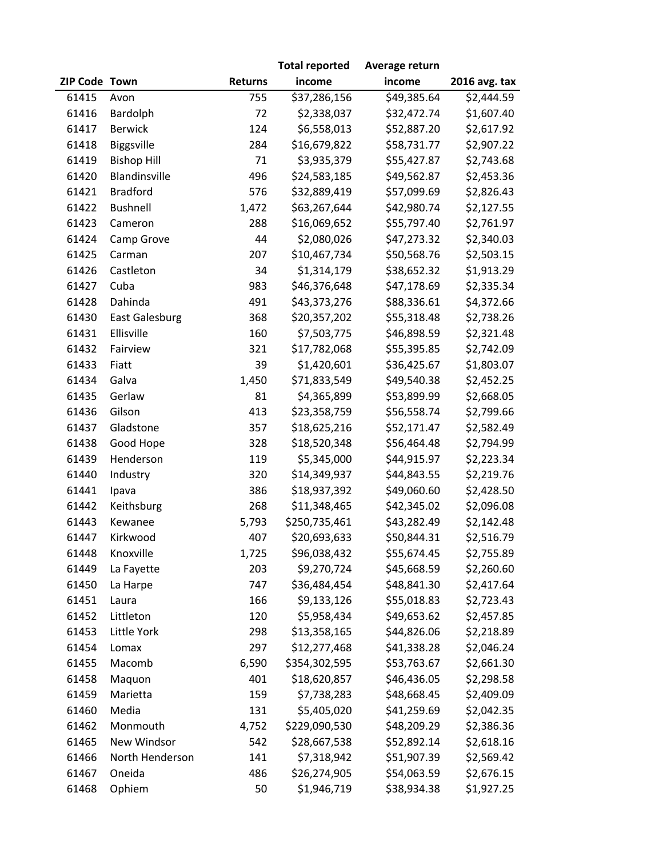|               |                       |                | <b>Total reported</b> | Average return |               |
|---------------|-----------------------|----------------|-----------------------|----------------|---------------|
| ZIP Code Town |                       | <b>Returns</b> | income                | income         | 2016 avg. tax |
| 61415         | Avon                  | 755            | \$37,286,156          | \$49,385.64    | \$2,444.59    |
| 61416         | Bardolph              | 72             | \$2,338,037           | \$32,472.74    | \$1,607.40    |
| 61417         | <b>Berwick</b>        | 124            | \$6,558,013           | \$52,887.20    | \$2,617.92    |
| 61418         | Biggsville            | 284            | \$16,679,822          | \$58,731.77    | \$2,907.22    |
| 61419         | <b>Bishop Hill</b>    | 71             | \$3,935,379           | \$55,427.87    | \$2,743.68    |
| 61420         | Blandinsville         | 496            | \$24,583,185          | \$49,562.87    | \$2,453.36    |
| 61421         | <b>Bradford</b>       | 576            | \$32,889,419          | \$57,099.69    | \$2,826.43    |
| 61422         | Bushnell              | 1,472          | \$63,267,644          | \$42,980.74    | \$2,127.55    |
| 61423         | Cameron               | 288            | \$16,069,652          | \$55,797.40    | \$2,761.97    |
| 61424         | Camp Grove            | 44             | \$2,080,026           | \$47,273.32    | \$2,340.03    |
| 61425         | Carman                | 207            | \$10,467,734          | \$50,568.76    | \$2,503.15    |
| 61426         | Castleton             | 34             | \$1,314,179           | \$38,652.32    | \$1,913.29    |
| 61427         | Cuba                  | 983            | \$46,376,648          | \$47,178.69    | \$2,335.34    |
| 61428         | Dahinda               | 491            | \$43,373,276          | \$88,336.61    | \$4,372.66    |
| 61430         | <b>East Galesburg</b> | 368            | \$20,357,202          | \$55,318.48    | \$2,738.26    |
| 61431         | Ellisville            | 160            | \$7,503,775           | \$46,898.59    | \$2,321.48    |
| 61432         | Fairview              | 321            | \$17,782,068          | \$55,395.85    | \$2,742.09    |
| 61433         | Fiatt                 | 39             | \$1,420,601           | \$36,425.67    | \$1,803.07    |
| 61434         | Galva                 | 1,450          | \$71,833,549          | \$49,540.38    | \$2,452.25    |
| 61435         | Gerlaw                | 81             | \$4,365,899           | \$53,899.99    | \$2,668.05    |
| 61436         | Gilson                | 413            | \$23,358,759          | \$56,558.74    | \$2,799.66    |
| 61437         | Gladstone             | 357            | \$18,625,216          | \$52,171.47    | \$2,582.49    |
| 61438         | Good Hope             | 328            | \$18,520,348          | \$56,464.48    | \$2,794.99    |
| 61439         | Henderson             | 119            | \$5,345,000           | \$44,915.97    | \$2,223.34    |
| 61440         | Industry              | 320            | \$14,349,937          | \$44,843.55    | \$2,219.76    |
| 61441         | Ipava                 | 386            | \$18,937,392          | \$49,060.60    | \$2,428.50    |
| 61442         | Keithsburg            | 268            | \$11,348,465          | \$42,345.02    | \$2,096.08    |
| 61443         | Kewanee               | 5,793          | \$250,735,461         | \$43,282.49    | \$2,142.48    |
| 61447         | Kirkwood              | 407            | \$20,693,633          | \$50,844.31    | \$2,516.79    |
| 61448         | Knoxville             | 1,725          | \$96,038,432          | \$55,674.45    | \$2,755.89    |
| 61449         | La Fayette            | 203            | \$9,270,724           | \$45,668.59    | \$2,260.60    |
| 61450         | La Harpe              | 747            | \$36,484,454          | \$48,841.30    | \$2,417.64    |
| 61451         | Laura                 | 166            | \$9,133,126           | \$55,018.83    | \$2,723.43    |
| 61452         | Littleton             | 120            | \$5,958,434           | \$49,653.62    | \$2,457.85    |
| 61453         | Little York           | 298            | \$13,358,165          | \$44,826.06    | \$2,218.89    |
| 61454         | Lomax                 | 297            | \$12,277,468          | \$41,338.28    | \$2,046.24    |
| 61455         | Macomb                | 6,590          | \$354,302,595         | \$53,763.67    | \$2,661.30    |
| 61458         | Maquon                | 401            | \$18,620,857          | \$46,436.05    | \$2,298.58    |
| 61459         | Marietta              | 159            | \$7,738,283           | \$48,668.45    | \$2,409.09    |
| 61460         | Media                 | 131            | \$5,405,020           | \$41,259.69    | \$2,042.35    |
| 61462         | Monmouth              | 4,752          | \$229,090,530         | \$48,209.29    | \$2,386.36    |
| 61465         | New Windsor           | 542            | \$28,667,538          | \$52,892.14    | \$2,618.16    |
| 61466         | North Henderson       | 141            | \$7,318,942           | \$51,907.39    | \$2,569.42    |
| 61467         | Oneida                | 486            | \$26,274,905          | \$54,063.59    | \$2,676.15    |
| 61468         | Ophiem                | 50             | \$1,946,719           | \$38,934.38    | \$1,927.25    |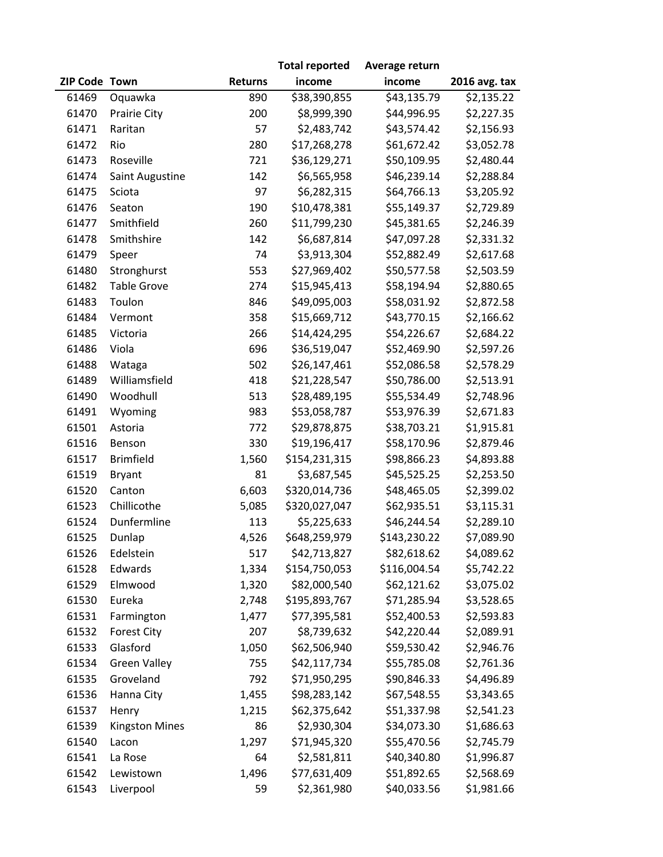|               |                       |                | <b>Total reported</b> | Average return |               |
|---------------|-----------------------|----------------|-----------------------|----------------|---------------|
| ZIP Code Town |                       | <b>Returns</b> | income                | income         | 2016 avg. tax |
| 61469         | Oquawka               | 890            | \$38,390,855          | \$43,135.79    | \$2,135.22    |
| 61470         | Prairie City          | 200            | \$8,999,390           | \$44,996.95    | \$2,227.35    |
| 61471         | Raritan               | 57             | \$2,483,742           | \$43,574.42    | \$2,156.93    |
| 61472         | Rio                   | 280            | \$17,268,278          | \$61,672.42    | \$3,052.78    |
| 61473         | Roseville             | 721            | \$36,129,271          | \$50,109.95    | \$2,480.44    |
| 61474         | Saint Augustine       | 142            | \$6,565,958           | \$46,239.14    | \$2,288.84    |
| 61475         | Sciota                | 97             | \$6,282,315           | \$64,766.13    | \$3,205.92    |
| 61476         | Seaton                | 190            | \$10,478,381          | \$55,149.37    | \$2,729.89    |
| 61477         | Smithfield            | 260            | \$11,799,230          | \$45,381.65    | \$2,246.39    |
| 61478         | Smithshire            | 142            | \$6,687,814           | \$47,097.28    | \$2,331.32    |
| 61479         | Speer                 | 74             | \$3,913,304           | \$52,882.49    | \$2,617.68    |
| 61480         | Stronghurst           | 553            | \$27,969,402          | \$50,577.58    | \$2,503.59    |
| 61482         | <b>Table Grove</b>    | 274            | \$15,945,413          | \$58,194.94    | \$2,880.65    |
| 61483         | Toulon                | 846            | \$49,095,003          | \$58,031.92    | \$2,872.58    |
| 61484         | Vermont               | 358            | \$15,669,712          | \$43,770.15    | \$2,166.62    |
| 61485         | Victoria              | 266            | \$14,424,295          | \$54,226.67    | \$2,684.22    |
| 61486         | Viola                 | 696            | \$36,519,047          | \$52,469.90    | \$2,597.26    |
| 61488         | Wataga                | 502            | \$26,147,461          | \$52,086.58    | \$2,578.29    |
| 61489         | Williamsfield         | 418            | \$21,228,547          | \$50,786.00    | \$2,513.91    |
| 61490         | Woodhull              | 513            | \$28,489,195          | \$55,534.49    | \$2,748.96    |
| 61491         | Wyoming               | 983            | \$53,058,787          | \$53,976.39    | \$2,671.83    |
| 61501         | Astoria               | 772            | \$29,878,875          | \$38,703.21    | \$1,915.81    |
| 61516         | Benson                | 330            | \$19,196,417          | \$58,170.96    | \$2,879.46    |
| 61517         | <b>Brimfield</b>      | 1,560          | \$154,231,315         | \$98,866.23    | \$4,893.88    |
| 61519         | Bryant                | 81             | \$3,687,545           | \$45,525.25    | \$2,253.50    |
| 61520         | Canton                | 6,603          | \$320,014,736         | \$48,465.05    | \$2,399.02    |
| 61523         | Chillicothe           | 5,085          | \$320,027,047         | \$62,935.51    | \$3,115.31    |
| 61524         | Dunfermline           | 113            | \$5,225,633           | \$46,244.54    | \$2,289.10    |
| 61525         | Dunlap                | 4,526          | \$648,259,979         | \$143,230.22   | \$7,089.90    |
| 61526         | Edelstein             | 517            | \$42,713,827          | \$82,618.62    | \$4,089.62    |
| 61528         | Edwards               | 1,334          | \$154,750,053         | \$116,004.54   | \$5,742.22    |
| 61529         | Elmwood               | 1,320          | \$82,000,540          | \$62,121.62    | \$3,075.02    |
| 61530         | Eureka                | 2,748          | \$195,893,767         | \$71,285.94    | \$3,528.65    |
| 61531         | Farmington            | 1,477          | \$77,395,581          | \$52,400.53    | \$2,593.83    |
| 61532         | <b>Forest City</b>    | 207            | \$8,739,632           | \$42,220.44    | \$2,089.91    |
| 61533         | Glasford              | 1,050          | \$62,506,940          | \$59,530.42    | \$2,946.76    |
| 61534         | <b>Green Valley</b>   | 755            | \$42,117,734          | \$55,785.08    | \$2,761.36    |
| 61535         | Groveland             | 792            | \$71,950,295          | \$90,846.33    | \$4,496.89    |
| 61536         | Hanna City            | 1,455          | \$98,283,142          | \$67,548.55    | \$3,343.65    |
| 61537         | Henry                 | 1,215          | \$62,375,642          | \$51,337.98    | \$2,541.23    |
| 61539         | <b>Kingston Mines</b> | 86             | \$2,930,304           | \$34,073.30    | \$1,686.63    |
| 61540         | Lacon                 | 1,297          | \$71,945,320          | \$55,470.56    | \$2,745.79    |
| 61541         | La Rose               | 64             | \$2,581,811           | \$40,340.80    | \$1,996.87    |
| 61542         | Lewistown             | 1,496          | \$77,631,409          | \$51,892.65    | \$2,568.69    |
| 61543         | Liverpool             | 59             | \$2,361,980           | \$40,033.56    | \$1,981.66    |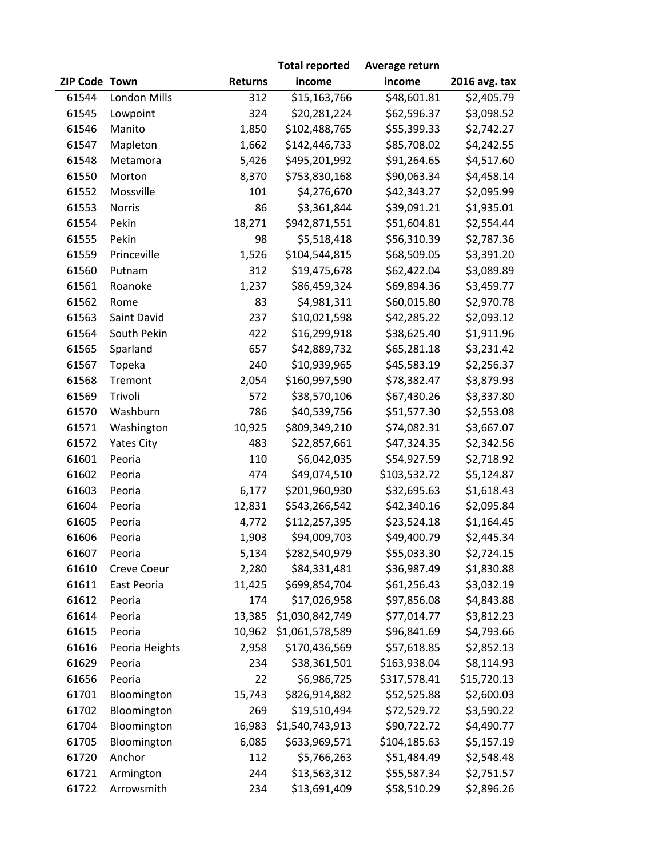|               |                |                | <b>Total reported</b> | Average return |               |
|---------------|----------------|----------------|-----------------------|----------------|---------------|
| ZIP Code Town |                | <b>Returns</b> | income                | income         | 2016 avg. tax |
| 61544         | London Mills   | 312            | \$15,163,766          | \$48,601.81    | \$2,405.79    |
| 61545         | Lowpoint       | 324            | \$20,281,224          | \$62,596.37    | \$3,098.52    |
| 61546         | Manito         | 1,850          | \$102,488,765         | \$55,399.33    | \$2,742.27    |
| 61547         | Mapleton       | 1,662          | \$142,446,733         | \$85,708.02    | \$4,242.55    |
| 61548         | Metamora       | 5,426          | \$495,201,992         | \$91,264.65    | \$4,517.60    |
| 61550         | Morton         | 8,370          | \$753,830,168         | \$90,063.34    | \$4,458.14    |
| 61552         | Mossville      | 101            | \$4,276,670           | \$42,343.27    | \$2,095.99    |
| 61553         | Norris         | 86             | \$3,361,844           | \$39,091.21    | \$1,935.01    |
| 61554         | Pekin          | 18,271         | \$942,871,551         | \$51,604.81    | \$2,554.44    |
| 61555         | Pekin          | 98             | \$5,518,418           | \$56,310.39    | \$2,787.36    |
| 61559         | Princeville    | 1,526          | \$104,544,815         | \$68,509.05    | \$3,391.20    |
| 61560         | Putnam         | 312            | \$19,475,678          | \$62,422.04    | \$3,089.89    |
| 61561         | Roanoke        | 1,237          | \$86,459,324          | \$69,894.36    | \$3,459.77    |
| 61562         | Rome           | 83             | \$4,981,311           | \$60,015.80    | \$2,970.78    |
| 61563         | Saint David    | 237            | \$10,021,598          | \$42,285.22    | \$2,093.12    |
| 61564         | South Pekin    | 422            | \$16,299,918          | \$38,625.40    | \$1,911.96    |
| 61565         | Sparland       | 657            | \$42,889,732          | \$65,281.18    | \$3,231.42    |
| 61567         | Topeka         | 240            | \$10,939,965          | \$45,583.19    | \$2,256.37    |
| 61568         | Tremont        | 2,054          | \$160,997,590         | \$78,382.47    | \$3,879.93    |
| 61569         | Trivoli        | 572            | \$38,570,106          | \$67,430.26    | \$3,337.80    |
| 61570         | Washburn       | 786            | \$40,539,756          | \$51,577.30    | \$2,553.08    |
| 61571         | Washington     | 10,925         | \$809,349,210         | \$74,082.31    | \$3,667.07    |
| 61572         | Yates City     | 483            | \$22,857,661          | \$47,324.35    | \$2,342.56    |
| 61601         | Peoria         | 110            | \$6,042,035           | \$54,927.59    | \$2,718.92    |
| 61602         | Peoria         | 474            | \$49,074,510          | \$103,532.72   | \$5,124.87    |
| 61603         | Peoria         | 6,177          | \$201,960,930         | \$32,695.63    | \$1,618.43    |
| 61604         | Peoria         | 12,831         | \$543,266,542         | \$42,340.16    | \$2,095.84    |
| 61605         | Peoria         | 4,772          | \$112,257,395         | \$23,524.18    | \$1,164.45    |
| 61606         | Peoria         | 1,903          | \$94,009,703          | \$49,400.79    | \$2,445.34    |
| 61607         | Peoria         | 5,134          | \$282,540,979         | \$55,033.30    | \$2,724.15    |
| 61610         | Creve Coeur    | 2,280          | \$84,331,481          | \$36,987.49    | \$1,830.88    |
| 61611         | East Peoria    | 11,425         | \$699,854,704         | \$61,256.43    | \$3,032.19    |
| 61612         | Peoria         | 174            | \$17,026,958          | \$97,856.08    | \$4,843.88    |
| 61614         | Peoria         | 13,385         | \$1,030,842,749       | \$77,014.77    | \$3,812.23    |
| 61615         | Peoria         | 10,962         | \$1,061,578,589       | \$96,841.69    | \$4,793.66    |
| 61616         | Peoria Heights | 2,958          | \$170,436,569         | \$57,618.85    | \$2,852.13    |
| 61629         | Peoria         | 234            | \$38,361,501          | \$163,938.04   | \$8,114.93    |
| 61656         | Peoria         | 22             | \$6,986,725           | \$317,578.41   | \$15,720.13   |
| 61701         | Bloomington    | 15,743         | \$826,914,882         | \$52,525.88    | \$2,600.03    |
| 61702         | Bloomington    | 269            | \$19,510,494          | \$72,529.72    | \$3,590.22    |
| 61704         | Bloomington    | 16,983         | \$1,540,743,913       | \$90,722.72    | \$4,490.77    |
| 61705         | Bloomington    | 6,085          | \$633,969,571         | \$104,185.63   | \$5,157.19    |
| 61720         | Anchor         | 112            | \$5,766,263           | \$51,484.49    | \$2,548.48    |
| 61721         | Armington      | 244            | \$13,563,312          | \$55,587.34    | \$2,751.57    |
| 61722         | Arrowsmith     | 234            | \$13,691,409          | \$58,510.29    | \$2,896.26    |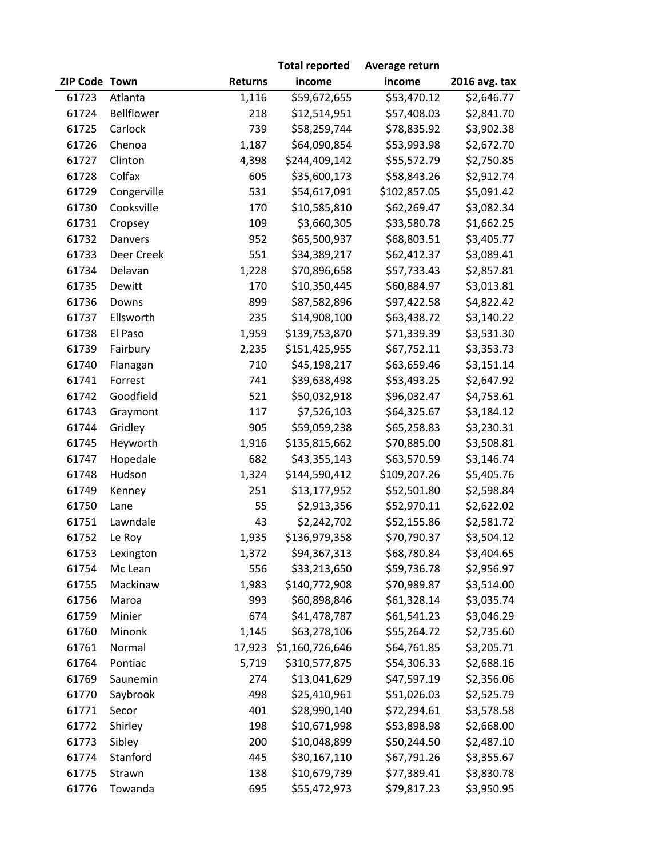|               |             |                | <b>Total reported</b> | Average return |               |
|---------------|-------------|----------------|-----------------------|----------------|---------------|
| ZIP Code Town |             | <b>Returns</b> | income                | income         | 2016 avg. tax |
| 61723         | Atlanta     | 1,116          | \$59,672,655          | \$53,470.12    | \$2,646.77    |
| 61724         | Bellflower  | 218            | \$12,514,951          | \$57,408.03    | \$2,841.70    |
| 61725         | Carlock     | 739            | \$58,259,744          | \$78,835.92    | \$3,902.38    |
| 61726         | Chenoa      | 1,187          | \$64,090,854          | \$53,993.98    | \$2,672.70    |
| 61727         | Clinton     | 4,398          | \$244,409,142         | \$55,572.79    | \$2,750.85    |
| 61728         | Colfax      | 605            | \$35,600,173          | \$58,843.26    | \$2,912.74    |
| 61729         | Congerville | 531            | \$54,617,091          | \$102,857.05   | \$5,091.42    |
| 61730         | Cooksville  | 170            | \$10,585,810          | \$62,269.47    | \$3,082.34    |
| 61731         | Cropsey     | 109            | \$3,660,305           | \$33,580.78    | \$1,662.25    |
| 61732         | Danvers     | 952            | \$65,500,937          | \$68,803.51    | \$3,405.77    |
| 61733         | Deer Creek  | 551            | \$34,389,217          | \$62,412.37    | \$3,089.41    |
| 61734         | Delavan     | 1,228          | \$70,896,658          | \$57,733.43    | \$2,857.81    |
| 61735         | Dewitt      | 170            | \$10,350,445          | \$60,884.97    | \$3,013.81    |
| 61736         | Downs       | 899            | \$87,582,896          | \$97,422.58    | \$4,822.42    |
| 61737         | Ellsworth   | 235            | \$14,908,100          | \$63,438.72    | \$3,140.22    |
| 61738         | El Paso     | 1,959          | \$139,753,870         | \$71,339.39    | \$3,531.30    |
| 61739         | Fairbury    | 2,235          | \$151,425,955         | \$67,752.11    | \$3,353.73    |
| 61740         | Flanagan    | 710            | \$45,198,217          | \$63,659.46    | \$3,151.14    |
| 61741         | Forrest     | 741            | \$39,638,498          | \$53,493.25    | \$2,647.92    |
| 61742         | Goodfield   | 521            | \$50,032,918          | \$96,032.47    | \$4,753.61    |
| 61743         | Graymont    | 117            | \$7,526,103           | \$64,325.67    | \$3,184.12    |
| 61744         | Gridley     | 905            | \$59,059,238          | \$65,258.83    | \$3,230.31    |
| 61745         | Heyworth    | 1,916          | \$135,815,662         | \$70,885.00    | \$3,508.81    |
| 61747         | Hopedale    | 682            | \$43,355,143          | \$63,570.59    | \$3,146.74    |
| 61748         | Hudson      | 1,324          | \$144,590,412         | \$109,207.26   | \$5,405.76    |
| 61749         | Kenney      | 251            | \$13,177,952          | \$52,501.80    | \$2,598.84    |
| 61750         | Lane        | 55             | \$2,913,356           | \$52,970.11    | \$2,622.02    |
| 61751         | Lawndale    | 43             | \$2,242,702           | \$52,155.86    | \$2,581.72    |
| 61752         | Le Roy      | 1,935          | \$136,979,358         | \$70,790.37    | \$3,504.12    |
| 61753         | Lexington   | 1,372          | \$94,367,313          | \$68,780.84    | \$3,404.65    |
| 61754         | Mc Lean     | 556            | \$33,213,650          | \$59,736.78    | \$2,956.97    |
| 61755         | Mackinaw    | 1,983          | \$140,772,908         | \$70,989.87    | \$3,514.00    |
| 61756         | Maroa       | 993            | \$60,898,846          | \$61,328.14    | \$3,035.74    |
| 61759         | Minier      | 674            | \$41,478,787          | \$61,541.23    | \$3,046.29    |
| 61760         | Minonk      | 1,145          | \$63,278,106          | \$55,264.72    | \$2,735.60    |
| 61761         | Normal      | 17,923         | \$1,160,726,646       | \$64,761.85    | \$3,205.71    |
| 61764         | Pontiac     | 5,719          | \$310,577,875         | \$54,306.33    | \$2,688.16    |
| 61769         | Saunemin    | 274            | \$13,041,629          | \$47,597.19    | \$2,356.06    |
| 61770         | Saybrook    | 498            | \$25,410,961          | \$51,026.03    | \$2,525.79    |
| 61771         | Secor       | 401            | \$28,990,140          | \$72,294.61    | \$3,578.58    |
| 61772         | Shirley     | 198            | \$10,671,998          | \$53,898.98    | \$2,668.00    |
| 61773         | Sibley      | 200            | \$10,048,899          | \$50,244.50    | \$2,487.10    |
| 61774         | Stanford    | 445            | \$30,167,110          | \$67,791.26    | \$3,355.67    |
| 61775         | Strawn      | 138            | \$10,679,739          | \$77,389.41    | \$3,830.78    |
| 61776         | Towanda     | 695            | \$55,472,973          | \$79,817.23    | \$3,950.95    |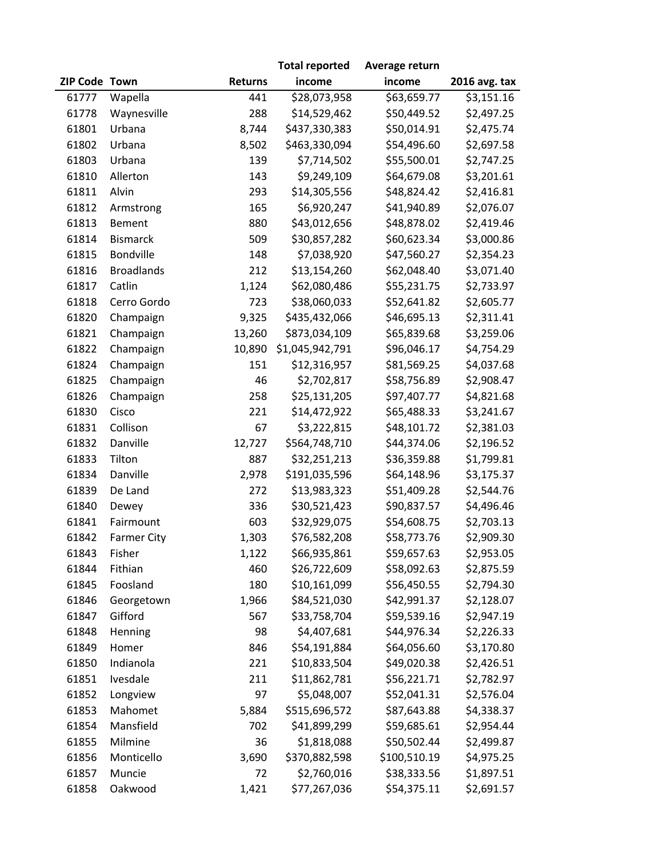|               |                    |                | <b>Total reported</b> | Average return |                        |
|---------------|--------------------|----------------|-----------------------|----------------|------------------------|
| ZIP Code Town |                    | <b>Returns</b> | income                | income         | 2016 avg. tax          |
| 61777         | Wapella            | 441            | \$28,073,958          | \$63,659.77    | $\overline{5}3,151.16$ |
| 61778         | Waynesville        | 288            | \$14,529,462          | \$50,449.52    | \$2,497.25             |
| 61801         | Urbana             | 8,744          | \$437,330,383         | \$50,014.91    | \$2,475.74             |
| 61802         | Urbana             | 8,502          | \$463,330,094         | \$54,496.60    | \$2,697.58             |
| 61803         | Urbana             | 139            | \$7,714,502           | \$55,500.01    | \$2,747.25             |
| 61810         | Allerton           | 143            | \$9,249,109           | \$64,679.08    | \$3,201.61             |
| 61811         | Alvin              | 293            | \$14,305,556          | \$48,824.42    | \$2,416.81             |
| 61812         | Armstrong          | 165            | \$6,920,247           | \$41,940.89    | \$2,076.07             |
| 61813         | Bement             | 880            | \$43,012,656          | \$48,878.02    | \$2,419.46             |
| 61814         | <b>Bismarck</b>    | 509            | \$30,857,282          | \$60,623.34    | \$3,000.86             |
| 61815         | Bondville          | 148            | \$7,038,920           | \$47,560.27    | \$2,354.23             |
| 61816         | <b>Broadlands</b>  | 212            | \$13,154,260          | \$62,048.40    | \$3,071.40             |
| 61817         | Catlin             | 1,124          | \$62,080,486          | \$55,231.75    | \$2,733.97             |
| 61818         | Cerro Gordo        | 723            | \$38,060,033          | \$52,641.82    | \$2,605.77             |
| 61820         | Champaign          | 9,325          | \$435,432,066         | \$46,695.13    | \$2,311.41             |
| 61821         | Champaign          | 13,260         | \$873,034,109         | \$65,839.68    | \$3,259.06             |
| 61822         | Champaign          | 10,890         | \$1,045,942,791       | \$96,046.17    | \$4,754.29             |
| 61824         | Champaign          | 151            | \$12,316,957          | \$81,569.25    | \$4,037.68             |
| 61825         | Champaign          | 46             | \$2,702,817           | \$58,756.89    | \$2,908.47             |
| 61826         | Champaign          | 258            | \$25,131,205          | \$97,407.77    | \$4,821.68             |
| 61830         | Cisco              | 221            | \$14,472,922          | \$65,488.33    | \$3,241.67             |
| 61831         | Collison           | 67             | \$3,222,815           | \$48,101.72    | \$2,381.03             |
| 61832         | Danville           | 12,727         | \$564,748,710         | \$44,374.06    | \$2,196.52             |
| 61833         | Tilton             | 887            | \$32,251,213          | \$36,359.88    | \$1,799.81             |
| 61834         | Danville           | 2,978          | \$191,035,596         | \$64,148.96    | \$3,175.37             |
| 61839         | De Land            | 272            | \$13,983,323          | \$51,409.28    | \$2,544.76             |
| 61840         | Dewey              | 336            | \$30,521,423          | \$90,837.57    | \$4,496.46             |
| 61841         | Fairmount          | 603            | \$32,929,075          | \$54,608.75    | \$2,703.13             |
| 61842         | <b>Farmer City</b> | 1,303          | \$76,582,208          | \$58,773.76    | \$2,909.30             |
| 61843         | Fisher             | 1,122          | \$66,935,861          | \$59,657.63    | \$2,953.05             |
| 61844         | Fithian            | 460            | \$26,722,609          | \$58,092.63    | \$2,875.59             |
| 61845         | Foosland           | 180            | \$10,161,099          | \$56,450.55    | \$2,794.30             |
| 61846         | Georgetown         | 1,966          | \$84,521,030          | \$42,991.37    | \$2,128.07             |
| 61847         | Gifford            | 567            | \$33,758,704          | \$59,539.16    | \$2,947.19             |
| 61848         | Henning            | 98             | \$4,407,681           | \$44,976.34    | \$2,226.33             |
| 61849         | Homer              | 846            | \$54,191,884          | \$64,056.60    | \$3,170.80             |
| 61850         | Indianola          | 221            | \$10,833,504          | \$49,020.38    | \$2,426.51             |
| 61851         | Ivesdale           | 211            | \$11,862,781          | \$56,221.71    | \$2,782.97             |
| 61852         | Longview           | 97             | \$5,048,007           | \$52,041.31    | \$2,576.04             |
| 61853         | Mahomet            | 5,884          | \$515,696,572         | \$87,643.88    | \$4,338.37             |
| 61854         | Mansfield          | 702            | \$41,899,299          | \$59,685.61    | \$2,954.44             |
| 61855         | Milmine            | 36             | \$1,818,088           | \$50,502.44    | \$2,499.87             |
| 61856         | Monticello         | 3,690          | \$370,882,598         | \$100,510.19   | \$4,975.25             |
| 61857         | Muncie             | 72             | \$2,760,016           | \$38,333.56    | \$1,897.51             |
| 61858         | Oakwood            | 1,421          | \$77,267,036          | \$54,375.11    | \$2,691.57             |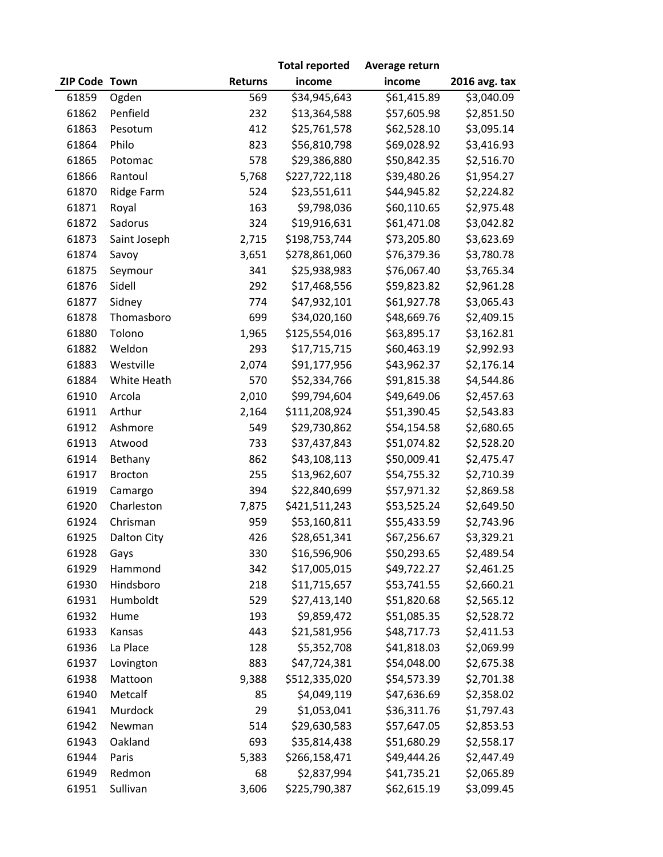|               |                    |                | <b>Total reported</b> | Average return |               |
|---------------|--------------------|----------------|-----------------------|----------------|---------------|
| ZIP Code Town |                    | <b>Returns</b> | income                | income         | 2016 avg. tax |
| 61859         | Ogden              | 569            | \$34,945,643          | \$61,415.89    | \$3,040.09    |
| 61862         | Penfield           | 232            | \$13,364,588          | \$57,605.98    | \$2,851.50    |
| 61863         | Pesotum            | 412            | \$25,761,578          | \$62,528.10    | \$3,095.14    |
| 61864         | Philo              | 823            | \$56,810,798          | \$69,028.92    | \$3,416.93    |
| 61865         | Potomac            | 578            | \$29,386,880          | \$50,842.35    | \$2,516.70    |
| 61866         | Rantoul            | 5,768          | \$227,722,118         | \$39,480.26    | \$1,954.27    |
| 61870         | Ridge Farm         | 524            | \$23,551,611          | \$44,945.82    | \$2,224.82    |
| 61871         | Royal              | 163            | \$9,798,036           | \$60,110.65    | \$2,975.48    |
| 61872         | Sadorus            | 324            | \$19,916,631          | \$61,471.08    | \$3,042.82    |
| 61873         | Saint Joseph       | 2,715          | \$198,753,744         | \$73,205.80    | \$3,623.69    |
| 61874         | Savoy              | 3,651          | \$278,861,060         | \$76,379.36    | \$3,780.78    |
| 61875         | Seymour            | 341            | \$25,938,983          | \$76,067.40    | \$3,765.34    |
| 61876         | Sidell             | 292            | \$17,468,556          | \$59,823.82    | \$2,961.28    |
| 61877         | Sidney             | 774            | \$47,932,101          | \$61,927.78    | \$3,065.43    |
| 61878         | Thomasboro         | 699            | \$34,020,160          | \$48,669.76    | \$2,409.15    |
| 61880         | Tolono             | 1,965          | \$125,554,016         | \$63,895.17    | \$3,162.81    |
| 61882         | Weldon             | 293            | \$17,715,715          | \$60,463.19    | \$2,992.93    |
| 61883         | Westville          | 2,074          | \$91,177,956          | \$43,962.37    | \$2,176.14    |
| 61884         | White Heath        | 570            | \$52,334,766          | \$91,815.38    | \$4,544.86    |
| 61910         | Arcola             | 2,010          | \$99,794,604          | \$49,649.06    | \$2,457.63    |
| 61911         | Arthur             | 2,164          | \$111,208,924         | \$51,390.45    | \$2,543.83    |
| 61912         | Ashmore            | 549            | \$29,730,862          | \$54,154.58    | \$2,680.65    |
| 61913         | Atwood             | 733            | \$37,437,843          | \$51,074.82    | \$2,528.20    |
| 61914         | Bethany            | 862            | \$43,108,113          | \$50,009.41    | \$2,475.47    |
| 61917         | <b>Brocton</b>     | 255            | \$13,962,607          | \$54,755.32    | \$2,710.39    |
| 61919         | Camargo            | 394            | \$22,840,699          | \$57,971.32    | \$2,869.58    |
| 61920         | Charleston         | 7,875          | \$421,511,243         | \$53,525.24    | \$2,649.50    |
| 61924         | Chrisman           | 959            | \$53,160,811          | \$55,433.59    | \$2,743.96    |
| 61925         | <b>Dalton City</b> | 426            | \$28,651,341          | \$67,256.67    | \$3,329.21    |
| 61928         | Gays               | 330            | \$16,596,906          | \$50,293.65    | \$2,489.54    |
| 61929         | Hammond            | 342            | \$17,005,015          | \$49,722.27    | \$2,461.25    |
| 61930         | Hindsboro          | 218            | \$11,715,657          | \$53,741.55    | \$2,660.21    |
| 61931         | Humboldt           | 529            | \$27,413,140          | \$51,820.68    | \$2,565.12    |
| 61932         | Hume               | 193            | \$9,859,472           | \$51,085.35    | \$2,528.72    |
| 61933         | Kansas             | 443            | \$21,581,956          | \$48,717.73    | \$2,411.53    |
| 61936         | La Place           | 128            | \$5,352,708           | \$41,818.03    | \$2,069.99    |
| 61937         | Lovington          | 883            | \$47,724,381          | \$54,048.00    | \$2,675.38    |
| 61938         | Mattoon            | 9,388          | \$512,335,020         | \$54,573.39    | \$2,701.38    |
| 61940         | Metcalf            | 85             | \$4,049,119           | \$47,636.69    | \$2,358.02    |
| 61941         | Murdock            | 29             | \$1,053,041           | \$36,311.76    | \$1,797.43    |
| 61942         | Newman             | 514            | \$29,630,583          | \$57,647.05    | \$2,853.53    |
| 61943         | Oakland            | 693            | \$35,814,438          | \$51,680.29    | \$2,558.17    |
| 61944         | Paris              | 5,383          | \$266,158,471         | \$49,444.26    | \$2,447.49    |
| 61949         | Redmon             | 68             | \$2,837,994           | \$41,735.21    | \$2,065.89    |
| 61951         | Sullivan           | 3,606          | \$225,790,387         | \$62,615.19    | \$3,099.45    |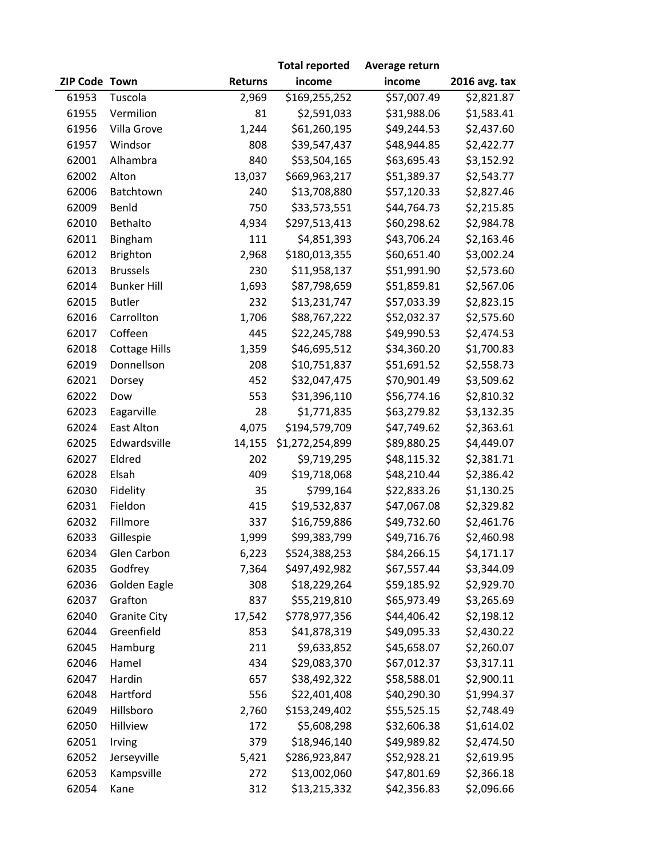|               |                      |                | <b>Total reported</b> | Average return |                        |
|---------------|----------------------|----------------|-----------------------|----------------|------------------------|
| ZIP Code Town |                      | <b>Returns</b> | income                | income         | 2016 avg. tax          |
| 61953         | Tuscola              | 2,969          | \$169,255,252         | \$57,007.49    | $\overline{$}2,821.87$ |
| 61955         | Vermilion            | 81             | \$2,591,033           | \$31,988.06    | \$1,583.41             |
| 61956         | Villa Grove          | 1,244          | \$61,260,195          | \$49,244.53    | \$2,437.60             |
| 61957         | Windsor              | 808            | \$39,547,437          | \$48,944.85    | \$2,422.77             |
| 62001         | Alhambra             | 840            | \$53,504,165          | \$63,695.43    | \$3,152.92             |
| 62002         | Alton                | 13,037         | \$669,963,217         | \$51,389.37    | \$2,543.77             |
| 62006         | Batchtown            | 240            | \$13,708,880          | \$57,120.33    | \$2,827.46             |
| 62009         | Benld                | 750            | \$33,573,551          | \$44,764.73    | \$2,215.85             |
| 62010         | Bethalto             | 4,934          | \$297,513,413         | \$60,298.62    | \$2,984.78             |
| 62011         | Bingham              | 111            | \$4,851,393           | \$43,706.24    | \$2,163.46             |
| 62012         | Brighton             | 2,968          | \$180,013,355         | \$60,651.40    | \$3,002.24             |
| 62013         | <b>Brussels</b>      | 230            | \$11,958,137          | \$51,991.90    | \$2,573.60             |
| 62014         | <b>Bunker Hill</b>   | 1,693          | \$87,798,659          | \$51,859.81    | \$2,567.06             |
| 62015         | <b>Butler</b>        | 232            | \$13,231,747          | \$57,033.39    | \$2,823.15             |
| 62016         | Carrollton           | 1,706          | \$88,767,222          | \$52,032.37    | \$2,575.60             |
| 62017         | Coffeen              | 445            | \$22,245,788          | \$49,990.53    | \$2,474.53             |
| 62018         | <b>Cottage Hills</b> | 1,359          | \$46,695,512          | \$34,360.20    | \$1,700.83             |
| 62019         | Donnellson           | 208            | \$10,751,837          | \$51,691.52    | \$2,558.73             |
| 62021         | Dorsey               | 452            | \$32,047,475          | \$70,901.49    | \$3,509.62             |
| 62022         | Dow                  | 553            | \$31,396,110          | \$56,774.16    | \$2,810.32             |
| 62023         | Eagarville           | 28             | \$1,771,835           | \$63,279.82    | \$3,132.35             |
| 62024         | <b>East Alton</b>    | 4,075          | \$194,579,709         | \$47,749.62    | \$2,363.61             |
| 62025         | Edwardsville         | 14,155         | \$1,272,254,899       | \$89,880.25    | \$4,449.07             |
| 62027         | Eldred               | 202            | \$9,719,295           | \$48,115.32    | \$2,381.71             |
| 62028         | Elsah                | 409            | \$19,718,068          | \$48,210.44    | \$2,386.42             |
| 62030         | Fidelity             | 35             | \$799,164             | \$22,833.26    | \$1,130.25             |
| 62031         | Fieldon              | 415            | \$19,532,837          | \$47,067.08    | \$2,329.82             |
| 62032         | Fillmore             | 337            | \$16,759,886          | \$49,732.60    | \$2,461.76             |
| 62033         | Gillespie            | 1,999          | \$99,383,799          | \$49,716.76    | \$2,460.98             |
| 62034         | Glen Carbon          | 6,223          | \$524,388,253         | \$84,266.15    | \$4,171.17             |
| 62035         | Godfrey              | 7,364          | \$497,492,982         | \$67,557.44    | \$3,344.09             |
| 62036         | Golden Eagle         | 308            | \$18,229,264          | \$59,185.92    | \$2,929.70             |
| 62037         | Grafton              | 837            | \$55,219,810          | \$65,973.49    | \$3,265.69             |
| 62040         | <b>Granite City</b>  | 17,542         | \$778,977,356         | \$44,406.42    | \$2,198.12             |
| 62044         | Greenfield           | 853            | \$41,878,319          | \$49,095.33    | \$2,430.22             |
| 62045         | Hamburg              | 211            | \$9,633,852           | \$45,658.07    | \$2,260.07             |
| 62046         | Hamel                | 434            | \$29,083,370          | \$67,012.37    | \$3,317.11             |
| 62047         | Hardin               | 657            | \$38,492,322          | \$58,588.01    | \$2,900.11             |
| 62048         | Hartford             | 556            | \$22,401,408          | \$40,290.30    | \$1,994.37             |
| 62049         | Hillsboro            | 2,760          | \$153,249,402         | \$55,525.15    | \$2,748.49             |
| 62050         | Hillview             | 172            | \$5,608,298           | \$32,606.38    | \$1,614.02             |
| 62051         | Irving               | 379            | \$18,946,140          | \$49,989.82    | \$2,474.50             |
| 62052         | Jerseyville          | 5,421          | \$286,923,847         | \$52,928.21    | \$2,619.95             |
| 62053         | Kampsville           | 272            | \$13,002,060          | \$47,801.69    | \$2,366.18             |
| 62054         | Kane                 | 312            | \$13,215,332          | \$42,356.83    | \$2,096.66             |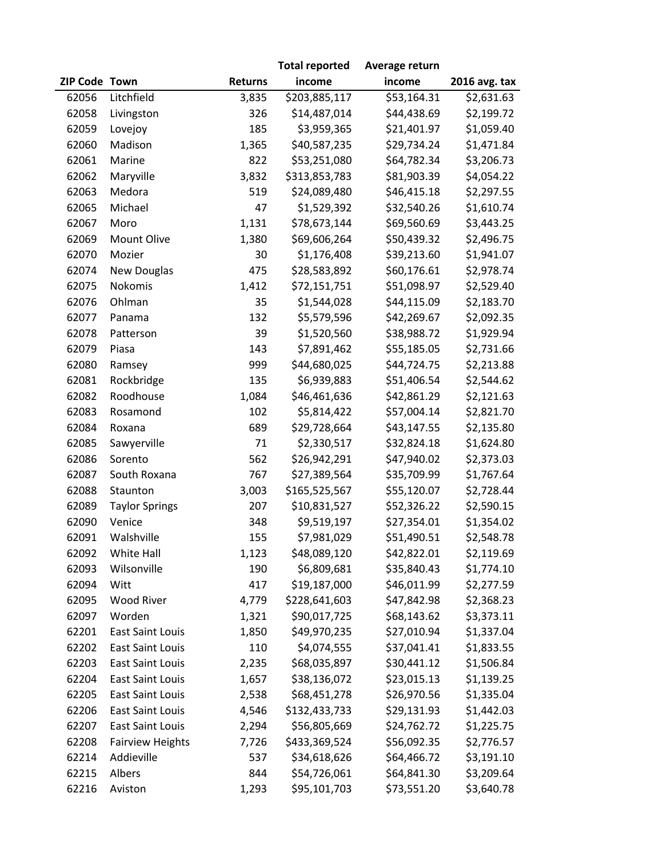|               |                         |                | <b>Total reported</b> | Average return          |               |
|---------------|-------------------------|----------------|-----------------------|-------------------------|---------------|
| ZIP Code Town |                         | <b>Returns</b> | income                | income                  | 2016 avg. tax |
| 62056         | Litchfield              | 3,835          | \$203,885,117         | $\overline{$}53,164.31$ | \$2,631.63    |
| 62058         | Livingston              | 326            | \$14,487,014          | \$44,438.69             | \$2,199.72    |
| 62059         | Lovejoy                 | 185            | \$3,959,365           | \$21,401.97             | \$1,059.40    |
| 62060         | Madison                 | 1,365          | \$40,587,235          | \$29,734.24             | \$1,471.84    |
| 62061         | Marine                  | 822            | \$53,251,080          | \$64,782.34             | \$3,206.73    |
| 62062         | Maryville               | 3,832          | \$313,853,783         | \$81,903.39             | \$4,054.22    |
| 62063         | Medora                  | 519            | \$24,089,480          | \$46,415.18             | \$2,297.55    |
| 62065         | Michael                 | 47             | \$1,529,392           | \$32,540.26             | \$1,610.74    |
| 62067         | Moro                    | 1,131          | \$78,673,144          | \$69,560.69             | \$3,443.25    |
| 62069         | Mount Olive             | 1,380          | \$69,606,264          | \$50,439.32             | \$2,496.75    |
| 62070         | Mozier                  | 30             | \$1,176,408           | \$39,213.60             | \$1,941.07    |
| 62074         | <b>New Douglas</b>      | 475            | \$28,583,892          | \$60,176.61             | \$2,978.74    |
| 62075         | Nokomis                 | 1,412          | \$72,151,751          | \$51,098.97             | \$2,529.40    |
| 62076         | Ohlman                  | 35             | \$1,544,028           | \$44,115.09             | \$2,183.70    |
| 62077         | Panama                  | 132            | \$5,579,596           | \$42,269.67             | \$2,092.35    |
| 62078         | Patterson               | 39             | \$1,520,560           | \$38,988.72             | \$1,929.94    |
| 62079         | Piasa                   | 143            | \$7,891,462           | \$55,185.05             | \$2,731.66    |
| 62080         | Ramsey                  | 999            | \$44,680,025          | \$44,724.75             | \$2,213.88    |
| 62081         | Rockbridge              | 135            | \$6,939,883           | \$51,406.54             | \$2,544.62    |
| 62082         | Roodhouse               | 1,084          | \$46,461,636          | \$42,861.29             | \$2,121.63    |
| 62083         | Rosamond                | 102            | \$5,814,422           | \$57,004.14             | \$2,821.70    |
| 62084         | Roxana                  | 689            | \$29,728,664          | \$43,147.55             | \$2,135.80    |
| 62085         | Sawyerville             | 71             | \$2,330,517           | \$32,824.18             | \$1,624.80    |
| 62086         | Sorento                 | 562            | \$26,942,291          | \$47,940.02             | \$2,373.03    |
| 62087         | South Roxana            | 767            | \$27,389,564          | \$35,709.99             | \$1,767.64    |
| 62088         | Staunton                | 3,003          | \$165,525,567         | \$55,120.07             | \$2,728.44    |
| 62089         | <b>Taylor Springs</b>   | 207            | \$10,831,527          | \$52,326.22             | \$2,590.15    |
| 62090         | Venice                  | 348            | \$9,519,197           | \$27,354.01             | \$1,354.02    |
| 62091         | Walshville              | 155            | \$7,981,029           | \$51,490.51             | \$2,548.78    |
| 62092         | White Hall              | 1,123          | \$48,089,120          | \$42,822.01             | \$2,119.69    |
| 62093         | Wilsonville             | 190            | \$6,809,681           | \$35,840.43             | \$1,774.10    |
| 62094         | Witt                    | 417            | \$19,187,000          | \$46,011.99             | \$2,277.59    |
| 62095         | <b>Wood River</b>       | 4,779          | \$228,641,603         | \$47,842.98             | \$2,368.23    |
| 62097         | Worden                  | 1,321          | \$90,017,725          | \$68,143.62             | \$3,373.11    |
| 62201         | <b>East Saint Louis</b> | 1,850          | \$49,970,235          | \$27,010.94             | \$1,337.04    |
| 62202         | <b>East Saint Louis</b> | 110            | \$4,074,555           | \$37,041.41             | \$1,833.55    |
| 62203         | East Saint Louis        | 2,235          | \$68,035,897          | \$30,441.12             | \$1,506.84    |
| 62204         | <b>East Saint Louis</b> | 1,657          | \$38,136,072          | \$23,015.13             | \$1,139.25    |
| 62205         | <b>East Saint Louis</b> | 2,538          | \$68,451,278          | \$26,970.56             | \$1,335.04    |
| 62206         | East Saint Louis        | 4,546          | \$132,433,733         | \$29,131.93             | \$1,442.03    |
| 62207         | <b>East Saint Louis</b> | 2,294          | \$56,805,669          | \$24,762.72             | \$1,225.75    |
| 62208         | <b>Fairview Heights</b> | 7,726          | \$433,369,524         | \$56,092.35             | \$2,776.57    |
| 62214         | Addieville              | 537            | \$34,618,626          | \$64,466.72             | \$3,191.10    |
| 62215         | Albers                  | 844            | \$54,726,061          | \$64,841.30             | \$3,209.64    |
| 62216         | Aviston                 | 1,293          | \$95,101,703          | \$73,551.20             | \$3,640.78    |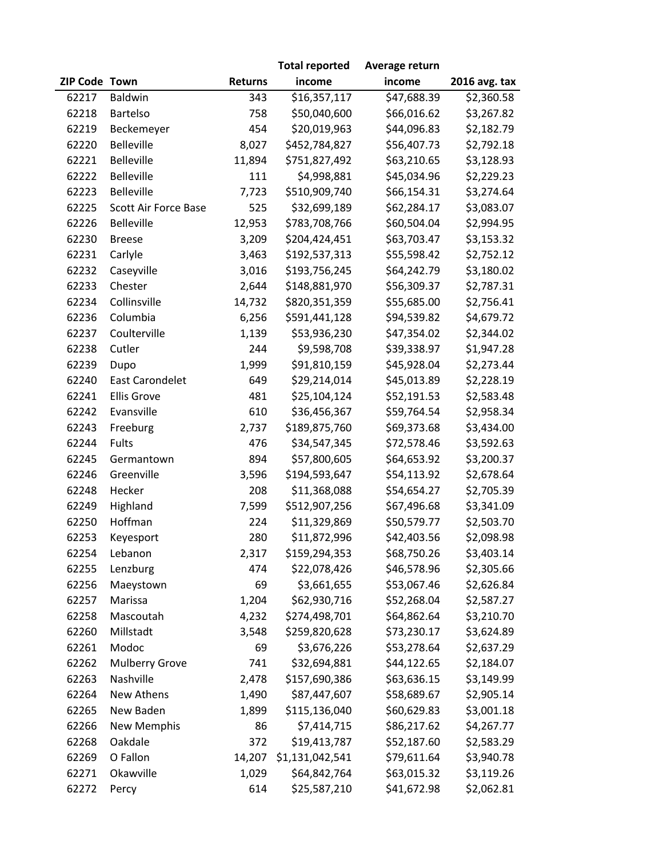|               |                        |                | <b>Total reported</b> | Average return |                        |
|---------------|------------------------|----------------|-----------------------|----------------|------------------------|
| ZIP Code Town |                        | <b>Returns</b> | income                | income         | 2016 avg. tax          |
| 62217         | Baldwin                | 343            | \$16,357,117          | \$47,688.39    | $\overline{$}2,360.58$ |
| 62218         | Bartelso               | 758            | \$50,040,600          | \$66,016.62    | \$3,267.82             |
| 62219         | Beckemeyer             | 454            | \$20,019,963          | \$44,096.83    | \$2,182.79             |
| 62220         | <b>Belleville</b>      | 8,027          | \$452,784,827         | \$56,407.73    | \$2,792.18             |
| 62221         | <b>Belleville</b>      | 11,894         | \$751,827,492         | \$63,210.65    | \$3,128.93             |
| 62222         | Belleville             | 111            | \$4,998,881           | \$45,034.96    | \$2,229.23             |
| 62223         | <b>Belleville</b>      | 7,723          | \$510,909,740         | \$66,154.31    | \$3,274.64             |
| 62225         | Scott Air Force Base   | 525            | \$32,699,189          | \$62,284.17    | \$3,083.07             |
| 62226         | <b>Belleville</b>      | 12,953         | \$783,708,766         | \$60,504.04    | \$2,994.95             |
| 62230         | <b>Breese</b>          | 3,209          | \$204,424,451         | \$63,703.47    | \$3,153.32             |
| 62231         | Carlyle                | 3,463          | \$192,537,313         | \$55,598.42    | \$2,752.12             |
| 62232         | Caseyville             | 3,016          | \$193,756,245         | \$64,242.79    | \$3,180.02             |
| 62233         | Chester                | 2,644          | \$148,881,970         | \$56,309.37    | \$2,787.31             |
| 62234         | Collinsville           | 14,732         | \$820,351,359         | \$55,685.00    | \$2,756.41             |
| 62236         | Columbia               | 6,256          | \$591,441,128         | \$94,539.82    | \$4,679.72             |
| 62237         | Coulterville           | 1,139          | \$53,936,230          | \$47,354.02    | \$2,344.02             |
| 62238         | Cutler                 | 244            | \$9,598,708           | \$39,338.97    | \$1,947.28             |
| 62239         | Dupo                   | 1,999          | \$91,810,159          | \$45,928.04    | \$2,273.44             |
| 62240         | <b>East Carondelet</b> | 649            | \$29,214,014          | \$45,013.89    | \$2,228.19             |
| 62241         | <b>Ellis Grove</b>     | 481            | \$25,104,124          | \$52,191.53    | \$2,583.48             |
| 62242         | Evansville             | 610            | \$36,456,367          | \$59,764.54    | \$2,958.34             |
| 62243         | Freeburg               | 2,737          | \$189,875,760         | \$69,373.68    | \$3,434.00             |
| 62244         | Fults                  | 476            | \$34,547,345          | \$72,578.46    | \$3,592.63             |
| 62245         | Germantown             | 894            | \$57,800,605          | \$64,653.92    | \$3,200.37             |
| 62246         | Greenville             | 3,596          | \$194,593,647         | \$54,113.92    | \$2,678.64             |
| 62248         | Hecker                 | 208            | \$11,368,088          | \$54,654.27    | \$2,705.39             |
| 62249         | Highland               | 7,599          | \$512,907,256         | \$67,496.68    | \$3,341.09             |
| 62250         | Hoffman                | 224            | \$11,329,869          | \$50,579.77    | \$2,503.70             |
| 62253         | Keyesport              | 280            | \$11,872,996          | \$42,403.56    | \$2,098.98             |
| 62254         | Lebanon                | 2,317          | \$159,294,353         | \$68,750.26    | \$3,403.14             |
| 62255         | Lenzburg               | 474            | \$22,078,426          | \$46,578.96    | \$2,305.66             |
| 62256         | Maeystown              | 69             | \$3,661,655           | \$53,067.46    | \$2,626.84             |
| 62257         | Marissa                | 1,204          | \$62,930,716          | \$52,268.04    | \$2,587.27             |
| 62258         | Mascoutah              | 4,232          | \$274,498,701         | \$64,862.64    | \$3,210.70             |
| 62260         | Millstadt              | 3,548          | \$259,820,628         | \$73,230.17    | \$3,624.89             |
| 62261         | Modoc                  | 69             | \$3,676,226           | \$53,278.64    | \$2,637.29             |
| 62262         | Mulberry Grove         | 741            | \$32,694,881          | \$44,122.65    | \$2,184.07             |
| 62263         | Nashville              | 2,478          | \$157,690,386         | \$63,636.15    | \$3,149.99             |
| 62264         | New Athens             | 1,490          | \$87,447,607          | \$58,689.67    | \$2,905.14             |
| 62265         | New Baden              | 1,899          | \$115,136,040         | \$60,629.83    | \$3,001.18             |
| 62266         | New Memphis            | 86             | \$7,414,715           | \$86,217.62    | \$4,267.77             |
| 62268         | Oakdale                | 372            | \$19,413,787          | \$52,187.60    | \$2,583.29             |
| 62269         | O Fallon               | 14,207         | \$1,131,042,541       | \$79,611.64    | \$3,940.78             |
| 62271         | Okawville              | 1,029          | \$64,842,764          | \$63,015.32    | \$3,119.26             |
| 62272         | Percy                  | 614            | \$25,587,210          | \$41,672.98    | \$2,062.81             |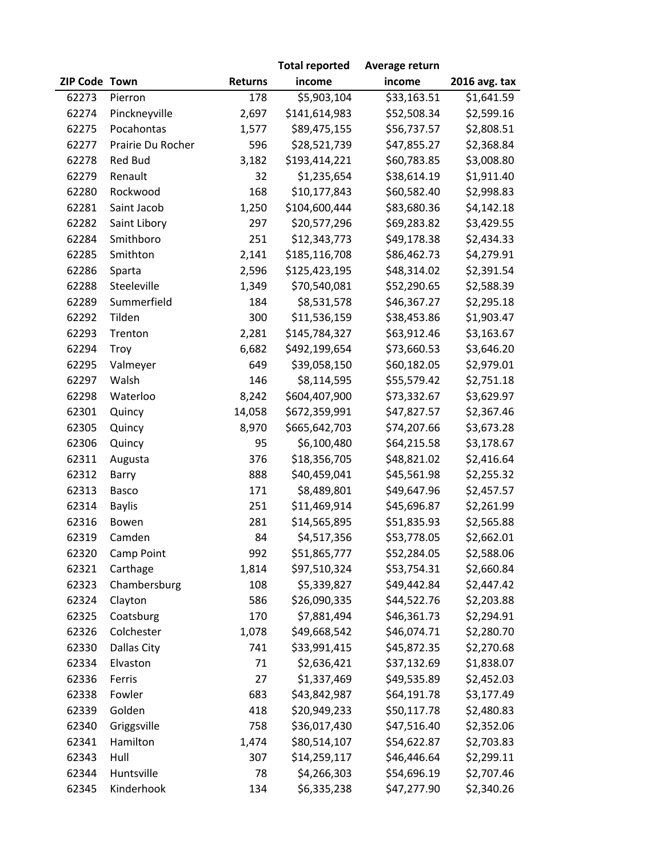|               |                   |                | <b>Total reported</b> | Average return |               |
|---------------|-------------------|----------------|-----------------------|----------------|---------------|
| ZIP Code Town |                   | <b>Returns</b> | income                | income         | 2016 avg. tax |
| 62273         | Pierron           | 178            | \$5,903,104           | \$33,163.51    | \$1,641.59    |
| 62274         | Pinckneyville     | 2,697          | \$141,614,983         | \$52,508.34    | \$2,599.16    |
| 62275         | Pocahontas        | 1,577          | \$89,475,155          | \$56,737.57    | \$2,808.51    |
| 62277         | Prairie Du Rocher | 596            | \$28,521,739          | \$47,855.27    | \$2,368.84    |
| 62278         | Red Bud           | 3,182          | \$193,414,221         | \$60,783.85    | \$3,008.80    |
| 62279         | Renault           | 32             | \$1,235,654           | \$38,614.19    | \$1,911.40    |
| 62280         | Rockwood          | 168            | \$10,177,843          | \$60,582.40    | \$2,998.83    |
| 62281         | Saint Jacob       | 1,250          | \$104,600,444         | \$83,680.36    | \$4,142.18    |
| 62282         | Saint Libory      | 297            | \$20,577,296          | \$69,283.82    | \$3,429.55    |
| 62284         | Smithboro         | 251            | \$12,343,773          | \$49,178.38    | \$2,434.33    |
| 62285         | Smithton          | 2,141          | \$185,116,708         | \$86,462.73    | \$4,279.91    |
| 62286         | Sparta            | 2,596          | \$125,423,195         | \$48,314.02    | \$2,391.54    |
| 62288         | Steeleville       | 1,349          | \$70,540,081          | \$52,290.65    | \$2,588.39    |
| 62289         | Summerfield       | 184            | \$8,531,578           | \$46,367.27    | \$2,295.18    |
| 62292         | Tilden            | 300            | \$11,536,159          | \$38,453.86    | \$1,903.47    |
| 62293         | Trenton           | 2,281          | \$145,784,327         | \$63,912.46    | \$3,163.67    |
| 62294         | Troy              | 6,682          | \$492,199,654         | \$73,660.53    | \$3,646.20    |
| 62295         | Valmeyer          | 649            | \$39,058,150          | \$60,182.05    | \$2,979.01    |
| 62297         | Walsh             | 146            | \$8,114,595           | \$55,579.42    | \$2,751.18    |
| 62298         | Waterloo          | 8,242          | \$604,407,900         | \$73,332.67    | \$3,629.97    |
| 62301         | Quincy            | 14,058         | \$672,359,991         | \$47,827.57    | \$2,367.46    |
| 62305         | Quincy            | 8,970          | \$665,642,703         | \$74,207.66    | \$3,673.28    |
| 62306         | Quincy            | 95             | \$6,100,480           | \$64,215.58    | \$3,178.67    |
| 62311         | Augusta           | 376            | \$18,356,705          | \$48,821.02    | \$2,416.64    |
| 62312         | Barry             | 888            | \$40,459,041          | \$45,561.98    | \$2,255.32    |
| 62313         | Basco             | 171            | \$8,489,801           | \$49,647.96    | \$2,457.57    |
| 62314         | <b>Baylis</b>     | 251            | \$11,469,914          | \$45,696.87    | \$2,261.99    |
| 62316         | Bowen             | 281            | \$14,565,895          | \$51,835.93    | \$2,565.88    |
| 62319         | Camden            | 84             | \$4,517,356           | \$53,778.05    | \$2,662.01    |
| 62320         | Camp Point        | 992            | \$51,865,777          | \$52,284.05    | \$2,588.06    |
| 62321         | Carthage          | 1,814          | \$97,510,324          | \$53,754.31    | \$2,660.84    |
| 62323         | Chambersburg      | 108            | \$5,339,827           | \$49,442.84    | \$2,447.42    |
| 62324         | Clayton           | 586            | \$26,090,335          | \$44,522.76    | \$2,203.88    |
| 62325         | Coatsburg         | 170            | \$7,881,494           | \$46,361.73    | \$2,294.91    |
| 62326         | Colchester        | 1,078          | \$49,668,542          | \$46,074.71    | \$2,280.70    |
| 62330         | Dallas City       | 741            | \$33,991,415          | \$45,872.35    | \$2,270.68    |
| 62334         | Elvaston          | 71             | \$2,636,421           | \$37,132.69    | \$1,838.07    |
| 62336         | Ferris            | 27             | \$1,337,469           | \$49,535.89    | \$2,452.03    |
| 62338         | Fowler            | 683            | \$43,842,987          | \$64,191.78    | \$3,177.49    |
| 62339         | Golden            | 418            | \$20,949,233          | \$50,117.78    | \$2,480.83    |
| 62340         | Griggsville       | 758            | \$36,017,430          | \$47,516.40    | \$2,352.06    |
| 62341         | Hamilton          | 1,474          | \$80,514,107          | \$54,622.87    | \$2,703.83    |
| 62343         | Hull              | 307            | \$14,259,117          | \$46,446.64    | \$2,299.11    |
| 62344         | Huntsville        | 78             | \$4,266,303           | \$54,696.19    | \$2,707.46    |
| 62345         | Kinderhook        | 134            | \$6,335,238           | \$47,277.90    | \$2,340.26    |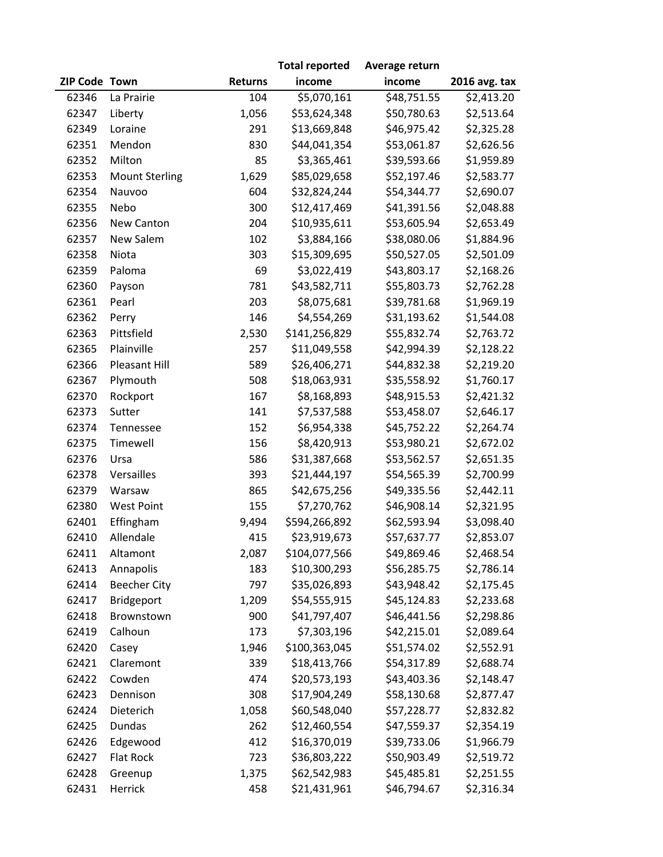|               |                       |                | <b>Total reported</b> | Average return |                        |
|---------------|-----------------------|----------------|-----------------------|----------------|------------------------|
| ZIP Code Town |                       | <b>Returns</b> | income                | income         | 2016 avg. tax          |
| 62346         | La Prairie            | 104            | \$5,070,161           | \$48,751.55    | $\overline{$}2,413.20$ |
| 62347         | Liberty               | 1,056          | \$53,624,348          | \$50,780.63    | \$2,513.64             |
| 62349         | Loraine               | 291            | \$13,669,848          | \$46,975.42    | \$2,325.28             |
| 62351         | Mendon                | 830            | \$44,041,354          | \$53,061.87    | \$2,626.56             |
| 62352         | Milton                | 85             | \$3,365,461           | \$39,593.66    | \$1,959.89             |
| 62353         | <b>Mount Sterling</b> | 1,629          | \$85,029,658          | \$52,197.46    | \$2,583.77             |
| 62354         | Nauvoo                | 604            | \$32,824,244          | \$54,344.77    | \$2,690.07             |
| 62355         | Nebo                  | 300            | \$12,417,469          | \$41,391.56    | \$2,048.88             |
| 62356         | New Canton            | 204            | \$10,935,611          | \$53,605.94    | \$2,653.49             |
| 62357         | New Salem             | 102            | \$3,884,166           | \$38,080.06    | \$1,884.96             |
| 62358         | Niota                 | 303            | \$15,309,695          | \$50,527.05    | \$2,501.09             |
| 62359         | Paloma                | 69             | \$3,022,419           | \$43,803.17    | \$2,168.26             |
| 62360         | Payson                | 781            | \$43,582,711          | \$55,803.73    | \$2,762.28             |
| 62361         | Pearl                 | 203            | \$8,075,681           | \$39,781.68    | \$1,969.19             |
| 62362         | Perry                 | 146            | \$4,554,269           | \$31,193.62    | \$1,544.08             |
| 62363         | Pittsfield            | 2,530          | \$141,256,829         | \$55,832.74    | \$2,763.72             |
| 62365         | Plainville            | 257            | \$11,049,558          | \$42,994.39    | \$2,128.22             |
| 62366         | Pleasant Hill         | 589            | \$26,406,271          | \$44,832.38    | \$2,219.20             |
| 62367         | Plymouth              | 508            | \$18,063,931          | \$35,558.92    | \$1,760.17             |
| 62370         | Rockport              | 167            | \$8,168,893           | \$48,915.53    | \$2,421.32             |
| 62373         | Sutter                | 141            | \$7,537,588           | \$53,458.07    | \$2,646.17             |
| 62374         | Tennessee             | 152            | \$6,954,338           | \$45,752.22    | \$2,264.74             |
| 62375         | Timewell              | 156            | \$8,420,913           | \$53,980.21    | \$2,672.02             |
| 62376         | Ursa                  | 586            | \$31,387,668          | \$53,562.57    | \$2,651.35             |
| 62378         | Versailles            | 393            | \$21,444,197          | \$54,565.39    | \$2,700.99             |
| 62379         | Warsaw                | 865            | \$42,675,256          | \$49,335.56    | \$2,442.11             |
| 62380         | <b>West Point</b>     | 155            | \$7,270,762           | \$46,908.14    | \$2,321.95             |
| 62401         | Effingham             | 9,494          | \$594,266,892         | \$62,593.94    | \$3,098.40             |
| 62410         | Allendale             | 415            | \$23,919,673          | \$57,637.77    | \$2,853.07             |
| 62411         | Altamont              | 2,087          | \$104,077,566         | \$49,869.46    | \$2,468.54             |
| 62413         | Annapolis             | 183            | \$10,300,293          | \$56,285.75    | \$2,786.14             |
| 62414         | <b>Beecher City</b>   | 797            | \$35,026,893          | \$43,948.42    | \$2,175.45             |
| 62417         | Bridgeport            | 1,209          | \$54,555,915          | \$45,124.83    | \$2,233.68             |
| 62418         | Brownstown            | 900            | \$41,797,407          | \$46,441.56    | \$2,298.86             |
| 62419         | Calhoun               | 173            | \$7,303,196           | \$42,215.01    | \$2,089.64             |
| 62420         | Casey                 | 1,946          | \$100,363,045         | \$51,574.02    | \$2,552.91             |
| 62421         | Claremont             | 339            | \$18,413,766          | \$54,317.89    | \$2,688.74             |
| 62422         | Cowden                | 474            | \$20,573,193          | \$43,403.36    | \$2,148.47             |
| 62423         | Dennison              | 308            | \$17,904,249          | \$58,130.68    | \$2,877.47             |
| 62424         | Dieterich             | 1,058          | \$60,548,040          | \$57,228.77    | \$2,832.82             |
| 62425         | <b>Dundas</b>         | 262            | \$12,460,554          | \$47,559.37    | \$2,354.19             |
| 62426         | Edgewood              | 412            | \$16,370,019          | \$39,733.06    | \$1,966.79             |
| 62427         | Flat Rock             | 723            | \$36,803,222          | \$50,903.49    | \$2,519.72             |
| 62428         | Greenup               | 1,375          | \$62,542,983          | \$45,485.81    | \$2,251.55             |
| 62431         | Herrick               | 458            | \$21,431,961          | \$46,794.67    | \$2,316.34             |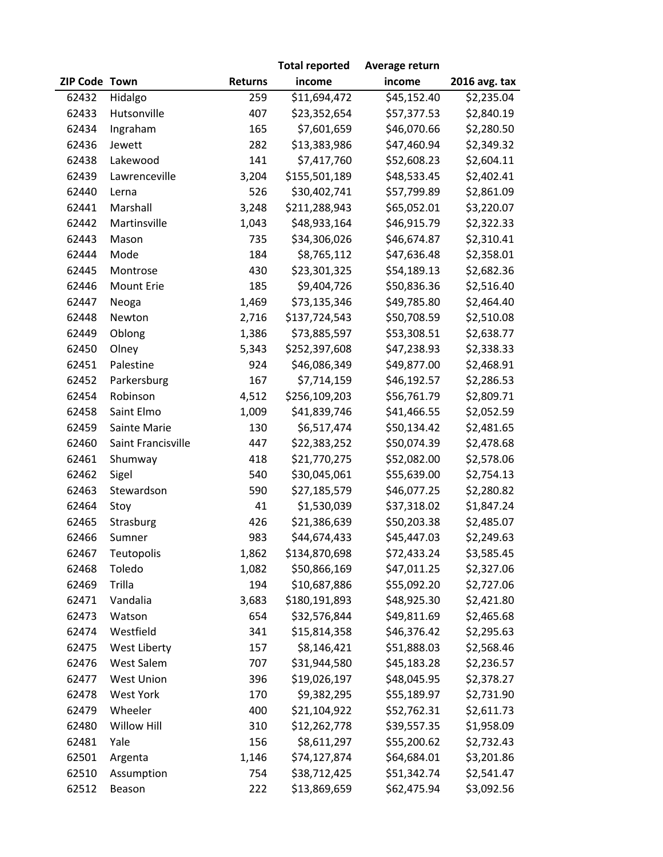|               |                    |                | <b>Total reported</b> | Average return          |               |
|---------------|--------------------|----------------|-----------------------|-------------------------|---------------|
| ZIP Code Town |                    | <b>Returns</b> | income                | income                  | 2016 avg. tax |
| 62432         | Hidalgo            | 259            | \$11,694,472          | $\overline{$}45,152.40$ | \$2,235.04    |
| 62433         | Hutsonville        | 407            | \$23,352,654          | \$57,377.53             | \$2,840.19    |
| 62434         | Ingraham           | 165            | \$7,601,659           | \$46,070.66             | \$2,280.50    |
| 62436         | Jewett             | 282            | \$13,383,986          | \$47,460.94             | \$2,349.32    |
| 62438         | Lakewood           | 141            | \$7,417,760           | \$52,608.23             | \$2,604.11    |
| 62439         | Lawrenceville      | 3,204          | \$155,501,189         | \$48,533.45             | \$2,402.41    |
| 62440         | Lerna              | 526            | \$30,402,741          | \$57,799.89             | \$2,861.09    |
| 62441         | Marshall           | 3,248          | \$211,288,943         | \$65,052.01             | \$3,220.07    |
| 62442         | Martinsville       | 1,043          | \$48,933,164          | \$46,915.79             | \$2,322.33    |
| 62443         | Mason              | 735            | \$34,306,026          | \$46,674.87             | \$2,310.41    |
| 62444         | Mode               | 184            | \$8,765,112           | \$47,636.48             | \$2,358.01    |
| 62445         | Montrose           | 430            | \$23,301,325          | \$54,189.13             | \$2,682.36    |
| 62446         | <b>Mount Erie</b>  | 185            | \$9,404,726           | \$50,836.36             | \$2,516.40    |
| 62447         | Neoga              | 1,469          | \$73,135,346          | \$49,785.80             | \$2,464.40    |
| 62448         | Newton             | 2,716          | \$137,724,543         | \$50,708.59             | \$2,510.08    |
| 62449         | Oblong             | 1,386          | \$73,885,597          | \$53,308.51             | \$2,638.77    |
| 62450         | Olney              | 5,343          | \$252,397,608         | \$47,238.93             | \$2,338.33    |
| 62451         | Palestine          | 924            | \$46,086,349          | \$49,877.00             | \$2,468.91    |
| 62452         | Parkersburg        | 167            | \$7,714,159           | \$46,192.57             | \$2,286.53    |
| 62454         | Robinson           | 4,512          | \$256,109,203         | \$56,761.79             | \$2,809.71    |
| 62458         | Saint Elmo         | 1,009          | \$41,839,746          | \$41,466.55             | \$2,052.59    |
| 62459         | Sainte Marie       | 130            | \$6,517,474           | \$50,134.42             | \$2,481.65    |
| 62460         | Saint Francisville | 447            | \$22,383,252          | \$50,074.39             | \$2,478.68    |
| 62461         | Shumway            | 418            | \$21,770,275          | \$52,082.00             | \$2,578.06    |
| 62462         | Sigel              | 540            | \$30,045,061          | \$55,639.00             | \$2,754.13    |
| 62463         | Stewardson         | 590            | \$27,185,579          | \$46,077.25             | \$2,280.82    |
| 62464         | Stoy               | 41             | \$1,530,039           | \$37,318.02             | \$1,847.24    |
| 62465         | Strasburg          | 426            | \$21,386,639          | \$50,203.38             | \$2,485.07    |
| 62466         | Sumner             | 983            | \$44,674,433          | \$45,447.03             | \$2,249.63    |
| 62467         | Teutopolis         | 1,862          | \$134,870,698         | \$72,433.24             | \$3,585.45    |
| 62468         | Toledo             | 1,082          | \$50,866,169          | \$47,011.25             | \$2,327.06    |
| 62469         | Trilla             | 194            | \$10,687,886          | \$55,092.20             | \$2,727.06    |
| 62471         | Vandalia           | 3,683          | \$180,191,893         | \$48,925.30             | \$2,421.80    |
| 62473         | Watson             | 654            | \$32,576,844          | \$49,811.69             | \$2,465.68    |
| 62474         | Westfield          | 341            | \$15,814,358          | \$46,376.42             | \$2,295.63    |
| 62475         | West Liberty       | 157            | \$8,146,421           | \$51,888.03             | \$2,568.46    |
| 62476         | West Salem         | 707            | \$31,944,580          | \$45,183.28             | \$2,236.57    |
| 62477         | <b>West Union</b>  | 396            | \$19,026,197          | \$48,045.95             | \$2,378.27    |
| 62478         | <b>West York</b>   | 170            | \$9,382,295           | \$55,189.97             | \$2,731.90    |
| 62479         | Wheeler            | 400            | \$21,104,922          | \$52,762.31             | \$2,611.73    |
| 62480         | <b>Willow Hill</b> | 310            | \$12,262,778          | \$39,557.35             | \$1,958.09    |
| 62481         | Yale               | 156            | \$8,611,297           | \$55,200.62             | \$2,732.43    |
| 62501         | Argenta            | 1,146          | \$74,127,874          | \$64,684.01             | \$3,201.86    |
| 62510         | Assumption         | 754            | \$38,712,425          | \$51,342.74             | \$2,541.47    |
| 62512         | Beason             | 222            | \$13,869,659          | \$62,475.94             | \$3,092.56    |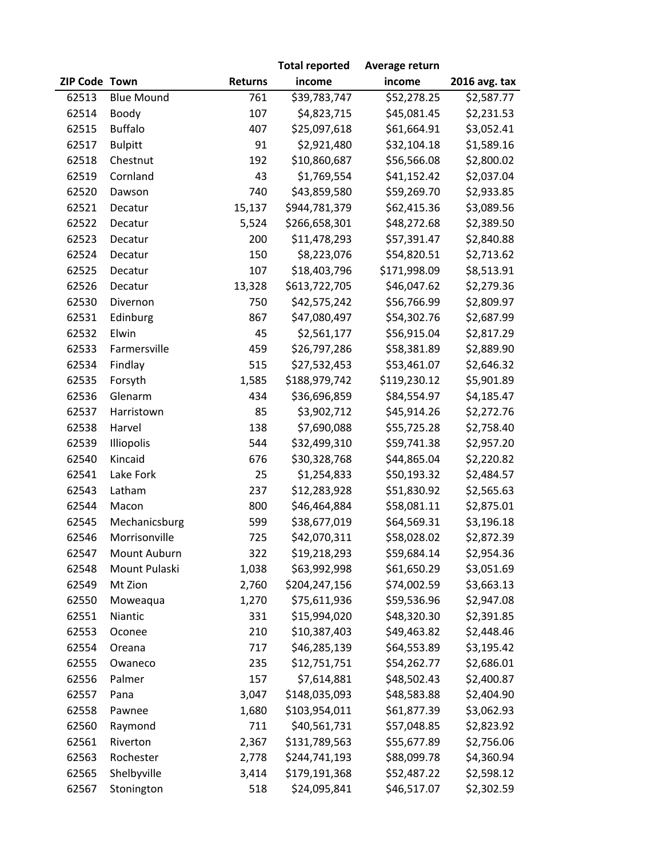|               |                   |                | <b>Total reported</b> | Average return |                        |
|---------------|-------------------|----------------|-----------------------|----------------|------------------------|
| ZIP Code Town |                   | <b>Returns</b> | income                | income         | 2016 avg. tax          |
| 62513         | <b>Blue Mound</b> | 761            | \$39,783,747          | \$52,278.25    | $\overline{$}2,587.77$ |
| 62514         | Boody             | 107            | \$4,823,715           | \$45,081.45    | \$2,231.53             |
| 62515         | <b>Buffalo</b>    | 407            | \$25,097,618          | \$61,664.91    | \$3,052.41             |
| 62517         | <b>Bulpitt</b>    | 91             | \$2,921,480           | \$32,104.18    | \$1,589.16             |
| 62518         | Chestnut          | 192            | \$10,860,687          | \$56,566.08    | \$2,800.02             |
| 62519         | Cornland          | 43             | \$1,769,554           | \$41,152.42    | \$2,037.04             |
| 62520         | Dawson            | 740            | \$43,859,580          | \$59,269.70    | \$2,933.85             |
| 62521         | Decatur           | 15,137         | \$944,781,379         | \$62,415.36    | \$3,089.56             |
| 62522         | Decatur           | 5,524          | \$266,658,301         | \$48,272.68    | \$2,389.50             |
| 62523         | Decatur           | 200            | \$11,478,293          | \$57,391.47    | \$2,840.88             |
| 62524         | Decatur           | 150            | \$8,223,076           | \$54,820.51    | \$2,713.62             |
| 62525         | Decatur           | 107            | \$18,403,796          | \$171,998.09   | \$8,513.91             |
| 62526         | Decatur           | 13,328         | \$613,722,705         | \$46,047.62    | \$2,279.36             |
| 62530         | Divernon          | 750            | \$42,575,242          | \$56,766.99    | \$2,809.97             |
| 62531         | Edinburg          | 867            | \$47,080,497          | \$54,302.76    | \$2,687.99             |
| 62532         | Elwin             | 45             | \$2,561,177           | \$56,915.04    | \$2,817.29             |
| 62533         | Farmersville      | 459            | \$26,797,286          | \$58,381.89    | \$2,889.90             |
| 62534         | Findlay           | 515            | \$27,532,453          | \$53,461.07    | \$2,646.32             |
| 62535         | Forsyth           | 1,585          | \$188,979,742         | \$119,230.12   | \$5,901.89             |
| 62536         | Glenarm           | 434            | \$36,696,859          | \$84,554.97    | \$4,185.47             |
| 62537         | Harristown        | 85             | \$3,902,712           | \$45,914.26    | \$2,272.76             |
| 62538         | Harvel            | 138            | \$7,690,088           | \$55,725.28    | \$2,758.40             |
| 62539         | Illiopolis        | 544            | \$32,499,310          | \$59,741.38    | \$2,957.20             |
| 62540         | Kincaid           | 676            | \$30,328,768          | \$44,865.04    | \$2,220.82             |
| 62541         | Lake Fork         | 25             | \$1,254,833           | \$50,193.32    | \$2,484.57             |
| 62543         | Latham            | 237            | \$12,283,928          | \$51,830.92    | \$2,565.63             |
| 62544         | Macon             | 800            | \$46,464,884          | \$58,081.11    | \$2,875.01             |
| 62545         | Mechanicsburg     | 599            | \$38,677,019          | \$64,569.31    | \$3,196.18             |
| 62546         | Morrisonville     | 725            | \$42,070,311          | \$58,028.02    | \$2,872.39             |
| 62547         | Mount Auburn      | 322            | \$19,218,293          | \$59,684.14    | \$2,954.36             |
| 62548         | Mount Pulaski     | 1,038          | \$63,992,998          | \$61,650.29    | \$3,051.69             |
| 62549         | Mt Zion           | 2,760          | \$204,247,156         | \$74,002.59    | \$3,663.13             |
| 62550         | Moweaqua          | 1,270          | \$75,611,936          | \$59,536.96    | \$2,947.08             |
| 62551         | Niantic           | 331            | \$15,994,020          | \$48,320.30    | \$2,391.85             |
| 62553         | Oconee            | 210            | \$10,387,403          | \$49,463.82    | \$2,448.46             |
| 62554         | Oreana            | 717            | \$46,285,139          | \$64,553.89    | \$3,195.42             |
| 62555         | Owaneco           | 235            | \$12,751,751          | \$54,262.77    | \$2,686.01             |
| 62556         | Palmer            | 157            | \$7,614,881           | \$48,502.43    | \$2,400.87             |
| 62557         | Pana              | 3,047          | \$148,035,093         | \$48,583.88    | \$2,404.90             |
| 62558         | Pawnee            | 1,680          | \$103,954,011         | \$61,877.39    | \$3,062.93             |
| 62560         | Raymond           | 711            | \$40,561,731          | \$57,048.85    | \$2,823.92             |
| 62561         | Riverton          | 2,367          | \$131,789,563         | \$55,677.89    | \$2,756.06             |
| 62563         | Rochester         | 2,778          | \$244,741,193         | \$88,099.78    | \$4,360.94             |
| 62565         | Shelbyville       | 3,414          | \$179,191,368         | \$52,487.22    | \$2,598.12             |
| 62567         | Stonington        | 518            | \$24,095,841          | \$46,517.07    | \$2,302.59             |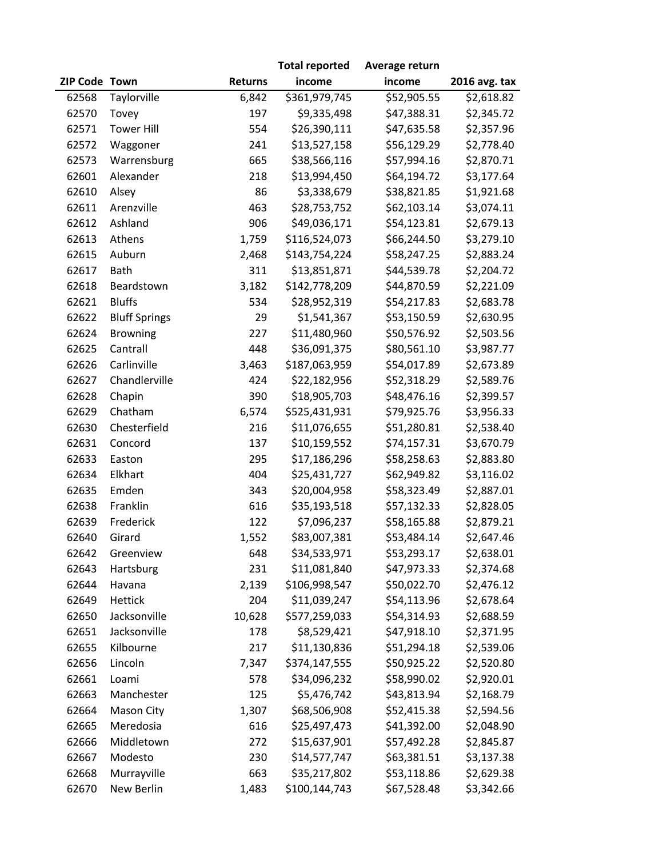|               |                      |                | <b>Total reported</b> | Average return |               |
|---------------|----------------------|----------------|-----------------------|----------------|---------------|
| ZIP Code Town |                      | <b>Returns</b> | income                | income         | 2016 avg. tax |
| 62568         | Taylorville          | 6,842          | \$361,979,745         | \$52,905.55    | \$2,618.82    |
| 62570         | Tovey                | 197            | \$9,335,498           | \$47,388.31    | \$2,345.72    |
| 62571         | <b>Tower Hill</b>    | 554            | \$26,390,111          | \$47,635.58    | \$2,357.96    |
| 62572         | Waggoner             | 241            | \$13,527,158          | \$56,129.29    | \$2,778.40    |
| 62573         | Warrensburg          | 665            | \$38,566,116          | \$57,994.16    | \$2,870.71    |
| 62601         | Alexander            | 218            | \$13,994,450          | \$64,194.72    | \$3,177.64    |
| 62610         | Alsey                | 86             | \$3,338,679           | \$38,821.85    | \$1,921.68    |
| 62611         | Arenzville           | 463            | \$28,753,752          | \$62,103.14    | \$3,074.11    |
| 62612         | Ashland              | 906            | \$49,036,171          | \$54,123.81    | \$2,679.13    |
| 62613         | Athens               | 1,759          | \$116,524,073         | \$66,244.50    | \$3,279.10    |
| 62615         | Auburn               | 2,468          | \$143,754,224         | \$58,247.25    | \$2,883.24    |
| 62617         | Bath                 | 311            | \$13,851,871          | \$44,539.78    | \$2,204.72    |
| 62618         | Beardstown           | 3,182          | \$142,778,209         | \$44,870.59    | \$2,221.09    |
| 62621         | <b>Bluffs</b>        | 534            | \$28,952,319          | \$54,217.83    | \$2,683.78    |
| 62622         | <b>Bluff Springs</b> | 29             | \$1,541,367           | \$53,150.59    | \$2,630.95    |
| 62624         | Browning             | 227            | \$11,480,960          | \$50,576.92    | \$2,503.56    |
| 62625         | Cantrall             | 448            | \$36,091,375          | \$80,561.10    | \$3,987.77    |
| 62626         | Carlinville          | 3,463          | \$187,063,959         | \$54,017.89    | \$2,673.89    |
| 62627         | Chandlerville        | 424            | \$22,182,956          | \$52,318.29    | \$2,589.76    |
| 62628         | Chapin               | 390            | \$18,905,703          | \$48,476.16    | \$2,399.57    |
| 62629         | Chatham              | 6,574          | \$525,431,931         | \$79,925.76    | \$3,956.33    |
| 62630         | Chesterfield         | 216            | \$11,076,655          | \$51,280.81    | \$2,538.40    |
| 62631         | Concord              | 137            | \$10,159,552          | \$74,157.31    | \$3,670.79    |
| 62633         | Easton               | 295            | \$17,186,296          | \$58,258.63    | \$2,883.80    |
| 62634         | Elkhart              | 404            | \$25,431,727          | \$62,949.82    | \$3,116.02    |
| 62635         | Emden                | 343            | \$20,004,958          | \$58,323.49    | \$2,887.01    |
| 62638         | Franklin             | 616            | \$35,193,518          | \$57,132.33    | \$2,828.05    |
| 62639         | Frederick            | 122            | \$7,096,237           | \$58,165.88    | \$2,879.21    |
| 62640         | Girard               | 1,552          | \$83,007,381          | \$53,484.14    | \$2,647.46    |
| 62642         | Greenview            | 648            | \$34,533,971          | \$53,293.17    | \$2,638.01    |
| 62643         | Hartsburg            | 231            | \$11,081,840          | \$47,973.33    | \$2,374.68    |
| 62644         | Havana               | 2,139          | \$106,998,547         | \$50,022.70    | \$2,476.12    |
| 62649         | Hettick              | 204            | \$11,039,247          | \$54,113.96    | \$2,678.64    |
| 62650         | Jacksonville         | 10,628         | \$577,259,033         | \$54,314.93    | \$2,688.59    |
| 62651         | Jacksonville         | 178            | \$8,529,421           | \$47,918.10    | \$2,371.95    |
| 62655         | Kilbourne            | 217            | \$11,130,836          | \$51,294.18    | \$2,539.06    |
| 62656         | Lincoln              | 7,347          | \$374,147,555         | \$50,925.22    | \$2,520.80    |
| 62661         | Loami                | 578            | \$34,096,232          | \$58,990.02    | \$2,920.01    |
| 62663         | Manchester           | 125            | \$5,476,742           | \$43,813.94    | \$2,168.79    |
| 62664         | Mason City           | 1,307          | \$68,506,908          | \$52,415.38    | \$2,594.56    |
| 62665         | Meredosia            | 616            | \$25,497,473          | \$41,392.00    | \$2,048.90    |
| 62666         | Middletown           | 272            | \$15,637,901          | \$57,492.28    | \$2,845.87    |
| 62667         | Modesto              | 230            | \$14,577,747          | \$63,381.51    | \$3,137.38    |
| 62668         | Murrayville          | 663            | \$35,217,802          | \$53,118.86    | \$2,629.38    |
| 62670         | New Berlin           | 1,483          | \$100,144,743         | \$67,528.48    | \$3,342.66    |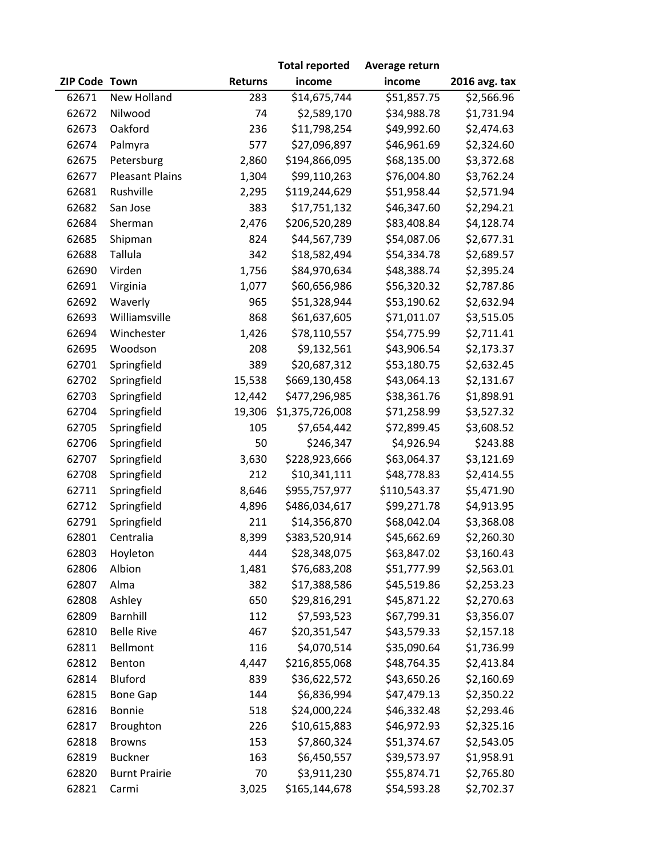|               |                        |                | <b>Total reported</b> | Average return |                        |
|---------------|------------------------|----------------|-----------------------|----------------|------------------------|
| ZIP Code Town |                        | <b>Returns</b> | income                | income         | 2016 avg. tax          |
| 62671         | <b>New Holland</b>     | 283            | \$14,675,744          | \$51,857.75    | $\overline{$}2,566.96$ |
| 62672         | Nilwood                | 74             | \$2,589,170           | \$34,988.78    | \$1,731.94             |
| 62673         | Oakford                | 236            | \$11,798,254          | \$49,992.60    | \$2,474.63             |
| 62674         | Palmyra                | 577            | \$27,096,897          | \$46,961.69    | \$2,324.60             |
| 62675         | Petersburg             | 2,860          | \$194,866,095         | \$68,135.00    | \$3,372.68             |
| 62677         | <b>Pleasant Plains</b> | 1,304          | \$99,110,263          | \$76,004.80    | \$3,762.24             |
| 62681         | Rushville              | 2,295          | \$119,244,629         | \$51,958.44    | \$2,571.94             |
| 62682         | San Jose               | 383            | \$17,751,132          | \$46,347.60    | \$2,294.21             |
| 62684         | Sherman                | 2,476          | \$206,520,289         | \$83,408.84    | \$4,128.74             |
| 62685         | Shipman                | 824            | \$44,567,739          | \$54,087.06    | \$2,677.31             |
| 62688         | Tallula                | 342            | \$18,582,494          | \$54,334.78    | \$2,689.57             |
| 62690         | Virden                 | 1,756          | \$84,970,634          | \$48,388.74    | \$2,395.24             |
| 62691         | Virginia               | 1,077          | \$60,656,986          | \$56,320.32    | \$2,787.86             |
| 62692         | Waverly                | 965            | \$51,328,944          | \$53,190.62    | \$2,632.94             |
| 62693         | Williamsville          | 868            | \$61,637,605          | \$71,011.07    | \$3,515.05             |
| 62694         | Winchester             | 1,426          | \$78,110,557          | \$54,775.99    | \$2,711.41             |
| 62695         | Woodson                | 208            | \$9,132,561           | \$43,906.54    | \$2,173.37             |
| 62701         | Springfield            | 389            | \$20,687,312          | \$53,180.75    | \$2,632.45             |
| 62702         | Springfield            | 15,538         | \$669,130,458         | \$43,064.13    | \$2,131.67             |
| 62703         | Springfield            | 12,442         | \$477,296,985         | \$38,361.76    | \$1,898.91             |
| 62704         | Springfield            | 19,306         | \$1,375,726,008       | \$71,258.99    | \$3,527.32             |
| 62705         | Springfield            | 105            | \$7,654,442           | \$72,899.45    | \$3,608.52             |
| 62706         | Springfield            | 50             | \$246,347             | \$4,926.94     | \$243.88               |
| 62707         | Springfield            | 3,630          | \$228,923,666         | \$63,064.37    | \$3,121.69             |
| 62708         | Springfield            | 212            | \$10,341,111          | \$48,778.83    | \$2,414.55             |
| 62711         | Springfield            | 8,646          | \$955,757,977         | \$110,543.37   | \$5,471.90             |
| 62712         | Springfield            | 4,896          | \$486,034,617         | \$99,271.78    | \$4,913.95             |
| 62791         | Springfield            | 211            | \$14,356,870          | \$68,042.04    | \$3,368.08             |
| 62801         | Centralia              | 8,399          | \$383,520,914         | \$45,662.69    | \$2,260.30             |
| 62803         | Hoyleton               | 444            | \$28,348,075          | \$63,847.02    | \$3,160.43             |
| 62806         | Albion                 | 1,481          | \$76,683,208          | \$51,777.99    | \$2,563.01             |
| 62807         | Alma                   | 382            | \$17,388,586          | \$45,519.86    | \$2,253.23             |
| 62808         | Ashley                 | 650            | \$29,816,291          | \$45,871.22    | \$2,270.63             |
| 62809         | <b>Barnhill</b>        | 112            | \$7,593,523           | \$67,799.31    | \$3,356.07             |
| 62810         | <b>Belle Rive</b>      | 467            | \$20,351,547          | \$43,579.33    | \$2,157.18             |
| 62811         | Bellmont               | 116            | \$4,070,514           | \$35,090.64    | \$1,736.99             |
| 62812         | Benton                 | 4,447          | \$216,855,068         | \$48,764.35    | \$2,413.84             |
| 62814         | Bluford                | 839            | \$36,622,572          | \$43,650.26    | \$2,160.69             |
| 62815         | <b>Bone Gap</b>        | 144            | \$6,836,994           | \$47,479.13    | \$2,350.22             |
| 62816         | Bonnie                 | 518            | \$24,000,224          | \$46,332.48    | \$2,293.46             |
| 62817         | Broughton              | 226            | \$10,615,883          | \$46,972.93    | \$2,325.16             |
| 62818         | <b>Browns</b>          | 153            | \$7,860,324           | \$51,374.67    | \$2,543.05             |
| 62819         | <b>Buckner</b>         | 163            | \$6,450,557           | \$39,573.97    | \$1,958.91             |
| 62820         | <b>Burnt Prairie</b>   | 70             | \$3,911,230           | \$55,874.71    | \$2,765.80             |
| 62821         | Carmi                  | 3,025          | \$165,144,678         | \$54,593.28    | \$2,702.37             |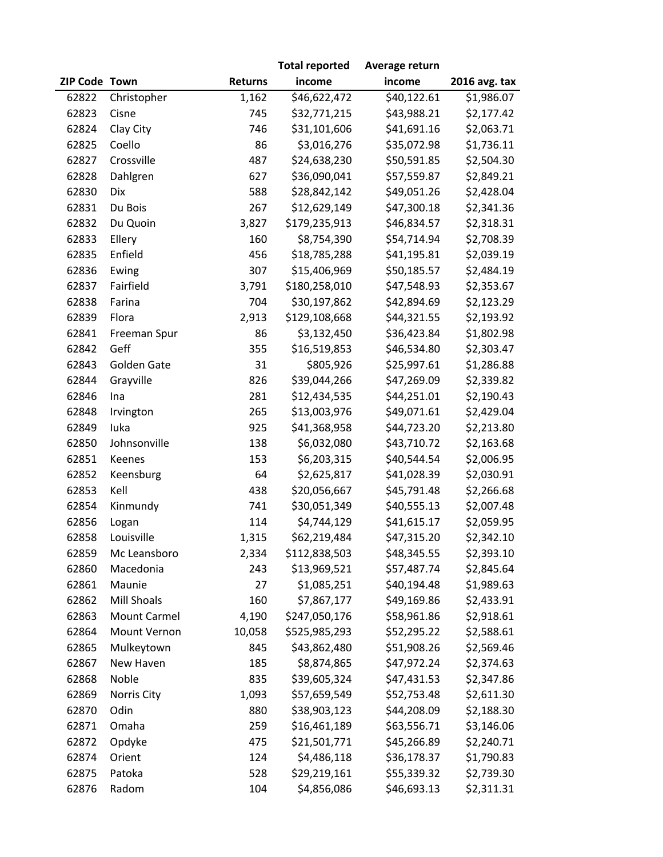|               |                     |                | <b>Total reported</b> | Average return |               |
|---------------|---------------------|----------------|-----------------------|----------------|---------------|
| ZIP Code Town |                     | <b>Returns</b> | income                | income         | 2016 avg. tax |
| 62822         | Christopher         | 1,162          | \$46,622,472          | \$40,122.61    | \$1,986.07    |
| 62823         | Cisne               | 745            | \$32,771,215          | \$43,988.21    | \$2,177.42    |
| 62824         | Clay City           | 746            | \$31,101,606          | \$41,691.16    | \$2,063.71    |
| 62825         | Coello              | 86             | \$3,016,276           | \$35,072.98    | \$1,736.11    |
| 62827         | Crossville          | 487            | \$24,638,230          | \$50,591.85    | \$2,504.30    |
| 62828         | Dahlgren            | 627            | \$36,090,041          | \$57,559.87    | \$2,849.21    |
| 62830         | Dix                 | 588            | \$28,842,142          | \$49,051.26    | \$2,428.04    |
| 62831         | Du Bois             | 267            | \$12,629,149          | \$47,300.18    | \$2,341.36    |
| 62832         | Du Quoin            | 3,827          | \$179,235,913         | \$46,834.57    | \$2,318.31    |
| 62833         | Ellery              | 160            | \$8,754,390           | \$54,714.94    | \$2,708.39    |
| 62835         | Enfield             | 456            | \$18,785,288          | \$41,195.81    | \$2,039.19    |
| 62836         | Ewing               | 307            | \$15,406,969          | \$50,185.57    | \$2,484.19    |
| 62837         | Fairfield           | 3,791          | \$180,258,010         | \$47,548.93    | \$2,353.67    |
| 62838         | Farina              | 704            | \$30,197,862          | \$42,894.69    | \$2,123.29    |
| 62839         | Flora               | 2,913          | \$129,108,668         | \$44,321.55    | \$2,193.92    |
| 62841         | Freeman Spur        | 86             | \$3,132,450           | \$36,423.84    | \$1,802.98    |
| 62842         | Geff                | 355            | \$16,519,853          | \$46,534.80    | \$2,303.47    |
| 62843         | Golden Gate         | 31             | \$805,926             | \$25,997.61    | \$1,286.88    |
| 62844         | Grayville           | 826            | \$39,044,266          | \$47,269.09    | \$2,339.82    |
| 62846         | Ina                 | 281            | \$12,434,535          | \$44,251.01    | \$2,190.43    |
| 62848         | Irvington           | 265            | \$13,003,976          | \$49,071.61    | \$2,429.04    |
| 62849         | luka                | 925            | \$41,368,958          | \$44,723.20    | \$2,213.80    |
| 62850         | Johnsonville        | 138            | \$6,032,080           | \$43,710.72    | \$2,163.68    |
| 62851         | Keenes              | 153            | \$6,203,315           | \$40,544.54    | \$2,006.95    |
| 62852         | Keensburg           | 64             | \$2,625,817           | \$41,028.39    | \$2,030.91    |
| 62853         | Kell                | 438            | \$20,056,667          | \$45,791.48    | \$2,266.68    |
| 62854         | Kinmundy            | 741            | \$30,051,349          | \$40,555.13    | \$2,007.48    |
| 62856         | Logan               | 114            | \$4,744,129           | \$41,615.17    | \$2,059.95    |
| 62858         | Louisville          | 1,315          | \$62,219,484          | \$47,315.20    | \$2,342.10    |
| 62859         | Mc Leansboro        | 2,334          | \$112,838,503         | \$48,345.55    | \$2,393.10    |
| 62860         | Macedonia           | 243            | \$13,969,521          | \$57,487.74    | \$2,845.64    |
| 62861         | Maunie              | 27             | \$1,085,251           | \$40,194.48    | \$1,989.63    |
| 62862         | <b>Mill Shoals</b>  | 160            | \$7,867,177           | \$49,169.86    | \$2,433.91    |
| 62863         | <b>Mount Carmel</b> | 4,190          | \$247,050,176         | \$58,961.86    | \$2,918.61    |
| 62864         | Mount Vernon        | 10,058         | \$525,985,293         | \$52,295.22    | \$2,588.61    |
| 62865         | Mulkeytown          | 845            | \$43,862,480          | \$51,908.26    | \$2,569.46    |
| 62867         | New Haven           | 185            | \$8,874,865           | \$47,972.24    | \$2,374.63    |
| 62868         | Noble               | 835            | \$39,605,324          | \$47,431.53    | \$2,347.86    |
| 62869         | Norris City         | 1,093          | \$57,659,549          | \$52,753.48    | \$2,611.30    |
| 62870         | Odin                | 880            | \$38,903,123          | \$44,208.09    | \$2,188.30    |
| 62871         | Omaha               | 259            | \$16,461,189          | \$63,556.71    | \$3,146.06    |
| 62872         | Opdyke              | 475            | \$21,501,771          | \$45,266.89    | \$2,240.71    |
| 62874         | Orient              | 124            | \$4,486,118           | \$36,178.37    | \$1,790.83    |
| 62875         | Patoka              | 528            | \$29,219,161          | \$55,339.32    | \$2,739.30    |
| 62876         | Radom               | 104            | \$4,856,086           | \$46,693.13    | \$2,311.31    |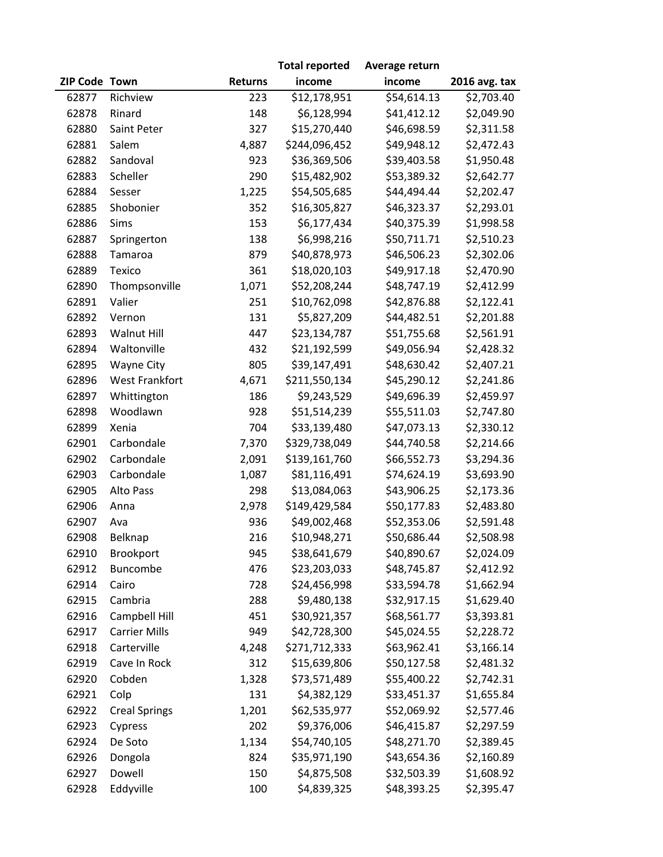|               |                       |                | <b>Total reported</b> | Average return |               |
|---------------|-----------------------|----------------|-----------------------|----------------|---------------|
| ZIP Code Town |                       | <b>Returns</b> | income                | income         | 2016 avg. tax |
| 62877         | Richview              | 223            | \$12,178,951          | \$54,614.13    | \$2,703.40    |
| 62878         | Rinard                | 148            | \$6,128,994           | \$41,412.12    | \$2,049.90    |
| 62880         | Saint Peter           | 327            | \$15,270,440          | \$46,698.59    | \$2,311.58    |
| 62881         | Salem                 | 4,887          | \$244,096,452         | \$49,948.12    | \$2,472.43    |
| 62882         | Sandoval              | 923            | \$36,369,506          | \$39,403.58    | \$1,950.48    |
| 62883         | Scheller              | 290            | \$15,482,902          | \$53,389.32    | \$2,642.77    |
| 62884         | Sesser                | 1,225          | \$54,505,685          | \$44,494.44    | \$2,202.47    |
| 62885         | Shobonier             | 352            | \$16,305,827          | \$46,323.37    | \$2,293.01    |
| 62886         | Sims                  | 153            | \$6,177,434           | \$40,375.39    | \$1,998.58    |
| 62887         | Springerton           | 138            | \$6,998,216           | \$50,711.71    | \$2,510.23    |
| 62888         | Tamaroa               | 879            | \$40,878,973          | \$46,506.23    | \$2,302.06    |
| 62889         | Texico                | 361            | \$18,020,103          | \$49,917.18    | \$2,470.90    |
| 62890         | Thompsonville         | 1,071          | \$52,208,244          | \$48,747.19    | \$2,412.99    |
| 62891         | Valier                | 251            | \$10,762,098          | \$42,876.88    | \$2,122.41    |
| 62892         | Vernon                | 131            | \$5,827,209           | \$44,482.51    | \$2,201.88    |
| 62893         | <b>Walnut Hill</b>    | 447            | \$23,134,787          | \$51,755.68    | \$2,561.91    |
| 62894         | Waltonville           | 432            | \$21,192,599          | \$49,056.94    | \$2,428.32    |
| 62895         | Wayne City            | 805            | \$39,147,491          | \$48,630.42    | \$2,407.21    |
| 62896         | <b>West Frankfort</b> | 4,671          | \$211,550,134         | \$45,290.12    | \$2,241.86    |
| 62897         | Whittington           | 186            | \$9,243,529           | \$49,696.39    | \$2,459.97    |
| 62898         | Woodlawn              | 928            | \$51,514,239          | \$55,511.03    | \$2,747.80    |
| 62899         | Xenia                 | 704            | \$33,139,480          | \$47,073.13    | \$2,330.12    |
| 62901         | Carbondale            | 7,370          | \$329,738,049         | \$44,740.58    | \$2,214.66    |
| 62902         | Carbondale            | 2,091          | \$139,161,760         | \$66,552.73    | \$3,294.36    |
| 62903         | Carbondale            | 1,087          | \$81,116,491          | \$74,624.19    | \$3,693.90    |
| 62905         | Alto Pass             | 298            | \$13,084,063          | \$43,906.25    | \$2,173.36    |
| 62906         | Anna                  | 2,978          | \$149,429,584         | \$50,177.83    | \$2,483.80    |
| 62907         | Ava                   | 936            | \$49,002,468          | \$52,353.06    | \$2,591.48    |
| 62908         | Belknap               | 216            | \$10,948,271          | \$50,686.44    | \$2,508.98    |
| 62910         | Brookport             | 945            | \$38,641,679          | \$40,890.67    | \$2,024.09    |
| 62912         | Buncombe              | 476            | \$23,203,033          | \$48,745.87    | \$2,412.92    |
| 62914         | Cairo                 | 728            | \$24,456,998          | \$33,594.78    | \$1,662.94    |
| 62915         | Cambria               | 288            | \$9,480,138           | \$32,917.15    | \$1,629.40    |
| 62916         | Campbell Hill         | 451            | \$30,921,357          | \$68,561.77    | \$3,393.81    |
| 62917         | <b>Carrier Mills</b>  | 949            | \$42,728,300          | \$45,024.55    | \$2,228.72    |
| 62918         | Carterville           | 4,248          | \$271,712,333         | \$63,962.41    | \$3,166.14    |
| 62919         | Cave In Rock          | 312            | \$15,639,806          | \$50,127.58    | \$2,481.32    |
| 62920         | Cobden                | 1,328          | \$73,571,489          | \$55,400.22    | \$2,742.31    |
| 62921         | Colp                  | 131            | \$4,382,129           | \$33,451.37    | \$1,655.84    |
| 62922         | <b>Creal Springs</b>  | 1,201          | \$62,535,977          | \$52,069.92    | \$2,577.46    |
| 62923         | Cypress               | 202            | \$9,376,006           | \$46,415.87    | \$2,297.59    |
| 62924         | De Soto               | 1,134          | \$54,740,105          | \$48,271.70    | \$2,389.45    |
| 62926         | Dongola               | 824            | \$35,971,190          | \$43,654.36    | \$2,160.89    |
| 62927         | Dowell                | 150            | \$4,875,508           | \$32,503.39    | \$1,608.92    |
| 62928         | Eddyville             | 100            | \$4,839,325           | \$48,393.25    | \$2,395.47    |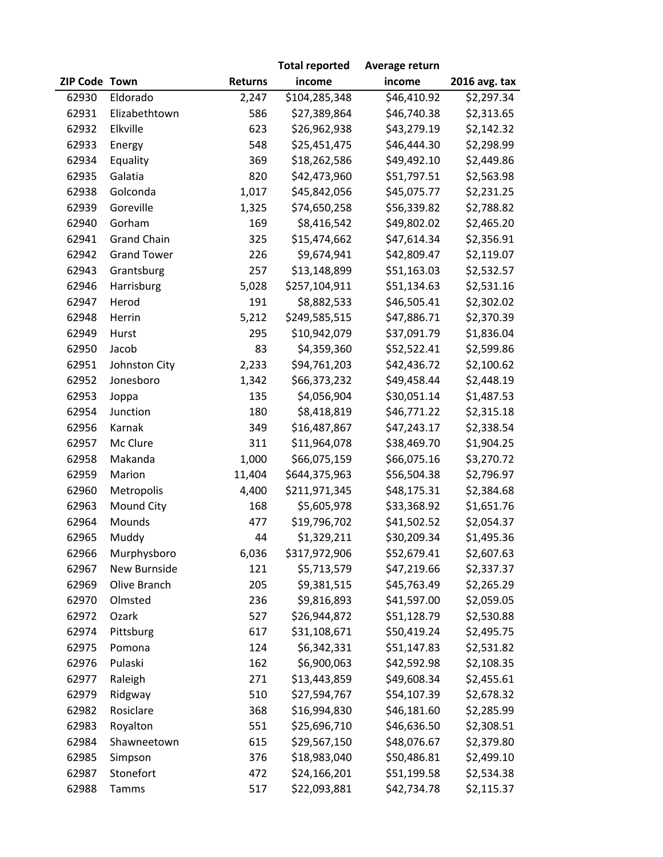|               |                    |                | <b>Total reported</b> | Average return |               |
|---------------|--------------------|----------------|-----------------------|----------------|---------------|
| ZIP Code Town |                    | <b>Returns</b> | income                | income         | 2016 avg. tax |
| 62930         | Eldorado           | 2,247          | \$104,285,348         | \$46,410.92    | \$2,297.34    |
| 62931         | Elizabethtown      | 586            | \$27,389,864          | \$46,740.38    | \$2,313.65    |
| 62932         | Elkville           | 623            | \$26,962,938          | \$43,279.19    | \$2,142.32    |
| 62933         | Energy             | 548            | \$25,451,475          | \$46,444.30    | \$2,298.99    |
| 62934         | Equality           | 369            | \$18,262,586          | \$49,492.10    | \$2,449.86    |
| 62935         | Galatia            | 820            | \$42,473,960          | \$51,797.51    | \$2,563.98    |
| 62938         | Golconda           | 1,017          | \$45,842,056          | \$45,075.77    | \$2,231.25    |
| 62939         | Goreville          | 1,325          | \$74,650,258          | \$56,339.82    | \$2,788.82    |
| 62940         | Gorham             | 169            | \$8,416,542           | \$49,802.02    | \$2,465.20    |
| 62941         | <b>Grand Chain</b> | 325            | \$15,474,662          | \$47,614.34    | \$2,356.91    |
| 62942         | <b>Grand Tower</b> | 226            | \$9,674,941           | \$42,809.47    | \$2,119.07    |
| 62943         | Grantsburg         | 257            | \$13,148,899          | \$51,163.03    | \$2,532.57    |
| 62946         | Harrisburg         | 5,028          | \$257,104,911         | \$51,134.63    | \$2,531.16    |
| 62947         | Herod              | 191            | \$8,882,533           | \$46,505.41    | \$2,302.02    |
| 62948         | Herrin             | 5,212          | \$249,585,515         | \$47,886.71    | \$2,370.39    |
| 62949         | Hurst              | 295            | \$10,942,079          | \$37,091.79    | \$1,836.04    |
| 62950         | Jacob              | 83             | \$4,359,360           | \$52,522.41    | \$2,599.86    |
| 62951         | Johnston City      | 2,233          | \$94,761,203          | \$42,436.72    | \$2,100.62    |
| 62952         | Jonesboro          | 1,342          | \$66,373,232          | \$49,458.44    | \$2,448.19    |
| 62953         | Joppa              | 135            | \$4,056,904           | \$30,051.14    | \$1,487.53    |
| 62954         | Junction           | 180            | \$8,418,819           | \$46,771.22    | \$2,315.18    |
| 62956         | Karnak             | 349            | \$16,487,867          | \$47,243.17    | \$2,338.54    |
| 62957         | Mc Clure           | 311            | \$11,964,078          | \$38,469.70    | \$1,904.25    |
| 62958         | Makanda            | 1,000          | \$66,075,159          | \$66,075.16    | \$3,270.72    |
| 62959         | Marion             | 11,404         | \$644,375,963         | \$56,504.38    | \$2,796.97    |
| 62960         | Metropolis         | 4,400          | \$211,971,345         | \$48,175.31    | \$2,384.68    |
| 62963         | Mound City         | 168            | \$5,605,978           | \$33,368.92    | \$1,651.76    |
| 62964         | Mounds             | 477            | \$19,796,702          | \$41,502.52    | \$2,054.37    |
| 62965         | Muddy              | 44             | \$1,329,211           | \$30,209.34    | \$1,495.36    |
| 62966         | Murphysboro        | 6,036          | \$317,972,906         | \$52,679.41    | \$2,607.63    |
| 62967         | New Burnside       | 121            | \$5,713,579           | \$47,219.66    | \$2,337.37    |
| 62969         | Olive Branch       | 205            | \$9,381,515           | \$45,763.49    | \$2,265.29    |
| 62970         | Olmsted            | 236            | \$9,816,893           | \$41,597.00    | \$2,059.05    |
| 62972         | Ozark              | 527            | \$26,944,872          | \$51,128.79    | \$2,530.88    |
| 62974         | Pittsburg          | 617            | \$31,108,671          | \$50,419.24    | \$2,495.75    |
| 62975         | Pomona             | 124            | \$6,342,331           | \$51,147.83    | \$2,531.82    |
| 62976         | Pulaski            | 162            | \$6,900,063           | \$42,592.98    | \$2,108.35    |
| 62977         | Raleigh            | 271            | \$13,443,859          | \$49,608.34    | \$2,455.61    |
| 62979         | Ridgway            | 510            | \$27,594,767          | \$54,107.39    | \$2,678.32    |
| 62982         | Rosiclare          | 368            | \$16,994,830          | \$46,181.60    | \$2,285.99    |
| 62983         | Royalton           | 551            | \$25,696,710          | \$46,636.50    | \$2,308.51    |
| 62984         | Shawneetown        | 615            | \$29,567,150          | \$48,076.67    | \$2,379.80    |
| 62985         | Simpson            | 376            | \$18,983,040          | \$50,486.81    | \$2,499.10    |
| 62987         | Stonefort          | 472            | \$24,166,201          | \$51,199.58    | \$2,534.38    |
| 62988         | Tamms              | 517            | \$22,093,881          | \$42,734.78    | \$2,115.37    |